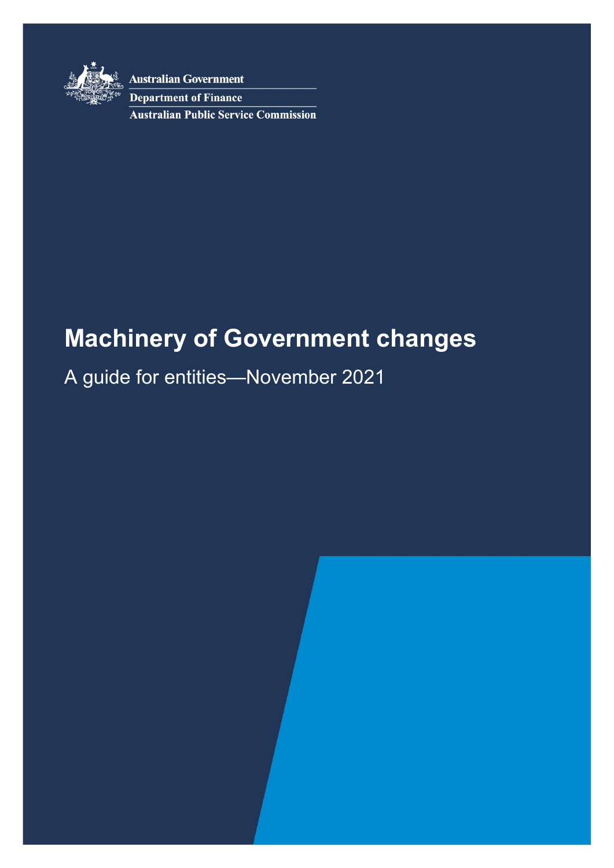

**Australian Government** 

**Department of Finance** 

**Australian Public Service Commission** 

# **Machinery of Government changes**

A guide for entities—November 2021

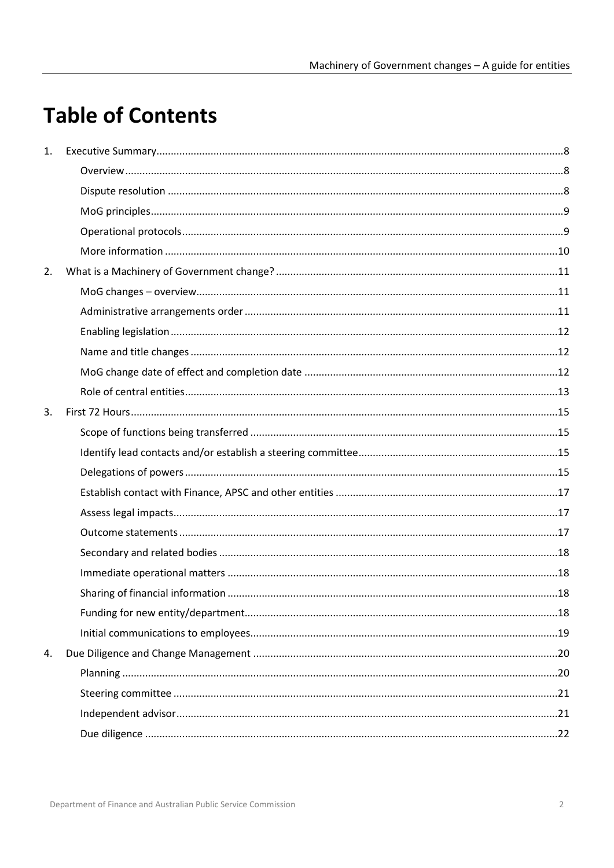# **Table of Contents**

| 1. |  |
|----|--|
|    |  |
|    |  |
|    |  |
|    |  |
|    |  |
| 2. |  |
|    |  |
|    |  |
|    |  |
|    |  |
|    |  |
|    |  |
| 3. |  |
|    |  |
|    |  |
|    |  |
|    |  |
|    |  |
|    |  |
|    |  |
|    |  |
|    |  |
|    |  |
|    |  |
| 4. |  |
|    |  |
|    |  |
|    |  |
|    |  |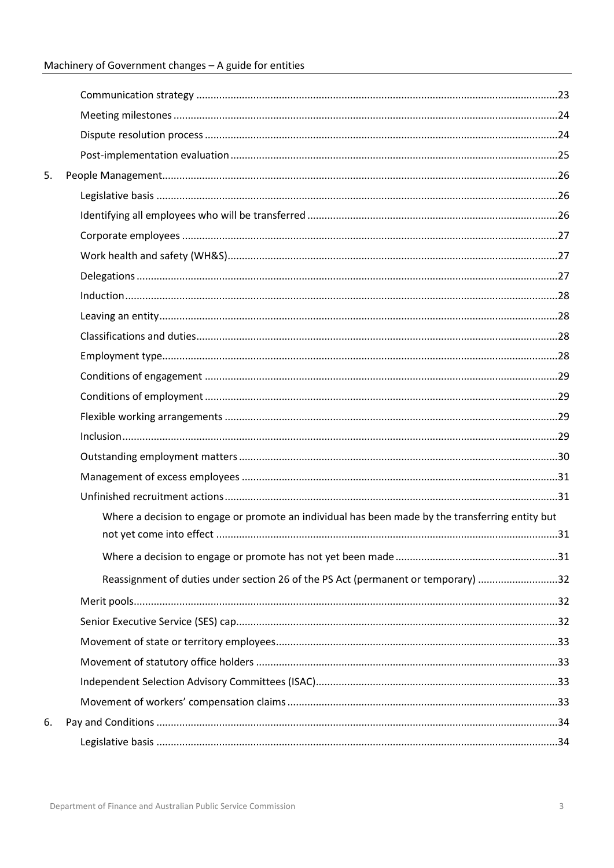| 5. |                                                                                                  |  |
|----|--------------------------------------------------------------------------------------------------|--|
|    |                                                                                                  |  |
|    |                                                                                                  |  |
|    |                                                                                                  |  |
|    |                                                                                                  |  |
|    |                                                                                                  |  |
|    |                                                                                                  |  |
|    |                                                                                                  |  |
|    |                                                                                                  |  |
|    |                                                                                                  |  |
|    |                                                                                                  |  |
|    |                                                                                                  |  |
|    |                                                                                                  |  |
|    |                                                                                                  |  |
|    |                                                                                                  |  |
|    |                                                                                                  |  |
|    |                                                                                                  |  |
|    | Where a decision to engage or promote an individual has been made by the transferring entity but |  |
|    |                                                                                                  |  |
|    | Reassignment of duties under section 26 of the PS Act (permanent or temporary) 32                |  |
|    |                                                                                                  |  |
|    |                                                                                                  |  |
|    |                                                                                                  |  |
|    |                                                                                                  |  |
|    |                                                                                                  |  |
|    |                                                                                                  |  |
| 6. |                                                                                                  |  |
|    |                                                                                                  |  |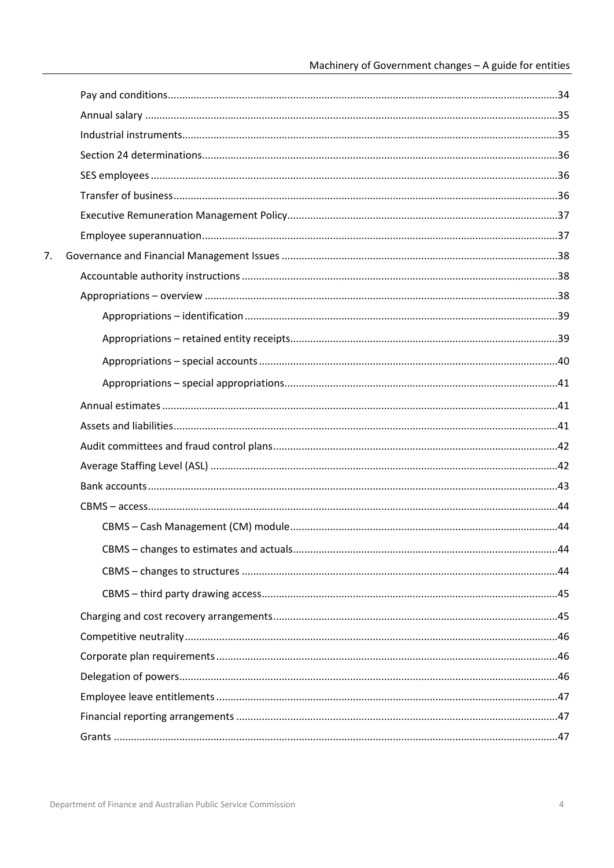| 7. |  |
|----|--|
|    |  |
|    |  |
|    |  |
|    |  |
|    |  |
|    |  |
|    |  |
|    |  |
|    |  |
|    |  |
|    |  |
|    |  |
|    |  |
|    |  |
|    |  |
|    |  |
|    |  |
|    |  |
|    |  |
|    |  |
|    |  |
|    |  |
|    |  |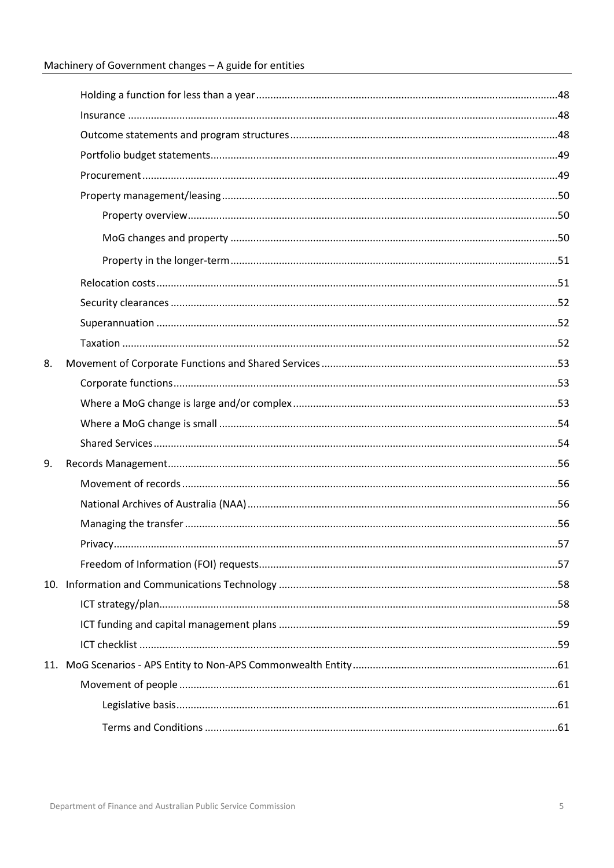| 8. |  |
|----|--|
|    |  |
|    |  |
|    |  |
|    |  |
| 9. |  |
|    |  |
|    |  |
|    |  |
|    |  |
|    |  |
|    |  |
|    |  |
|    |  |
|    |  |
|    |  |
|    |  |
|    |  |
|    |  |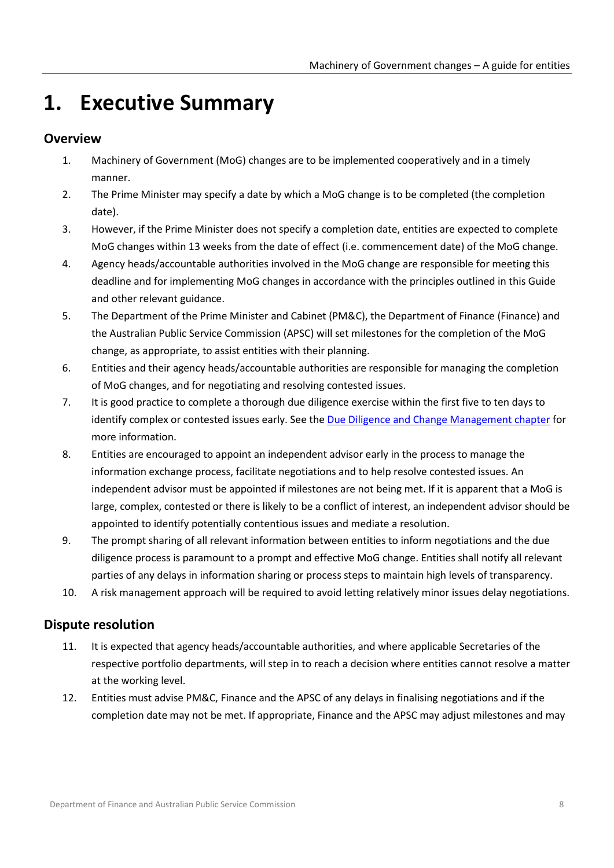# <span id="page-7-0"></span>**1. Executive Summary**

## <span id="page-7-1"></span>**Overview**

- 1. Machinery of Government (MoG) changes are to be implemented cooperatively and in a timely manner.
- 2. The Prime Minister may specify a date by which a MoG change is to be completed (the completion date).
- 3. However, if the Prime Minister does not specify a completion date, entities are expected to complete MoG changes within 13 weeks from the date of effect (i.e. commencement date) of the MoG change.
- 4. Agency heads/accountable authorities involved in the MoG change are responsible for meeting this deadline and for implementing MoG changes in accordance with the principles outlined in this Guide and other relevant guidance.
- 5. The Department of the Prime Minister and Cabinet (PM&C), the Department of Finance (Finance) and the Australian Public Service Commission (APSC) will set milestones for the completion of the MoG change, as appropriate, to assist entities with their planning.
- 6. Entities and their agency heads/accountable authorities are responsible for managing the completion of MoG changes, and for negotiating and resolving contested issues.
- 7. It is good practice to complete a thorough due diligence exercise within the first five to ten days to identify complex or contested issues early. See the [Due Diligence and Change Management chapter](#page-19-0) for more information.
- 8. Entities are encouraged to appoint an independent advisor early in the process to manage the information exchange process, facilitate negotiations and to help resolve contested issues. An independent advisor must be appointed if milestones are not being met. If it is apparent that a MoG is large, complex, contested or there is likely to be a conflict of interest, an independent advisor should be appointed to identify potentially contentious issues and mediate a resolution.
- 9. The prompt sharing of all relevant information between entities to inform negotiations and the due diligence process is paramount to a prompt and effective MoG change. Entities shall notify all relevant parties of any delays in information sharing or process steps to maintain high levels of transparency.
- 10. A risk management approach will be required to avoid letting relatively minor issues delay negotiations.

## <span id="page-7-2"></span>**Dispute resolution**

- 11. It is expected that agency heads/accountable authorities, and where applicable Secretaries of the respective portfolio departments, will step in to reach a decision where entities cannot resolve a matter at the working level.
- 12. Entities must advise PM&C, Finance and the APSC of any delays in finalising negotiations and if the completion date may not be met. If appropriate, Finance and the APSC may adjust milestones and may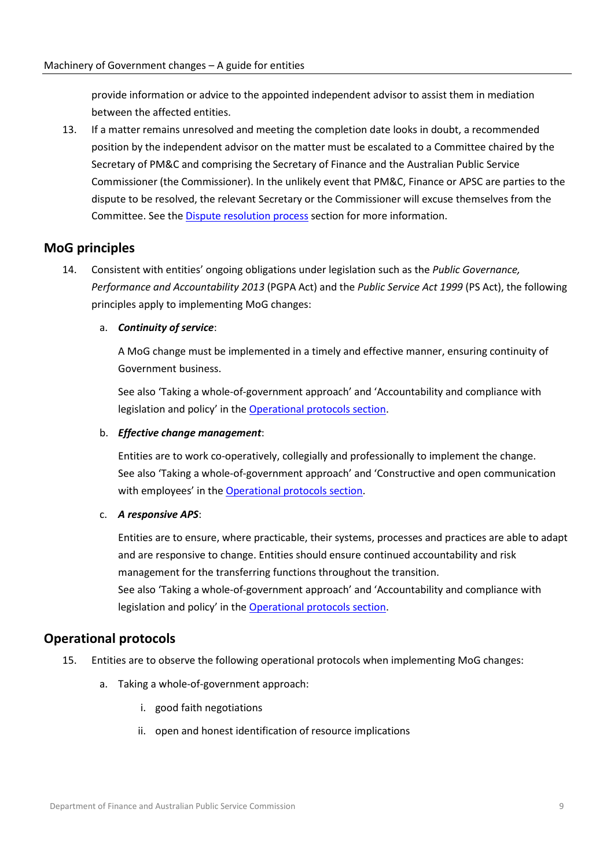provide information or advice to the appointed independent advisor to assist them in mediation between the affected entities.

13. If a matter remains unresolved and meeting the completion date looks in doubt, a recommended position by the independent advisor on the matter must be escalated to a Committee chaired by the Secretary of PM&C and comprising the Secretary of Finance and the Australian Public Service Commissioner (the Commissioner). In the unlikely event that PM&C, Finance or APSC are parties to the dispute to be resolved, the relevant Secretary or the Commissioner will excuse themselves from the Committee. See the [Dispute resolution process](#page-23-1) section for more information.

## <span id="page-8-0"></span>**MoG principles**

14. Consistent with entities' ongoing obligations under legislation such as the *Public Governance, Performance and Accountability 2013* (PGPA Act) and the *Public Service Act 1999* (PS Act), the following principles apply to implementing MoG changes:

## a. *Continuity of service*:

A MoG change must be implemented in a timely and effective manner, ensuring continuity of Government business.

See also 'Taking a whole-of-government approach' and 'Accountability and compliance with legislation and policy' in th[e Operational protocols section.](#page-8-1)

#### b. *Effective change management*:

Entities are to work co-operatively, collegially and professionally to implement the change. See also 'Taking a whole-of-government approach' and 'Constructive and open communication with employees' in the [Operational protocols section.](#page-8-1)

#### c. *A responsive APS*:

Entities are to ensure, where practicable, their systems, processes and practices are able to adapt and are responsive to change. Entities should ensure continued accountability and risk management for the transferring functions throughout the transition. See also 'Taking a whole-of-government approach' and 'Accountability and compliance with legislation and policy' in th[e Operational protocols section.](#page-8-1)

## <span id="page-8-1"></span>**Operational protocols**

- 15. Entities are to observe the following operational protocols when implementing MoG changes:
	- a. Taking a whole-of-government approach:
		- i. good faith negotiations
		- ii. open and honest identification of resource implications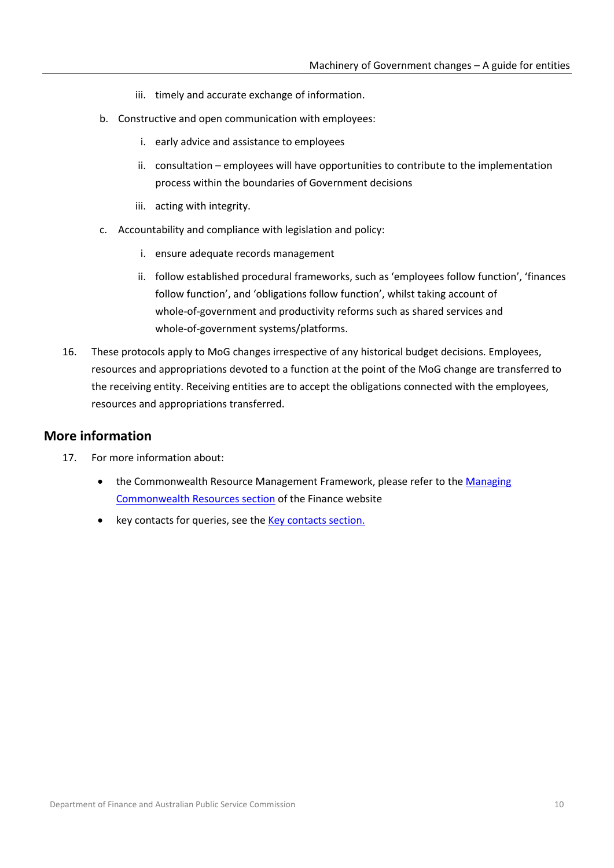- iii. timely and accurate exchange of information.
- b. Constructive and open communication with employees:
	- i. early advice and assistance to employees
	- ii. consultation employees will have opportunities to contribute to the implementation process within the boundaries of Government decisions
	- iii. acting with integrity.
- c. Accountability and compliance with legislation and policy:
	- i. ensure adequate records management
	- ii. follow established procedural frameworks, such as 'employees follow function', 'finances follow function', and 'obligations follow function', whilst taking account of whole-of-government and productivity reforms such as shared services and whole-of-government systems/platforms.
- 16. These protocols apply to MoG changes irrespective of any historical budget decisions. Employees, resources and appropriations devoted to a function at the point of the MoG change are transferred to the receiving entity. Receiving entities are to accept the obligations connected with the employees, resources and appropriations transferred.

#### <span id="page-9-0"></span>**More information**

- 17. For more information about:
	- the Commonwealth Resource Management Framework, please refer to the Managing [Commonwealth Resources](https://www.finance.gov.au/government/managing-commonwealth-resources) section of the Finance website
	- key contacts for queries, see the [Key contacts section.](#page-71-0)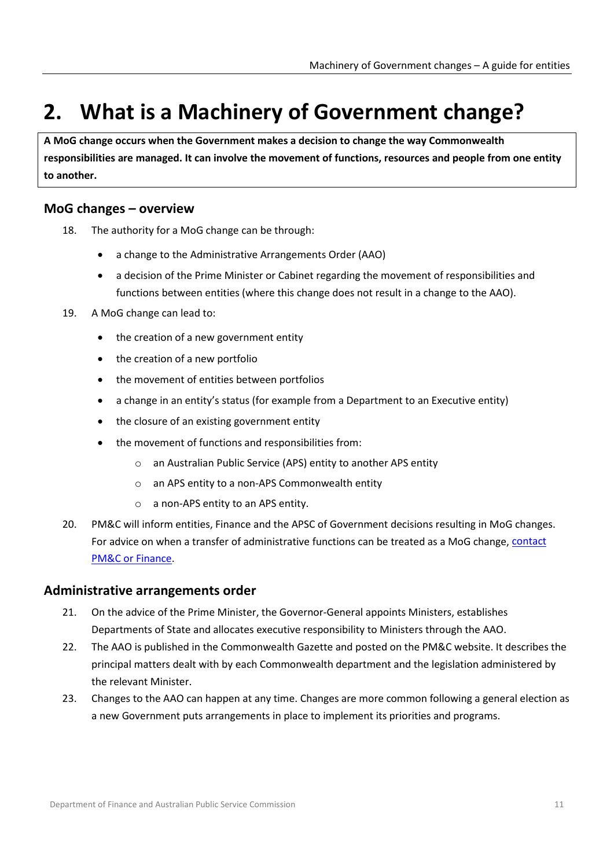# <span id="page-10-0"></span>**2. What is a Machinery of Government change?**

**A MoG change occurs when the Government makes a decision to change the way Commonwealth responsibilities are managed. It can involve the movement of functions, resources and people from one entity to another.**

## <span id="page-10-1"></span>**MoG changes – overview**

- 18. The authority for a MoG change can be through:
	- a change to the Administrative Arrangements Order (AAO)
	- a decision of the Prime Minister or Cabinet regarding the movement of responsibilities and functions between entities (where this change does not result in a change to the AAO).
- 19. A MoG change can lead to:
	- the creation of a new government entity
	- the creation of a new portfolio
	- the movement of entities between portfolios
	- a change in an entity's status (for example from a Department to an Executive entity)
	- the closure of an existing government entity
	- the movement of functions and responsibilities from:
		- o an Australian Public Service (APS) entity to another APS entity
		- o an APS entity to a non-APS Commonwealth entity
		- o a non-APS entity to an APS entity.
- 20. PM&C will inform entities, Finance and the APSC of Government decisions resulting in MoG changes. For advice on when a transfer of administrative functions can be treated as a MoG change, [contact](#page-71-0)  [PM&C or Finance.](#page-71-0)

#### <span id="page-10-2"></span>**Administrative arrangements order**

- 21. On the advice of the Prime Minister, the Governor-General appoints Ministers, establishes Departments of State and allocates executive responsibility to Ministers through the AAO.
- 22. The AAO is published in the Commonwealth Gazette and posted on the PM&C website. It describes the principal matters dealt with by each Commonwealth department and the legislation administered by the relevant Minister.
- 23. Changes to the AAO can happen at any time. Changes are more common following a general election as a new Government puts arrangements in place to implement its priorities and programs.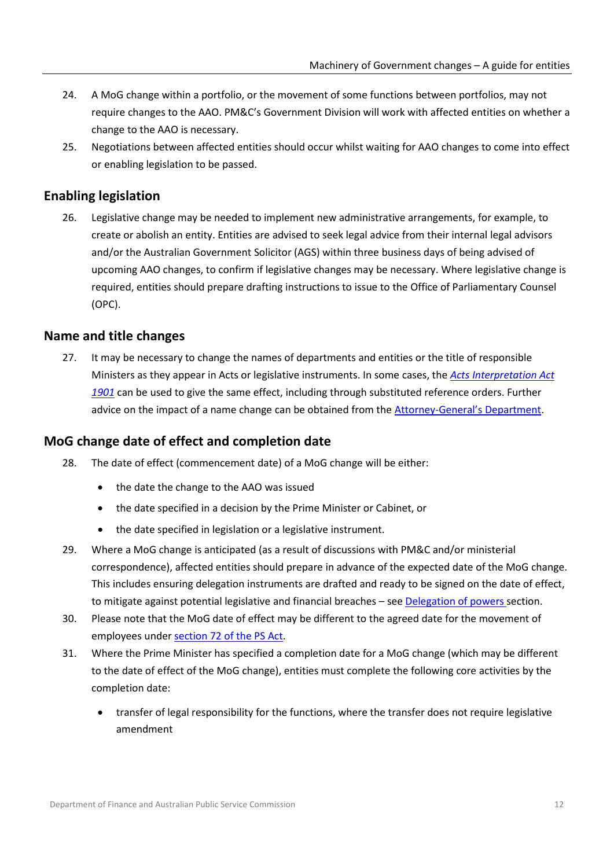- 24. A MoG change within a portfolio, or the movement of some functions between portfolios, may not require changes to the AAO. PM&C's Government Division will work with affected entities on whether a change to the AAO is necessary.
- 25. Negotiations between affected entities should occur whilst waiting for AAO changes to come into effect or enabling legislation to be passed.

## <span id="page-11-0"></span>**Enabling legislation**

26. Legislative change may be needed to implement new administrative arrangements, for example, to create or abolish an entity. Entities are advised to seek legal advice from their internal legal advisors and/or the Australian Government Solicitor (AGS) within three business days of being advised of upcoming AAO changes, to confirm if legislative changes may be necessary. Where legislative change is required, entities should prepare drafting instructions to issue to the Office of Parliamentary Counsel (OPC).

## <span id="page-11-1"></span>**Name and title changes**

27. It may be necessary to change the names of departments and entities or the title of responsible Ministers as they appear in Acts or legislative instruments. In some cases, the *[Acts Interpretation Act](https://www.legislation.gov.au/Series/C1901A00002)  [1901](https://www.legislation.gov.au/Series/C1901A00002)* can be used to give the same effect, including through substituted reference orders. Further advice on the impact of a name change can be obtained from th[e Attorney-General's Department.](#page-71-0)

## <span id="page-11-2"></span>**MoG change date of effect and completion date**

- 28. The date of effect (commencement date) of a MoG change will be either:
	- the date the change to the AAO was issued
	- the date specified in a decision by the Prime Minister or Cabinet, or
	- the date specified in legislation or a legislative instrument.
- 29. Where a MoG change is anticipated (as a result of discussions with PM&C and/or ministerial correspondence), affected entities should prepare in advance of the expected date of the MoG change. This includes ensuring delegation instruments are drafted and ready to be signed on the date of effect, to mitigate against potential legislative and financial breaches – see [Delegation of powers s](#page-45-2)ection.
- 30. Please note that the MoG date of effect may be different to the agreed date for the movement of employees under [section 72 of the PS Act.](https://www.legislation.gov.au/Series/C2004A00538)
- 31. Where the Prime Minister has specified a completion date for a MoG change (which may be different to the date of effect of the MoG change), entities must complete the following core activities by the completion date:
	- transfer of legal responsibility for the functions, where the transfer does not require legislative amendment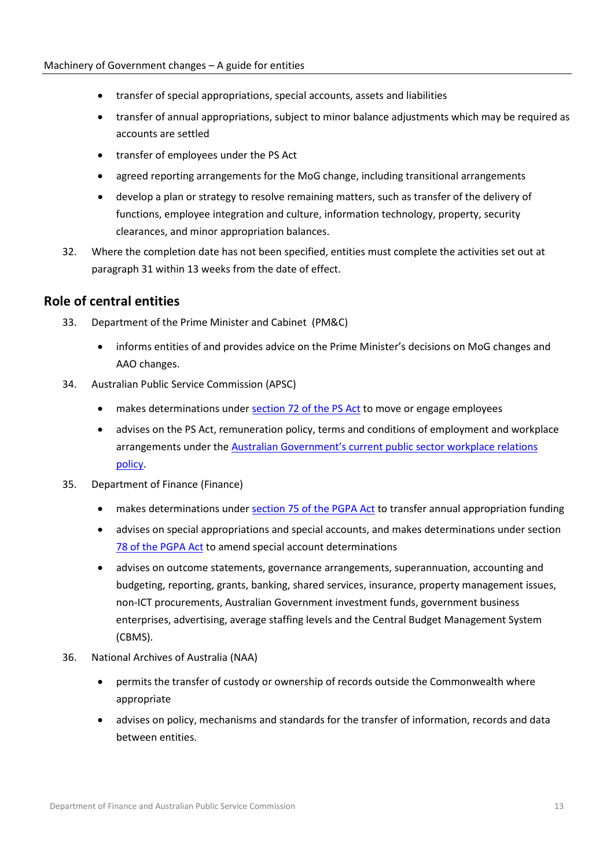- transfer of special appropriations, special accounts, assets and liabilities
- transfer of annual appropriations, subject to minor balance adjustments which may be required as accounts are settled
- transfer of employees under the PS Act
- agreed reporting arrangements for the MoG change, including transitional arrangements
- develop a plan or strategy to resolve remaining matters, such as transfer of the delivery of functions, employee integration and culture, information technology, property, security clearances, and minor appropriation balances.
- 32. Where the completion date has not been specified, entities must complete the activities set out at paragraph 31 within 13 weeks from the date of effect.

## <span id="page-12-0"></span>**Role of central entities**

- 33. Department of the Prime Minister and Cabinet (PM&C)
	- informs entities of and provides advice on the Prime Minister's decisions on MoG changes and AAO changes.
- 34. Australian Public Service Commission (APSC)
	- makes determinations under section [72 of the PS Act](https://www.legislation.gov.au/Series/C2004A00538) to move or engage employees
	- advises on the PS Act, remuneration policy, terms and conditions of employment and workplace arrangements under the [Australian Government's current public sector workplace relations](https://www.apsc.gov.au/initiatives-and-programs/workplace-relations)  [policy.](https://www.apsc.gov.au/initiatives-and-programs/workplace-relations)
- 35. Department of Finance (Finance)
	- makes determinations under section [75 of the PGPA](https://www.legislation.gov.au/Series/C2013A00123) Act to transfer annual appropriation funding
	- advises on special appropriations and special accounts, and makes determinations under section [78 of the PGPA Act](https://www.legislation.gov.au/Series/C2013A00123) to amend special account determinations
	- advises on outcome statements, governance arrangements, superannuation, accounting and budgeting, reporting, grants, banking, shared services, insurance, property management issues, non-ICT procurements, Australian Government investment funds, government business enterprises, advertising, average staffing levels and the Central Budget Management System (CBMS).
- 36. National Archives of Australia (NAA)
	- permits the transfer of custody or ownership of records outside the Commonwealth where appropriate
	- advises on policy, mechanisms and standards for the transfer of information, records and data between entities.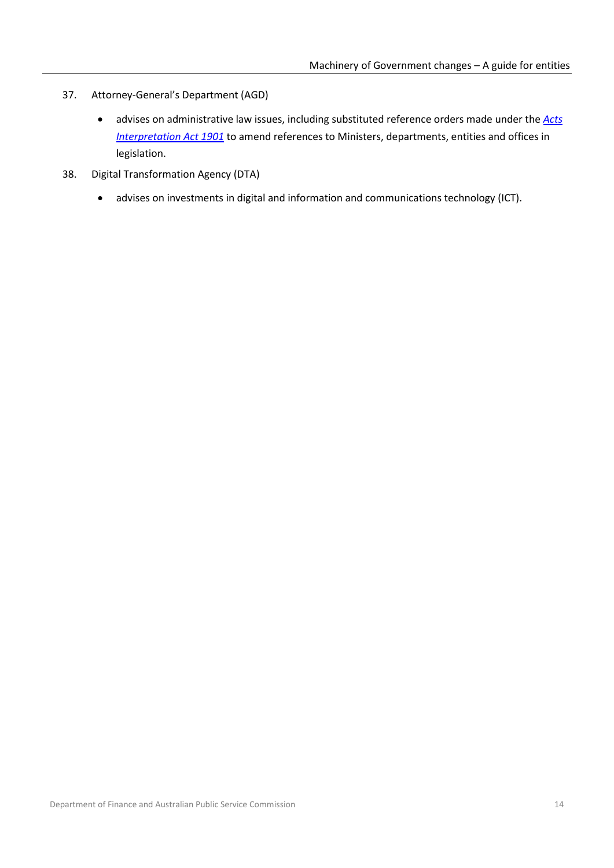- 37. Attorney-General's Department (AGD)
	- advises on administrative law issues, including substituted reference orders made under the *[Acts](https://www.legislation.gov.au/Series/C1901A00002)  [Interpretation Act 1901](https://www.legislation.gov.au/Series/C1901A00002)* to amend references to Ministers, departments, entities and offices in legislation.
- 38. Digital Transformation Agency (DTA)
	- advises on investments in digital and information and communications technology (ICT).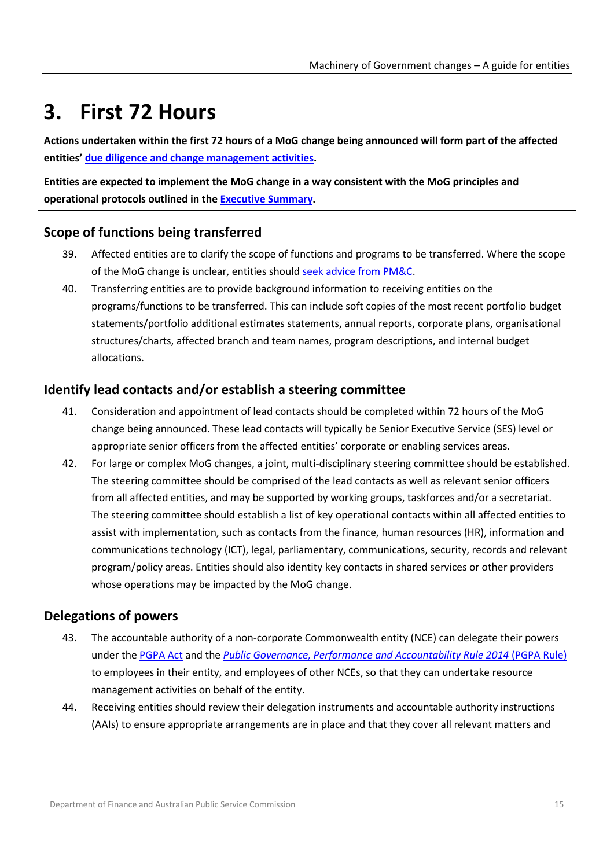# <span id="page-14-0"></span>**3. First 72 Hours**

**Actions undertaken within the first 72 hours of a MoG change being announced will form part of the affected entities' [due diligence and change management activities.](#page-19-0)** 

**Entities are expected to implement the MoG change in a way consistent with the MoG principles and operational protocols outlined in th[e Executive Summary.](#page-8-0)** 

# <span id="page-14-1"></span>**Scope of functions being transferred**

- 39. Affected entities are to clarify the scope of functions and programs to be transferred. Where the scope of the MoG change is unclear, entities should [seek advice from PM&C.](#page-71-0)
- 40. Transferring entities are to provide background information to receiving entities on the programs/functions to be transferred. This can include soft copies of the most recent portfolio budget statements/portfolio additional estimates statements, annual reports, corporate plans, organisational structures/charts, affected branch and team names, program descriptions, and internal budget allocations.

# <span id="page-14-2"></span>**Identify lead contacts and/or establish a steering committee**

- 41. Consideration and appointment of lead contacts should be completed within 72 hours of the MoG change being announced. These lead contacts will typically be Senior Executive Service (SES) level or appropriate senior officers from the affected entities' corporate or enabling services areas.
- 42. For large or complex MoG changes, a joint, multi-disciplinary steering committee should be established. The steering committee should be comprised of the lead contacts as well as relevant senior officers from all affected entities, and may be supported by working groups, taskforces and/or a secretariat. The steering committee should establish a list of key operational contacts within all affected entities to assist with implementation, such as contacts from the finance, human resources (HR), information and communications technology (ICT), legal, parliamentary, communications, security, records and relevant program/policy areas. Entities should also identity key contacts in shared services or other providers whose operations may be impacted by the MoG change.

## <span id="page-14-3"></span>**Delegations of powers**

- 43. The accountable authority of a non-corporate Commonwealth entity (NCE) can delegate their powers under the [PGPA](https://www.legislation.gov.au/Series/C2013A00123) Act and the *[Public Governance, Performance and Accountability Rule](https://www.legislation.gov.au/Series/F2014L00911) 2014* (PGPA Rule) to employees in their entity, and employees of other NCEs, so that they can undertake resource management activities on behalf of the entity.
- 44. Receiving entities should review their delegation instruments and accountable authority instructions (AAIs) to ensure appropriate arrangements are in place and that they cover all relevant matters and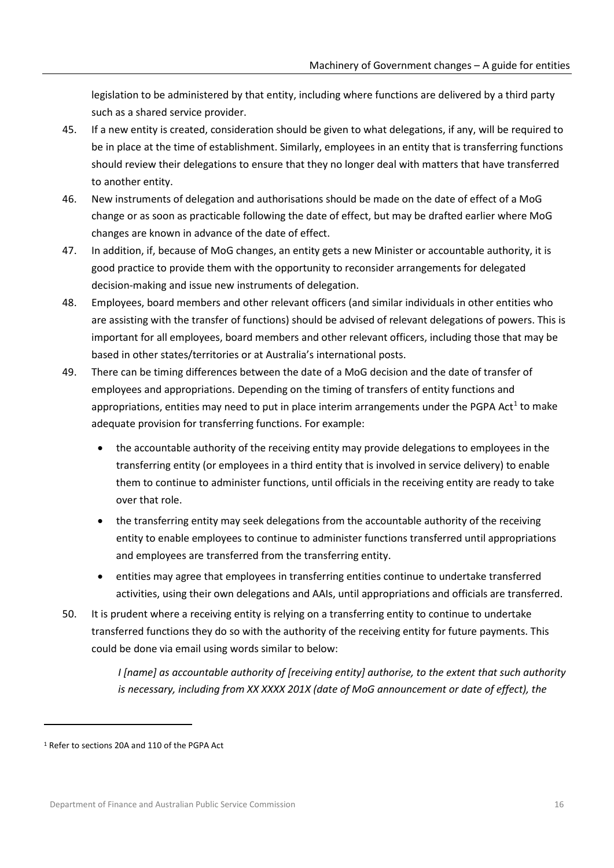legislation to be administered by that entity, including where functions are delivered by a third party such as a shared service provider.

- 45. If a new entity is created, consideration should be given to what delegations, if any, will be required to be in place at the time of establishment. Similarly, employees in an entity that is transferring functions should review their delegations to ensure that they no longer deal with matters that have transferred to another entity.
- 46. New instruments of delegation and authorisations should be made on the date of effect of a MoG change or as soon as practicable following the date of effect, but may be drafted earlier where MoG changes are known in advance of the date of effect.
- 47. In addition, if, because of MoG changes, an entity gets a new Minister or accountable authority, it is good practice to provide them with the opportunity to reconsider arrangements for delegated decision-making and issue new instruments of delegation.
- 48. Employees, board members and other relevant officers (and similar individuals in other entities who are assisting with the transfer of functions) should be advised of relevant delegations of powers. This is important for all employees, board members and other relevant officers, including those that may be based in other states/territories or at Australia's international posts.
- 49. There can be timing differences between the date of a MoG decision and the date of transfer of employees and appropriations. Depending on the timing of transfers of entity functions and appropriations, entities may need to put in place interim arrangements under the PGPA Act<sup>[1](#page-15-0)</sup> to make adequate provision for transferring functions. For example:
	- the accountable authority of the receiving entity may provide delegations to employees in the transferring entity (or employees in a third entity that is involved in service delivery) to enable them to continue to administer functions, until officials in the receiving entity are ready to take over that role.
	- the transferring entity may seek delegations from the accountable authority of the receiving entity to enable employees to continue to administer functions transferred until appropriations and employees are transferred from the transferring entity.
	- entities may agree that employees in transferring entities continue to undertake transferred activities, using their own delegations and AAIs, until appropriations and officials are transferred.
- 50. It is prudent where a receiving entity is relying on a transferring entity to continue to undertake transferred functions they do so with the authority of the receiving entity for future payments. This could be done via email using words similar to below:

*I [name] as accountable authority of [receiving entity] authorise, to the extent that such authority is necessary, including from XX XXXX 201X (date of MoG announcement or date of effect), the* 

l

<span id="page-15-0"></span><sup>1</sup> Refer to sections 20A and 110 of the PGPA Act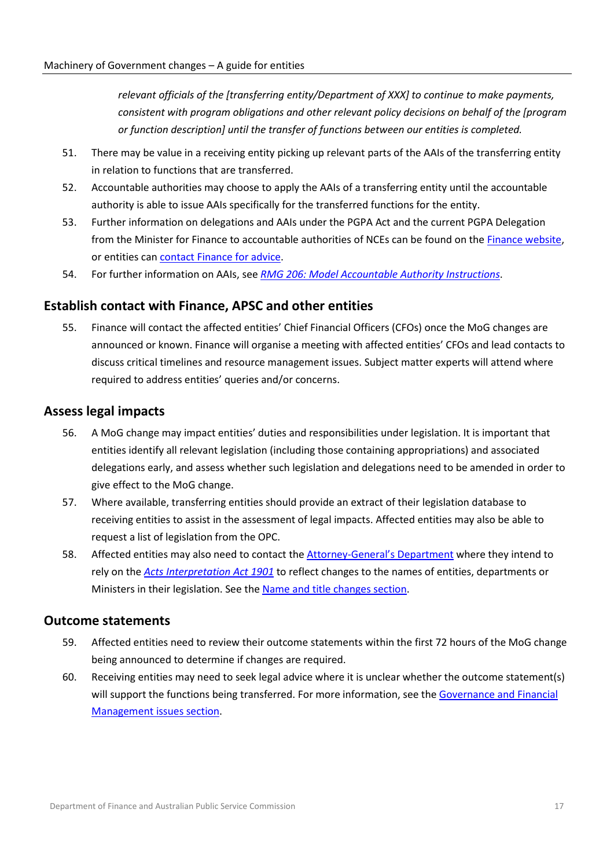*relevant officials of the [transferring entity/Department of XXX] to continue to make payments, consistent with program obligations and other relevant policy decisions on behalf of the [program or function description] until the transfer of functions between our entities is completed.*

- 51. There may be value in a receiving entity picking up relevant parts of the AAIs of the transferring entity in relation to functions that are transferred.
- 52. Accountable authorities may choose to apply the AAIs of a transferring entity until the accountable authority is able to issue AAIs specifically for the transferred functions for the entity.
- 53. Further information on delegations and AAIs under the PGPA Act and the current PGPA Delegation from the Minister for Finance to accountable authorities of NCEs can be found on the [Finance website,](https://www.finance.gov.au/government/managing-commonwealth-resources/pgpa-legislation-associated-instruments-and-policies) or entities can [contact Finance for advice.](#page-71-0)
- 54. For further information on AAIs, see *[RMG 206: Model Accountable Authority Instructions](https://www.finance.gov.au/government/managing-commonwealth-resources/managing-risk-internal-accountability/duties/risk-internal-controls/accountable-authority-instructions-aais-rmg-206)*.

## <span id="page-16-0"></span>**Establish contact with Finance, APSC and other entities**

55. Finance will contact the affected entities' Chief Financial Officers (CFOs) once the MoG changes are announced or known. Finance will organise a meeting with affected entities' CFOs and lead contacts to discuss critical timelines and resource management issues. Subject matter experts will attend where required to address entities' queries and/or concerns.

## <span id="page-16-1"></span>**Assess legal impacts**

- 56. A MoG change may impact entities' duties and responsibilities under legislation. It is important that entities identify all relevant legislation (including those containing appropriations) and associated delegations early, and assess whether such legislation and delegations need to be amended in order to give effect to the MoG change.
- 57. Where available, transferring entities should provide an extract of their legislation database to receiving entities to assist in the assessment of legal impacts. Affected entities may also be able to request a list of legislation from the OPC.
- 58. Affected entities may also need to contact th[e Attorney-General's Department](#page-71-0) where they intend to rely on the *[Acts Interpretation Act 1901](https://www.legislation.gov.au/Series/C1901A00002)* to reflect changes to the names of entities, departments or Ministers in their legislation. See th[e Name and title changes section.](#page-11-1)

#### <span id="page-16-2"></span>**Outcome statements**

- 59. Affected entities need to review their outcome statements within the first 72 hours of the MoG change being announced to determine if changes are required.
- 60. Receiving entities may need to seek legal advice where it is unclear whether the outcome statement(s) will support the functions being transferred. For more information, see the [Governance and Financial](#page-47-2)  [Management issues section.](#page-47-2)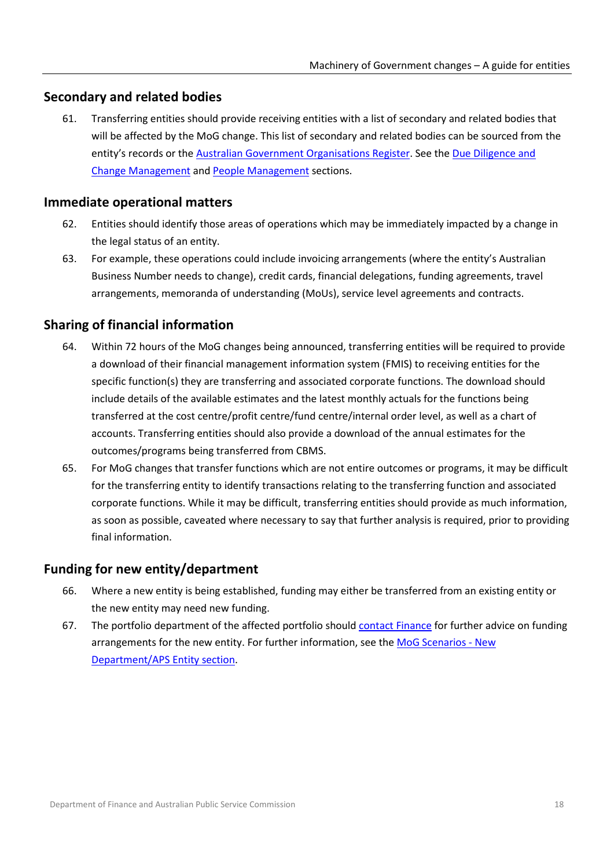## <span id="page-17-0"></span>**Secondary and related bodies**

61. Transferring entities should provide receiving entities with a list of secondary and related bodies that will be affected by the MoG change. This list of secondary and related bodies can be sourced from the entity's records or the [Australian Government Organisations Register.](https://www.directory.gov.au/reports/australian-government-organisations-register) See th[e Due Diligence and](#page-21-0)  [Change Management](#page-21-0) an[d People Management](#page-32-1) sections.

## <span id="page-17-1"></span>**Immediate operational matters**

- 62. Entities should identify those areas of operations which may be immediately impacted by a change in the legal status of an entity.
- 63. For example, these operations could include invoicing arrangements (where the entity's Australian Business Number needs to change), credit cards, financial delegations, funding agreements, travel arrangements, memoranda of understanding (MoUs), service level agreements and contracts.

# <span id="page-17-2"></span>**Sharing of financial information**

- 64. Within 72 hours of the MoG changes being announced, transferring entities will be required to provide a download of their financial management information system (FMIS) to receiving entities for the specific function(s) they are transferring and associated corporate functions. The download should include details of the available estimates and the latest monthly actuals for the functions being transferred at the cost centre/profit centre/fund centre/internal order level, as well as a chart of accounts. Transferring entities should also provide a download of the annual estimates for the outcomes/programs being transferred from CBMS.
- 65. For MoG changes that transfer functions which are not entire outcomes or programs, it may be difficult for the transferring entity to identify transactions relating to the transferring function and associated corporate functions. While it may be difficult, transferring entities should provide as much information, as soon as possible, caveated where necessary to say that further analysis is required, prior to providing final information.

## <span id="page-17-3"></span>**Funding for new entity/department**

- 66. Where a new entity is being established, funding may either be transferred from an existing entity or the new entity may need new funding.
- 67. The portfolio department of the affected portfolio should [contact Finance](#page-71-0) for further advice on funding arrangements for the new entity. For further information, see th[e MoG Scenarios -](#page-64-0) New [Department/APS Entity section.](#page-64-0)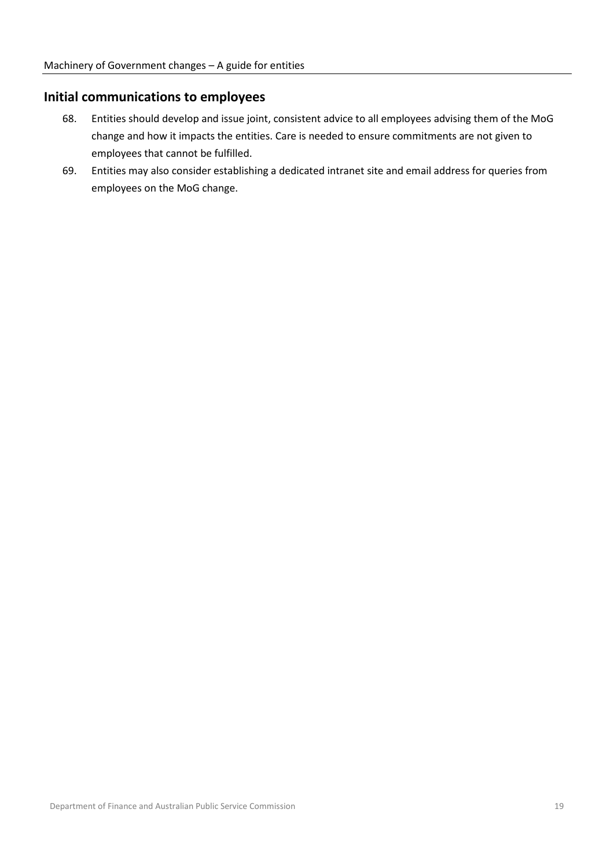## <span id="page-18-0"></span>**Initial communications to employees**

- 68. Entities should develop and issue joint, consistent advice to all employees advising them of the MoG change and how it impacts the entities. Care is needed to ensure commitments are not given to employees that cannot be fulfilled.
- 69. Entities may also consider establishing a dedicated intranet site and email address for queries from employees on the MoG change.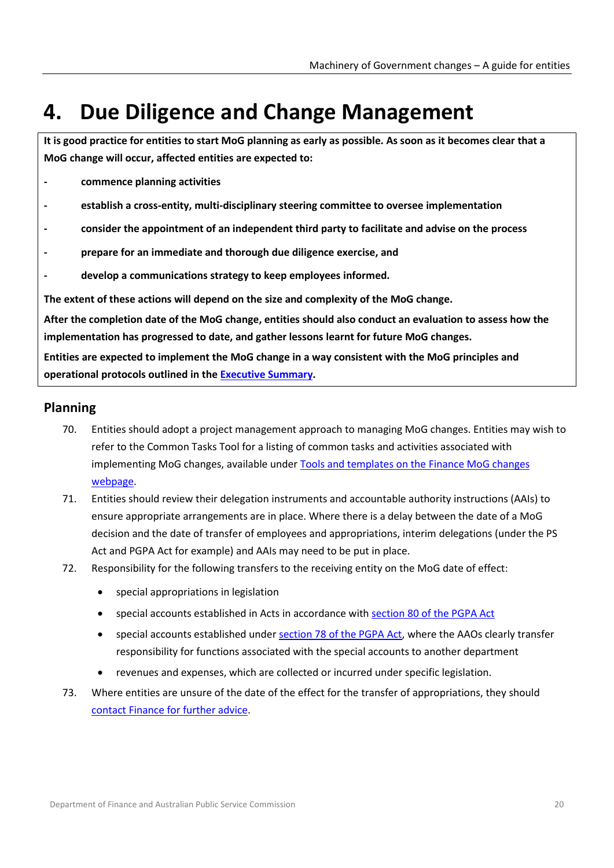# <span id="page-19-0"></span>**4. Due Diligence and Change Management**

**It is good practice for entities to start MoG planning as early as possible. As soon as it becomes clear that a MoG change will occur, affected entities are expected to:**

- **commence planning activities**
- **establish a cross-entity, multi-disciplinary steering committee to oversee implementation**
- **consider the appointment of an independent third party to facilitate and advise on the process**
- **prepare for an immediate and thorough due diligence exercise, and**
- **develop a communications strategy to keep employees informed.**

**The extent of these actions will depend on the size and complexity of the MoG change.** 

**After the completion date of the MoG change, entities should also conduct an evaluation to assess how the implementation has progressed to date, and gather lessons learnt for future MoG changes.** 

**Entities are expected to implement the MoG change in a way consistent with the MoG principles and operational protocols outlined in th[e Executive Summary.](#page-8-0)** 

## <span id="page-19-1"></span>**Planning**

- 70. Entities should adopt a project management approach to managing MoG changes. Entities may wish to refer to the Common Tasks Tool for a listing of common tasks and activities associated with implementing MoG changes, available under [Tools and templates on the Finance MoG changes](http://www.finance.gov.au/government/managing-commonwealth-resources/machinery-of-government-changes)  [webpage.](http://www.finance.gov.au/government/managing-commonwealth-resources/machinery-of-government-changes)
- 71. Entities should review their delegation instruments and accountable authority instructions (AAIs) to ensure appropriate arrangements are in place. Where there is a delay between the date of a MoG decision and the date of transfer of employees and appropriations, interim delegations (under the PS Act and PGPA Act for example) and AAIs may need to be put in place.
- 72. Responsibility for the following transfers to the receiving entity on the MoG date of effect:
	- special appropriations in legislation
	- special accounts established in Acts in accordance with section [80 of the PGPA](https://www.legislation.gov.au/Series/C2013A00123) Act
	- special accounts established unde[r section 78 of the PGPA Act,](https://www.legislation.gov.au/Series/C2013A00123) where the AAOs clearly transfer responsibility for functions associated with the special accounts to another department
	- revenues and expenses, which are collected or incurred under specific legislation.
- 73. Where entities are unsure of the date of the effect for the transfer of appropriations, they should [contact Finance for further advice.](#page-71-0)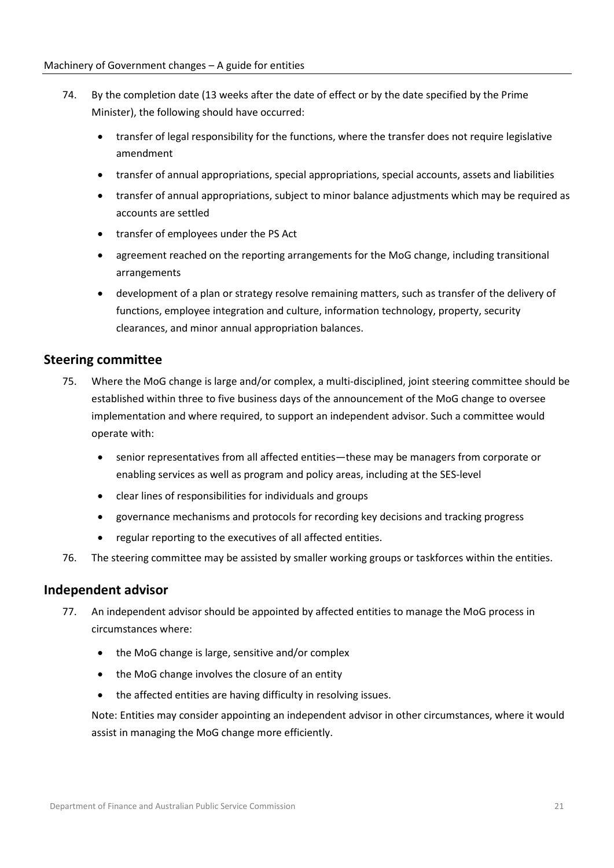- 74. By the completion date (13 weeks after the date of effect or by the date specified by the Prime Minister), the following should have occurred:
	- transfer of legal responsibility for the functions, where the transfer does not require legislative amendment
	- transfer of annual appropriations, special appropriations, special accounts, assets and liabilities
	- transfer of annual appropriations, subject to minor balance adjustments which may be required as accounts are settled
	- transfer of employees under the PS Act
	- agreement reached on the reporting arrangements for the MoG change, including transitional arrangements
	- development of a plan or strategy resolve remaining matters, such as transfer of the delivery of functions, employee integration and culture, information technology, property, security clearances, and minor annual appropriation balances.

## <span id="page-20-0"></span>**Steering committee**

- 75. Where the MoG change is large and/or complex, a multi-disciplined, joint steering committee should be established within three to five business days of the announcement of the MoG change to oversee implementation and where required, to support an independent advisor. Such a committee would operate with:
	- senior representatives from all affected entities—these may be managers from corporate or enabling services as well as program and policy areas, including at the SES-level
	- clear lines of responsibilities for individuals and groups
	- governance mechanisms and protocols for recording key decisions and tracking progress
	- regular reporting to the executives of all affected entities.
- 76. The steering committee may be assisted by smaller working groups or taskforces within the entities.

#### <span id="page-20-1"></span>**Independent advisor**

- 77. An independent advisor should be appointed by affected entities to manage the MoG process in circumstances where:
	- the MoG change is large, sensitive and/or complex
	- the MoG change involves the closure of an entity
	- the affected entities are having difficulty in resolving issues.

Note: Entities may consider appointing an independent advisor in other circumstances, where it would assist in managing the MoG change more efficiently.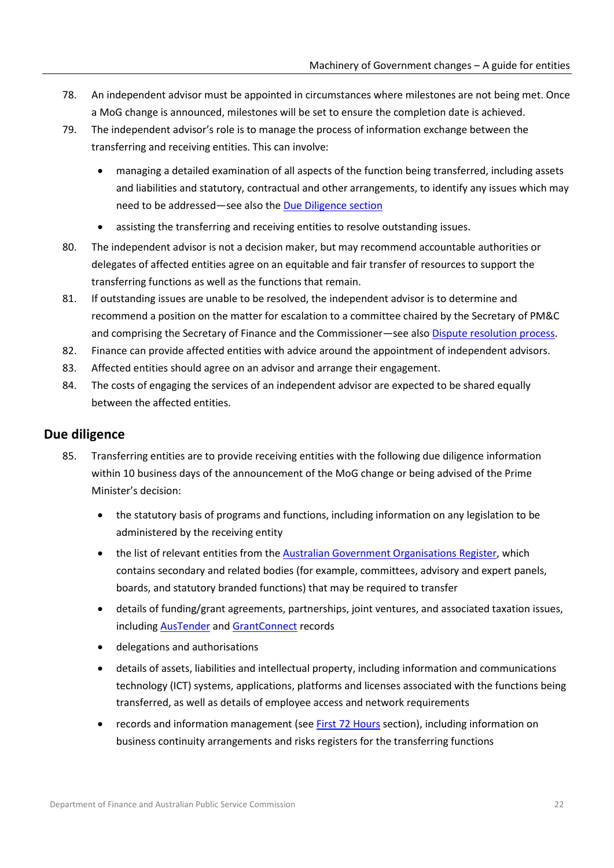- 78. An independent advisor must be appointed in circumstances where milestones are not being met. Once a MoG change is announced, milestones will be set to ensure the completion date is achieved.
- 79. The independent advisor's role is to manage the process of information exchange between the transferring and receiving entities. This can involve:
	- managing a detailed examination of all aspects of the function being transferred, including assets and liabilities and statutory, contractual and other arrangements, to identify any issues which may need to be addressed—see also the Due [Diligence](#page-21-0) section
	- assisting the transferring and receiving entities to resolve outstanding issues.
- 80. The independent advisor is not a decision maker, but may recommend accountable authorities or delegates of affected entities agree on an equitable and fair transfer of resources to support the transferring functions as well as the functions that remain.
- 81. If outstanding issues are unable to be resolved, the independent advisor is to determine and recommend a position on the matter for escalation to a committee chaired by the Secretary of PM&C and comprising the Secretary of Finance and the Commissioner—see also [Dispute resolution process.](#page-23-1)
- 82. Finance can provide affected entities with advice around the appointment of independent advisors.
- 83. Affected entities should agree on an advisor and arrange their engagement.
- 84. The costs of engaging the services of an independent advisor are expected to be shared equally between the affected entities.

## <span id="page-21-0"></span>**Due diligence**

- 85. Transferring entities are to provide receiving entities with the following due diligence information within 10 business days of the announcement of the MoG change or being advised of the Prime Minister's decision:
	- the statutory basis of programs and functions, including information on any legislation to be administered by the receiving entity
	- the list of relevant entities from the [Australian Government Organisations Register,](https://www.directory.gov.au/reports/australian-government-organisations-register) which contains secondary and related bodies (for example, committees, advisory and expert panels, boards, and statutory branded functions) that may be required to transfer
	- details of funding/grant agreements, partnerships, joint ventures, and associated taxation issues, includin[g AusTender](https://www.tenders.gov.au/) an[d GrantConnect](https://www.grants.gov.au/) records
	- delegations and authorisations
	- details of assets, liabilities and intellectual property, including information and communications technology (ICT) systems, applications, platforms and licenses associated with the functions being transferred, as well as details of employee access and network requirements
	- records and information management (see [First 72 Hours](#page-14-0) section), including information on business continuity arrangements and risks registers for the transferring functions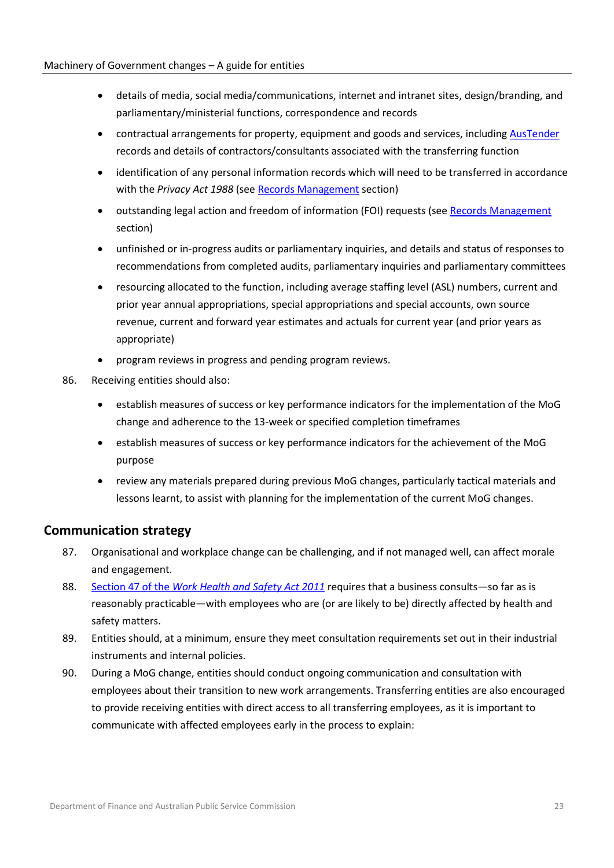- details of media, social media/communications, internet and intranet sites, design/branding, and parliamentary/ministerial functions, correspondence and records
- contractual arrangements for property, equipment and goods and services, including [AusTender](https://www.tenders.gov.au/) records and details of contractors/consultants associated with the transferring function
- identification of any personal information records which will need to be transferred in accordance with the *Privacy Act 1988* (see [Records Management](#page-55-0) section)
- outstanding legal action and freedom of information (FOI) requests (se[e Records Management](#page-55-0) section)
- unfinished or in-progress audits or parliamentary inquiries, and details and status of responses to recommendations from completed audits, parliamentary inquiries and parliamentary committees
- resourcing allocated to the function, including average staffing level (ASL) numbers, current and prior year annual appropriations, special appropriations and special accounts, own source revenue, current and forward year estimates and actuals for current year (and prior years as appropriate)
- program reviews in progress and pending program reviews.
- 86. Receiving entities should also:
	- establish measures of success or key performance indicators for the implementation of the MoG change and adherence to the 13-week or specified completion timeframes
	- establish measures of success or key performance indicators for the achievement of the MoG purpose
	- review any materials prepared during previous MoG changes, particularly tactical materials and lessons learnt, to assist with planning for the implementation of the current MoG changes.

## <span id="page-22-0"></span>**Communication strategy**

- 87. Organisational and workplace change can be challenging, and if not managed well, can affect morale and engagement.
- 88. Section 47 of the *[Work Health and Safety Act](https://www.legislation.gov.au/Series/C2011A00137) 2011* requires that a business consults—so far as is reasonably practicable—with employees who are (or are likely to be) directly affected by health and safety matters.
- 89. Entities should, at a minimum, ensure they meet consultation requirements set out in their industrial instruments and internal policies.
- 90. During a MoG change, entities should conduct ongoing communication and consultation with employees about their transition to new work arrangements. Transferring entities are also encouraged to provide receiving entities with direct access to all transferring employees, as it is important to communicate with affected employees early in the process to explain: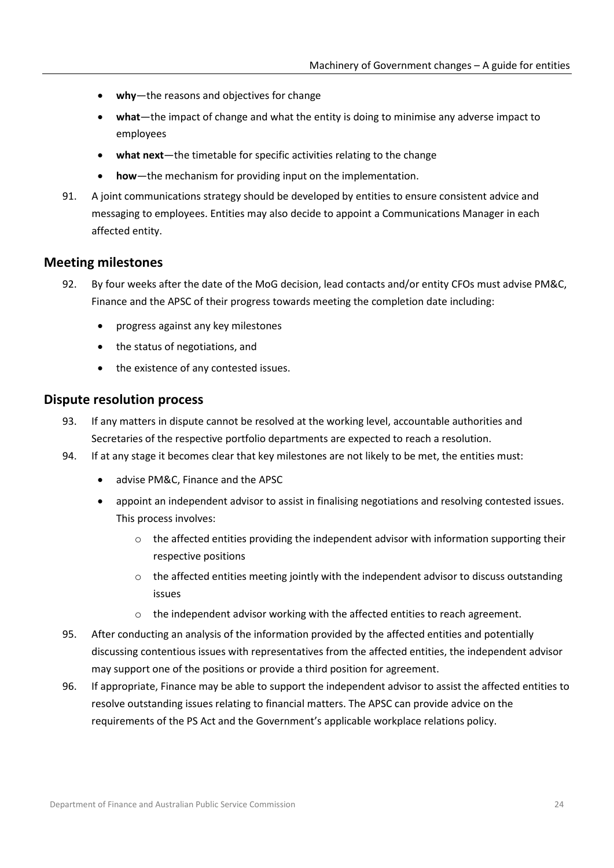- **why**—the reasons and objectives for change
- **what**—the impact of change and what the entity is doing to minimise any adverse impact to employees
- **what next**—the timetable for specific activities relating to the change
- **how**—the mechanism for providing input on the implementation.
- 91. A joint communications strategy should be developed by entities to ensure consistent advice and messaging to employees. Entities may also decide to appoint a Communications Manager in each affected entity.

## <span id="page-23-0"></span>**Meeting milestones**

- 92. By four weeks after the date of the MoG decision, lead contacts and/or entity CFOs must advise PM&C, Finance and the APSC of their progress towards meeting the completion date including:
	- progress against any key milestones
	- the status of negotiations, and
	- the existence of any contested issues.

## <span id="page-23-1"></span>**Dispute resolution process**

- 93. If any matters in dispute cannot be resolved at the working level, accountable authorities and Secretaries of the respective portfolio departments are expected to reach a resolution.
- 94. If at any stage it becomes clear that key milestones are not likely to be met, the entities must:
	- advise PM&C, Finance and the APSC
	- appoint an independent advisor to assist in finalising negotiations and resolving contested issues. This process involves:
		- $\circ$  the affected entities providing the independent advisor with information supporting their respective positions
		- $\circ$  the affected entities meeting jointly with the independent advisor to discuss outstanding issues
		- o the independent advisor working with the affected entities to reach agreement.
- 95. After conducting an analysis of the information provided by the affected entities and potentially discussing contentious issues with representatives from the affected entities, the independent advisor may support one of the positions or provide a third position for agreement.
- 96. If appropriate, Finance may be able to support the independent advisor to assist the affected entities to resolve outstanding issues relating to financial matters. The APSC can provide advice on the requirements of the PS Act and the Government's applicable workplace relations policy.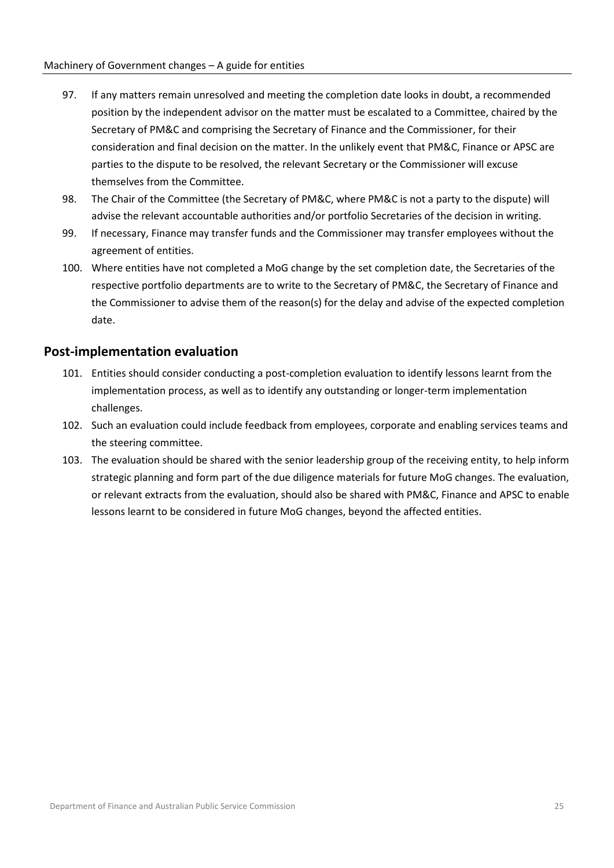- 97. If any matters remain unresolved and meeting the completion date looks in doubt, a recommended position by the independent advisor on the matter must be escalated to a Committee, chaired by the Secretary of PM&C and comprising the Secretary of Finance and the Commissioner, for their consideration and final decision on the matter. In the unlikely event that PM&C, Finance or APSC are parties to the dispute to be resolved, the relevant Secretary or the Commissioner will excuse themselves from the Committee.
- 98. The Chair of the Committee (the Secretary of PM&C, where PM&C is not a party to the dispute) will advise the relevant accountable authorities and/or portfolio Secretaries of the decision in writing.
- 99. If necessary, Finance may transfer funds and the Commissioner may transfer employees without the agreement of entities.
- 100. Where entities have not completed a MoG change by the set completion date, the Secretaries of the respective portfolio departments are to write to the Secretary of PM&C, the Secretary of Finance and the Commissioner to advise them of the reason(s) for the delay and advise of the expected completion date.

## <span id="page-24-0"></span>**Post-implementation evaluation**

- 101. Entities should consider conducting a post-completion evaluation to identify lessons learnt from the implementation process, as well as to identify any outstanding or longer-term implementation challenges.
- 102. Such an evaluation could include feedback from employees, corporate and enabling services teams and the steering committee.
- 103. The evaluation should be shared with the senior leadership group of the receiving entity, to help inform strategic planning and form part of the due diligence materials for future MoG changes. The evaluation, or relevant extracts from the evaluation, should also be shared with PM&C, Finance and APSC to enable lessons learnt to be considered in future MoG changes, beyond the affected entities.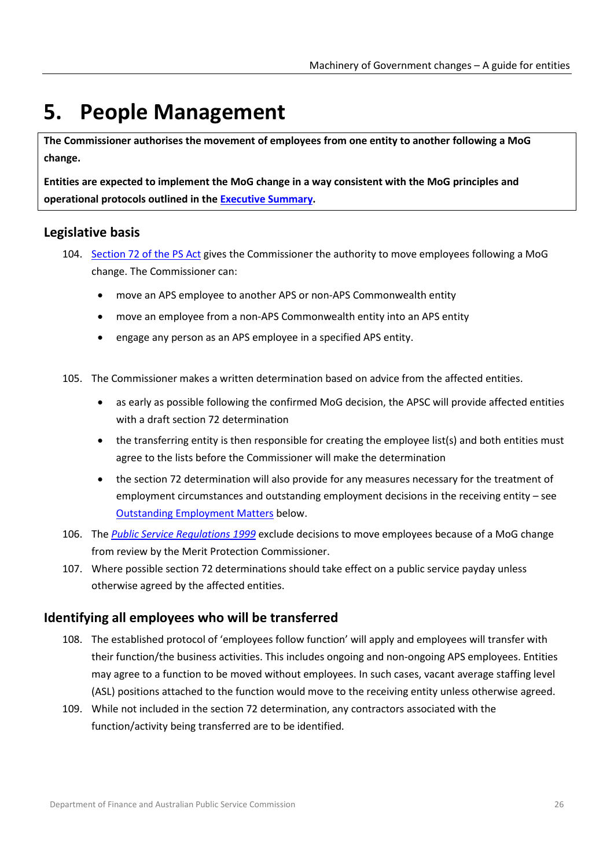# <span id="page-25-0"></span>**5. People Management**

**The Commissioner authorises the movement of employees from one entity to another following a MoG change.**

**Entities are expected to implement the MoG change in a way consistent with the MoG principles and operational protocols outlined in th[e Executive Summary.](#page-8-0)** 

## <span id="page-25-1"></span>**Legislative basis**

- 104. Section [72 of the PS](https://www.legislation.gov.au/Series/C2004A00538) Act gives the Commissioner the authority to move employees following a MoG change. The Commissioner can:
	- move an APS employee to another APS or non-APS Commonwealth entity
	- move an employee from a non-APS Commonwealth entity into an APS entity
	- engage any person as an APS employee in a specified APS entity.
- 105. The Commissioner makes a written determination based on advice from the affected entities.
	- as early as possible following the confirmed MoG decision, the APSC will provide affected entities with a draft section 72 determination
	- the transferring entity is then responsible for creating the employee list(s) and both entities must agree to the lists before the Commissioner will make the determination
	- the section 72 determination will also provide for any measures necessary for the treatment of employment circumstances and outstanding employment decisions in the receiving entity – see [Outstanding Employment Matters](#page-29-0) below.
- 106. The *[Public Service Regulations 1999](https://www.legislation.gov.au/Series/F1999B00307)* exclude decisions to move employees because of a MoG change from review by the Merit Protection Commissioner.
- 107. Where possible section 72 determinations should take effect on a public service payday unless otherwise agreed by the affected entities.

## <span id="page-25-2"></span>**Identifying all employees who will be transferred**

- 108. The established protocol of 'employees follow function' will apply and employees will transfer with their function/the business activities. This includes ongoing and non-ongoing APS employees. Entities may agree to a function to be moved without employees. In such cases, vacant average staffing level (ASL) positions attached to the function would move to the receiving entity unless otherwise agreed.
- 109. While not included in the section 72 determination, any contractors associated with the function/activity being transferred are to be identified.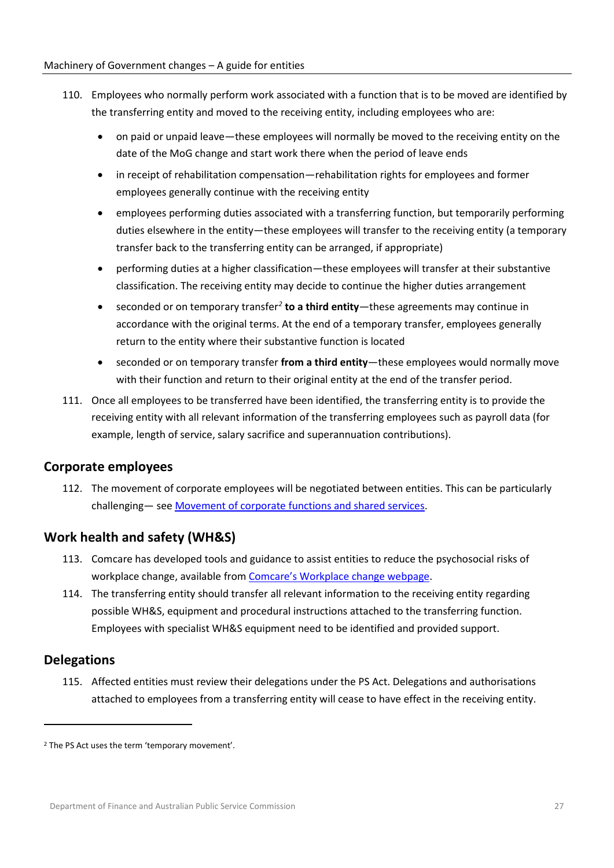- 110. Employees who normally perform work associated with a function that is to be moved are identified by the transferring entity and moved to the receiving entity, including employees who are:
	- on paid or unpaid leave—these employees will normally be moved to the receiving entity on the date of the MoG change and start work there when the period of leave ends
	- in receipt of rehabilitation compensation—rehabilitation rights for employees and former employees generally continue with the receiving entity
	- employees performing duties associated with a transferring function, but temporarily performing duties elsewhere in the entity—these employees will transfer to the receiving entity (a temporary transfer back to the transferring entity can be arranged, if appropriate)
	- performing duties at a higher classification—these employees will transfer at their substantive classification. The receiving entity may decide to continue the higher duties arrangement
	- seconded or on temporary transfer*[2](#page-26-3)* **to a third entity**—these agreements may continue in accordance with the original terms. At the end of a temporary transfer, employees generally return to the entity where their substantive function is located
	- seconded or on temporary transfer **from a third entity**—these employees would normally move with their function and return to their original entity at the end of the transfer period.
- 111. Once all employees to be transferred have been identified, the transferring entity is to provide the receiving entity with all relevant information of the transferring employees such as payroll data (for example, length of service, salary sacrifice and superannuation contributions).

# <span id="page-26-0"></span>**Corporate employees**

112. The movement of corporate employees will be negotiated between entities. This can be particularly challenging— se[e Movement of corporate functions and shared services.](#page-52-0)

# <span id="page-26-1"></span>**Work health and safety (WH&S)**

- 113. Comcare has developed tools and guidance to assist entities to reduce the psychosocial risks of workplace change, available from Comcare's [Workplace change webpage.](https://www.comcare.gov.au/safe-healthy-work/prevent-harm/psychosocial-hazards)
- 114. The transferring entity should transfer all relevant information to the receiving entity regarding possible WH&S, equipment and procedural instructions attached to the transferring function. Employees with specialist WH&S equipment need to be identified and provided support.

# <span id="page-26-2"></span>**Delegations**

l

115. Affected entities must review their delegations under the PS Act. Delegations and authorisations attached to employees from a transferring entity will cease to have effect in the receiving entity.

<span id="page-26-3"></span><sup>&</sup>lt;sup>2</sup> The PS Act uses the term 'temporary movement'.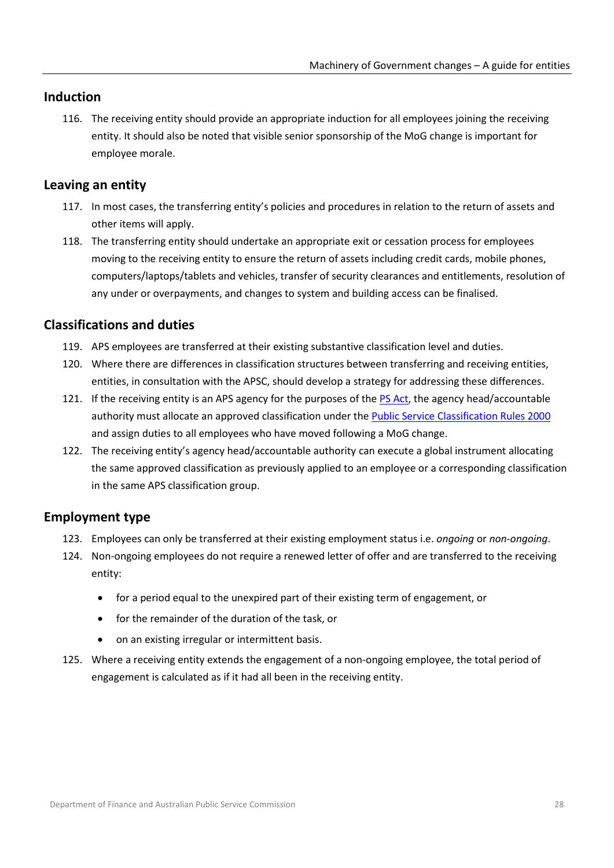## <span id="page-27-0"></span>**Induction**

116. The receiving entity should provide an appropriate induction for all employees joining the receiving entity. It should also be noted that visible senior sponsorship of the MoG change is important for employee morale.

## <span id="page-27-1"></span>**Leaving an entity**

- 117. In most cases, the transferring entity's policies and procedures in relation to the return of assets and other items will apply.
- 118. The transferring entity should undertake an appropriate exit or cessation process for employees moving to the receiving entity to ensure the return of assets including credit cards, mobile phones, computers/laptops/tablets and vehicles, transfer of security clearances and entitlements, resolution of any under or overpayments, and changes to system and building access can be finalised.

## <span id="page-27-2"></span>**Classifications and duties**

- 119. APS employees are transferred at their existing substantive classification level and duties.
- 120. Where there are differences in classification structures between transferring and receiving entities, entities, in consultation with the APSC, should develop a strategy for addressing these differences.
- 121. If the receiving entity is an APS agency for the purposes of the [PS Act,](https://www.legislation.gov.au/Series/C2004A00538) the agency head/accountable authority must allocate an approved classification under the **Public Service Classification Rules 2000** and assign duties to all employees who have moved following a MoG change.
- 122. The receiving entity's agency head/accountable authority can execute a global instrument allocating the same approved classification as previously applied to an employee or a corresponding classification in the same APS classification group.

## <span id="page-27-3"></span>**Employment type**

- 123. Employees can only be transferred at their existing employment status i.e. *ongoing* or *non-ongoing*.
- 124. Non-ongoing employees do not require a renewed letter of offer and are transferred to the receiving entity:
	- for a period equal to the unexpired part of their existing term of engagement, or
	- for the remainder of the duration of the task, or
	- on an existing irregular or intermittent basis.
- 125. Where a receiving entity extends the engagement of a non-ongoing employee, the total period of engagement is calculated as if it had all been in the receiving entity.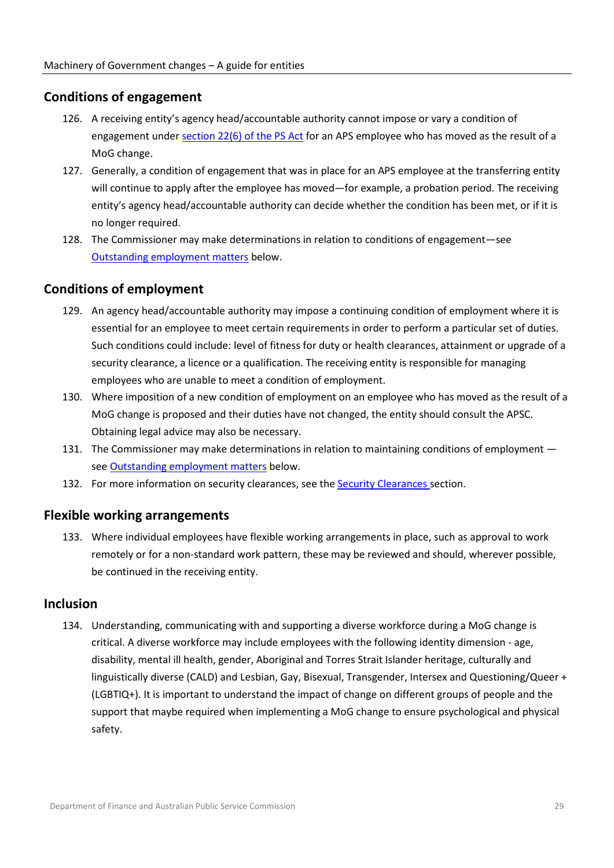## <span id="page-28-0"></span>**Conditions of engagement**

- 126. A receiving entity's agency head/accountable authority cannot impose or vary a condition of engagement under section [22\(6\) of the PS](https://www.legislation.gov.au/Series/C2004A00538) Act for an APS employee who has moved as the result of a MoG change.
- 127. Generally, a condition of engagement that was in place for an APS employee at the transferring entity will continue to apply after the employee has moved—for example, a probation period. The receiving entity's agency head/accountable authority can decide whether the condition has been met, or if it is no longer required.
- 128. The Commissioner may make determinations in relation to conditions of engagement—see [Outstanding employment matters](#page-29-0) below.

## <span id="page-28-1"></span>**Conditions of employment**

- 129. An agency head/accountable authority may impose a continuing condition of employment where it is essential for an employee to meet certain requirements in order to perform a particular set of duties. Such conditions could include: level of fitness for duty or health clearances, attainment or upgrade of a security clearance, a licence or a qualification. The receiving entity is responsible for managing employees who are unable to meet a condition of employment.
- 130. Where imposition of a new condition of employment on an employee who has moved as the result of a MoG change is proposed and their duties have not changed, the entity should consult the APSC. Obtaining legal advice may also be necessary.
- 131. The Commissioner may make determinations in relation to maintaining conditions of employment se[e Outstanding employment matters](#page-29-0) below.
- 132. For more information on security clearances, see th[e Security Clearances s](#page-51-0)ection.

#### <span id="page-28-2"></span>**Flexible working arrangements**

133. Where individual employees have flexible working arrangements in place, such as approval to work remotely or for a non-standard work pattern, these may be reviewed and should, wherever possible, be continued in the receiving entity.

## <span id="page-28-3"></span>**Inclusion**

134. Understanding, communicating with and supporting a diverse workforce during a MoG change is critical. A diverse workforce may include employees with the following identity dimension - age, disability, mental ill health, gender, Aboriginal and Torres Strait Islander heritage, culturally and linguistically diverse (CALD) and Lesbian, Gay, Bisexual, Transgender, Intersex and Questioning/Queer + (LGBTIQ+). It is important to understand the impact of change on different groups of people and the support that maybe required when implementing a MoG change to ensure psychological and physical safety.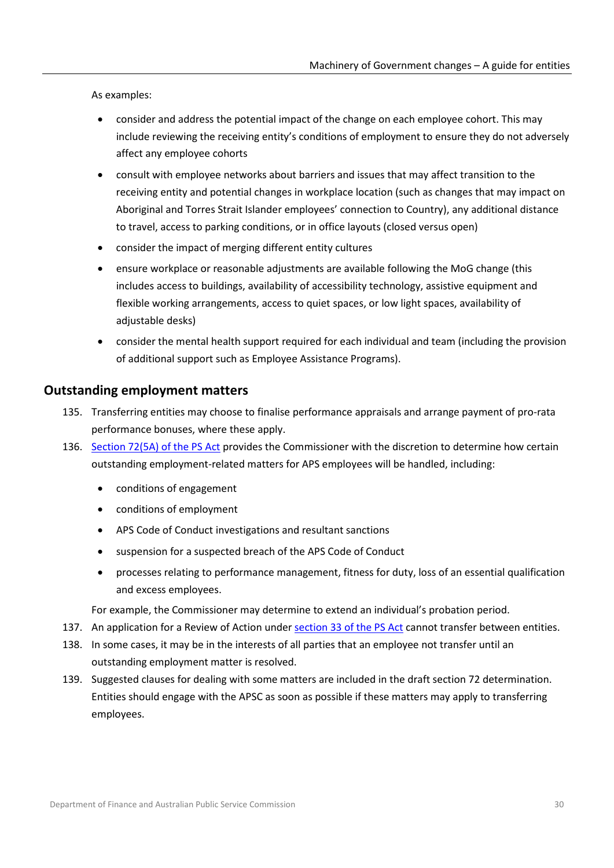As examples:

- consider and address the potential impact of the change on each employee cohort. This may include reviewing the receiving entity's conditions of employment to ensure they do not adversely affect any employee cohorts
- consult with employee networks about barriers and issues that may affect transition to the receiving entity and potential changes in workplace location (such as changes that may impact on Aboriginal and Torres Strait Islander employees' connection to Country), any additional distance to travel, access to parking conditions, or in office layouts (closed versus open)
- consider the impact of merging different entity cultures
- ensure workplace or reasonable adjustments are available following the MoG change (this includes access to buildings, availability of accessibility technology, assistive equipment and flexible working arrangements, access to quiet spaces, or low light spaces, availability of adjustable desks)
- consider the mental health support required for each individual and team (including the provision of additional support such as Employee Assistance Programs).

## <span id="page-29-0"></span>**Outstanding employment matters**

- 135. Transferring entities may choose to finalise performance appraisals and arrange payment of pro-rata performance bonuses, where these apply.
- 136. Section [72\(5A\) of the PS](https://www.legislation.gov.au/Series/C2004A00538) Act provides the Commissioner with the discretion to determine how certain outstanding employment-related matters for APS employees will be handled, including:
	- conditions of engagement
	- conditions of employment
	- APS Code of Conduct investigations and resultant sanctions
	- suspension for a suspected breach of the APS Code of Conduct
	- processes relating to performance management, fitness for duty, loss of an essential qualification and excess employees.

For example, the Commissioner may determine to extend an individual's probation period.

- 137. An application for a Review of Action under section [33 of the PS](https://www.legislation.gov.au/Series/C2004A00538) Act cannot transfer between entities.
- 138. In some cases, it may be in the interests of all parties that an employee not transfer until an outstanding employment matter is resolved.
- 139. Suggested clauses for dealing with some matters are included in the draft section 72 determination. Entities should engage with the APSC as soon as possible if these matters may apply to transferring employees.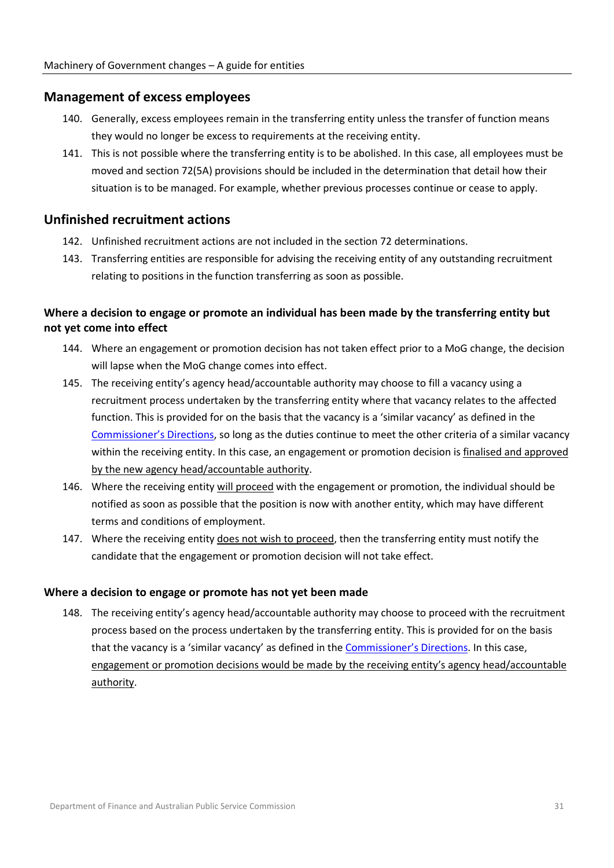## <span id="page-30-0"></span>**Management of excess employees**

- 140. Generally, excess employees remain in the transferring entity unless the transfer of function means they would no longer be excess to requirements at the receiving entity.
- 141. This is not possible where the transferring entity is to be abolished. In this case, all employees must be moved and section 72(5A) provisions should be included in the determination that detail how their situation is to be managed. For example, whether previous processes continue or cease to apply.

## <span id="page-30-1"></span>**Unfinished recruitment actions**

- 142. Unfinished recruitment actions are not included in the section 72 determinations.
- 143. Transferring entities are responsible for advising the receiving entity of any outstanding recruitment relating to positions in the function transferring as soon as possible.

## <span id="page-30-2"></span>**Where a decision to engage or promote an individual has been made by the transferring entity but not yet come into effect**

- 144. Where an engagement or promotion decision has not taken effect prior to a MoG change, the decision will lapse when the MoG change comes into effect.
- 145. The receiving entity's agency head/accountable authority may choose to fill a vacancy using a recruitment process undertaken by the transferring entity where that vacancy relates to the affected function. This is provided for on the basis that the vacancy is a 'similar vacancy' as defined in the [Commissioner's Directions,](https://www.apsc.gov.au/working-aps/commissioners-directions) so long as the duties continue to meet the other criteria of a similar vacancy within the receiving entity. In this case, an engagement or promotion decision is finalised and approved by the new agency head/accountable authority.
- 146. Where the receiving entity will proceed with the engagement or promotion, the individual should be notified as soon as possible that the position is now with another entity, which may have different terms and conditions of employment.
- 147. Where the receiving entity does not wish to proceed, then the transferring entity must notify the candidate that the engagement or promotion decision will not take effect.

#### <span id="page-30-3"></span>**Where a decision to engage or promote has not yet been made**

148. The receiving entity's agency head/accountable authority may choose to proceed with the recruitment process based on the process undertaken by the transferring entity. This is provided for on the basis that the vacancy is a 'similar vacancy' as defined in the [Commissioner's Directions.](https://www.apsc.gov.au/working-aps/commissioners-directions) In this case, engagement or promotion decisions would be made by the receiving entity's agency head/accountable authority.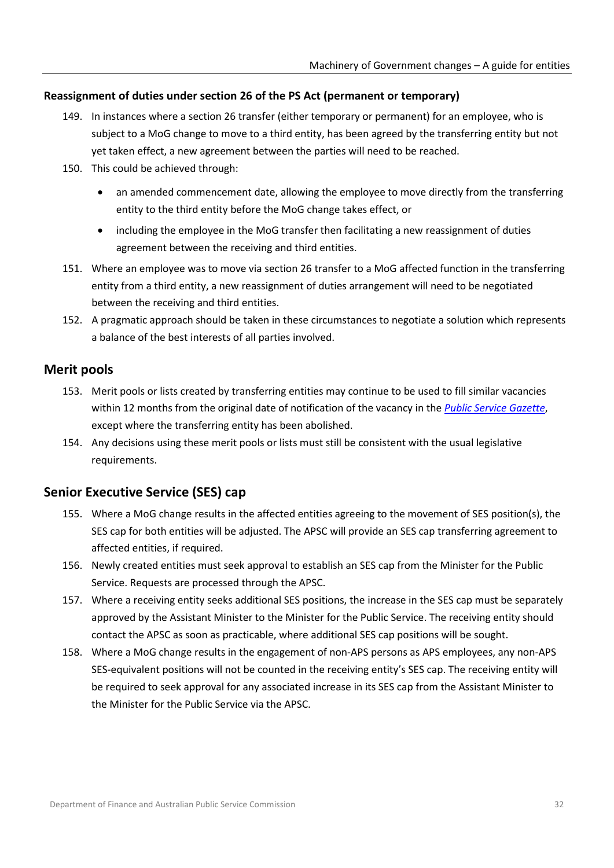#### <span id="page-31-0"></span>**Reassignment of duties under section 26 of the PS Act (permanent or temporary)**

- 149. In instances where a section 26 transfer (either temporary or permanent) for an employee, who is subject to a MoG change to move to a third entity, has been agreed by the transferring entity but not yet taken effect, a new agreement between the parties will need to be reached.
- 150. This could be achieved through:
	- an amended commencement date, allowing the employee to move directly from the transferring entity to the third entity before the MoG change takes effect, or
	- including the employee in the MoG transfer then facilitating a new reassignment of duties agreement between the receiving and third entities.
- 151. Where an employee was to move via section 26 transfer to a MoG affected function in the transferring entity from a third entity, a new reassignment of duties arrangement will need to be negotiated between the receiving and third entities.
- 152. A pragmatic approach should be taken in these circumstances to negotiate a solution which represents a balance of the best interests of all parties involved.

## <span id="page-31-1"></span>**Merit pools**

- 153. Merit pools or lists created by transferring entities may continue to be used to fill similar vacancies within 12 months from the original date of notification of the vacancy in the *[Public Service Gazette](https://www.apsjobs.gov.au/s/gazette)*, except where the transferring entity has been abolished.
- 154. Any decisions using these merit pools or lists must still be consistent with the usual legislative requirements.

### <span id="page-31-2"></span>**Senior Executive Service (SES) cap**

- 155. Where a MoG change results in the affected entities agreeing to the movement of SES position(s), the SES cap for both entities will be adjusted. The APSC will provide an SES cap transferring agreement to affected entities, if required.
- 156. Newly created entities must seek approval to establish an SES cap from the Minister for the Public Service. Requests are processed through the APSC.
- 157. Where a receiving entity seeks additional SES positions, the increase in the SES cap must be separately approved by the Assistant Minister to the Minister for the Public Service. The receiving entity should contact the APSC as soon as practicable, where additional SES cap positions will be sought.
- 158. Where a MoG change results in the engagement of non-APS persons as APS employees, any non-APS SES-equivalent positions will not be counted in the receiving entity's SES cap. The receiving entity will be required to seek approval for any associated increase in its SES cap from the Assistant Minister to the Minister for the Public Service via the APSC.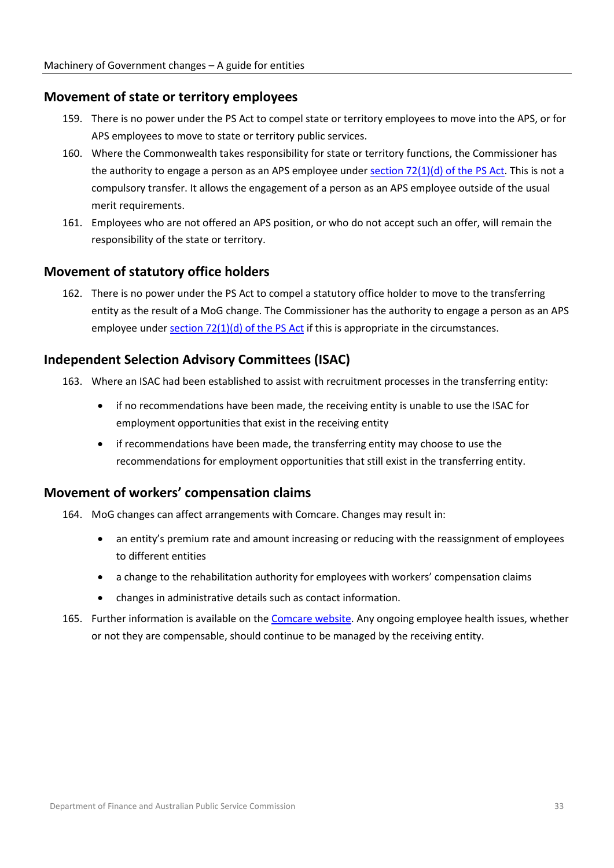## <span id="page-32-0"></span>**Movement of state or territory employees**

- 159. There is no power under the PS Act to compel state or territory employees to move into the APS, or for APS employees to move to state or territory public services.
- 160. Where the Commonwealth takes responsibility for state or territory functions, the Commissioner has the authority to engage a person as an APS employee under section  $72(1)(d)$  of the PS Act. This is not a compulsory transfer. It allows the engagement of a person as an APS employee outside of the usual merit requirements.
- 161. Employees who are not offered an APS position, or who do not accept such an offer, will remain the responsibility of the state or territory.

## <span id="page-32-1"></span>**Movement of statutory office holders**

162. There is no power under the PS Act to compel a statutory office holder to move to the transferring entity as the result of a MoG change. The Commissioner has the authority to engage a person as an APS employee under section [72\(1\)\(d\) of the PS](https://www.legislation.gov.au/Series/C2004A00538) Act if this is appropriate in the circumstances.

## <span id="page-32-2"></span>**Independent Selection Advisory Committees (ISAC)**

- 163. Where an ISAC had been established to assist with recruitment processes in the transferring entity:
	- if no recommendations have been made, the receiving entity is unable to use the ISAC for employment opportunities that exist in the receiving entity
	- if recommendations have been made, the transferring entity may choose to use the recommendations for employment opportunities that still exist in the transferring entity.

## <span id="page-32-3"></span>**Movement of workers' compensation claims**

- 164. MoG changes can affect arrangements with Comcare. Changes may result in:
	- an entity's premium rate and amount increasing or reducing with the reassignment of employees to different entities
	- a change to the rehabilitation authority for employees with workers' compensation claims
	- changes in administrative details such as contact information.
- 165. Further information is available on the [Comcare website.](https://www.comcare.gov.au/claims) Any ongoing employee health issues, whether or not they are compensable, should continue to be managed by the receiving entity.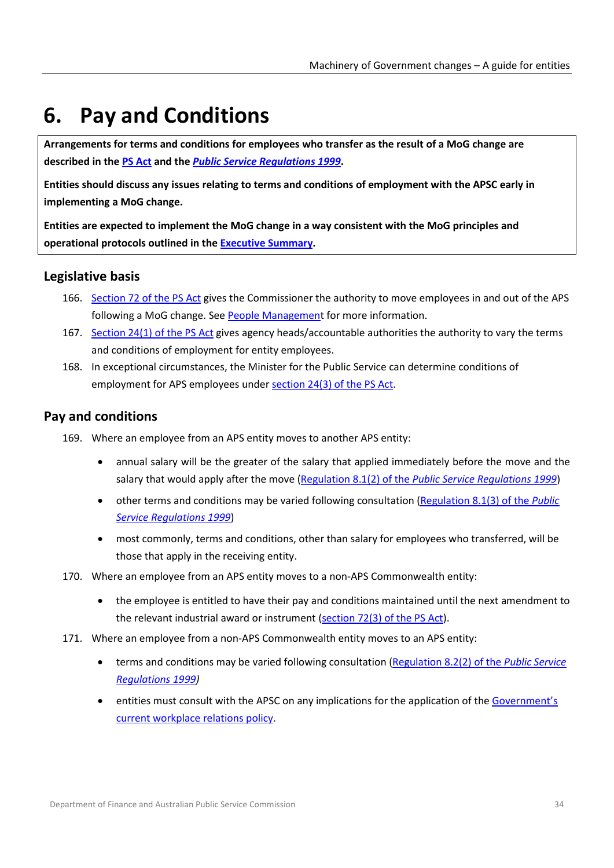# <span id="page-33-0"></span>**6. Pay and Conditions**

**Arrangements for terms and conditions for employees who transfer as the result of a MoG change are described in the [PS Act](https://www.legislation.gov.au/Series/C2004A00538) and the** *[Public Service Regulations 1999](https://www.legislation.gov.au/Series/F1999B00307)***.**

**Entities should discuss any issues relating to terms and conditions of employment with the APSC early in implementing a MoG change.**

**Entities are expected to implement the MoG change in a way consistent with the MoG principles and operational protocols outlined in th[e Executive Summary.](#page-8-0)** 

# <span id="page-33-1"></span>**Legislative basis**

- 166. Section [72 of the PS](https://www.legislation.gov.au/Series/C2004A00538) Act gives the Commissioner the authority to move employees in and out of the APS following a MoG change. See [People Management](#page-25-0) for more information.
- 167. Section [24\(1\) of the PS](https://www.legislation.gov.au/Series/C2004A00538) Act gives agency heads/accountable authorities the authority to vary the terms and conditions of employment for entity employees.
- 168. In exceptional circumstances, the Minister for the Public Service can determine conditions of employment for APS employees under section [24\(3\) of the PS](https://www.legislation.gov.au/Series/C2004A00538) Act.

## <span id="page-33-2"></span>**Pay and conditions**

- 169. Where an employee from an APS entity moves to another APS entity:
	- annual salary will be the greater of the salary that applied immediately before the move and the salary that would apply after the move (Regulation 8.1(2) of the *[Public Service Regulations 1999](https://www.legislation.gov.au/Series/F1999B00307)*)
	- other terms and conditions may be varied following consultation [\(Regulation 8.1\(3\) of the](https://www.legislation.gov.au/Series/F1999B00307) *Public [Service Regulations 1999](https://www.legislation.gov.au/Series/F1999B00307)*)
	- most commonly, terms and conditions, other than salary for employees who transferred, will be those that apply in the receiving entity.
- 170. Where an employee from an APS entity moves to a non-APS Commonwealth entity:
	- the employee is entitled to have their pay and conditions maintained until the next amendment to the relevant industrial award or instrument [\(section 72\(3\) of the PS Act\)](https://www.legislation.gov.au/Series/C2004A00538).
- 171. Where an employee from a non-APS Commonwealth entity moves to an APS entity:
	- terms and conditions may be varied following consultation [\(Regulation 8.2\(2\) of the](https://www.legislation.gov.au/Series/F1999B00307) *Public Service [Regulations](https://www.legislation.gov.au/Series/F1999B00307) 1999)*
	- entities must consult with the APSC on any implications for the application of the [Government's](https://www.apsc.gov.au/initiatives-and-programs/workplace-relations)  [current workplace relations policy.](https://www.apsc.gov.au/initiatives-and-programs/workplace-relations)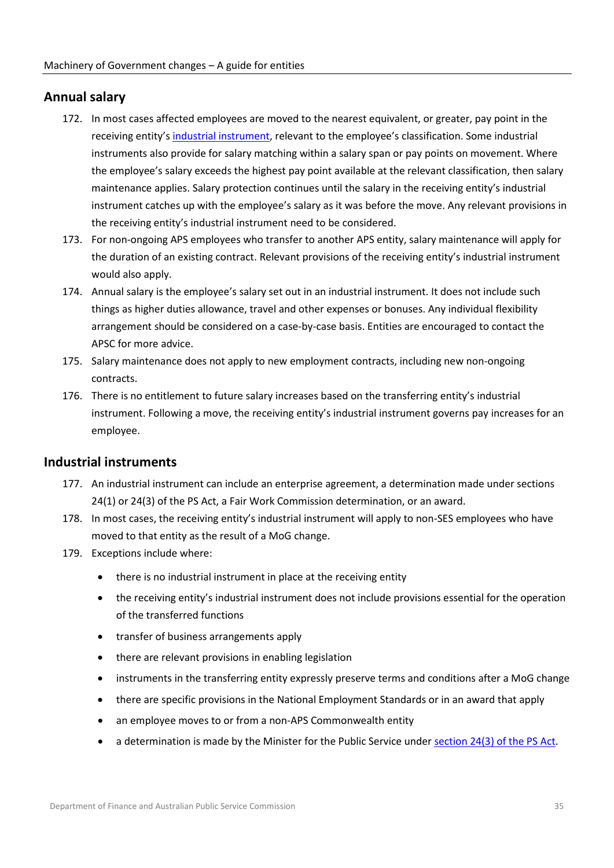## <span id="page-34-0"></span>**Annual salary**

- 172. In most cases affected employees are moved to the nearest equivalent, or greater, pay point in the receiving entity's [industrial instrument,](#page-34-1) relevant to the employee's classification. Some industrial instruments also provide for salary matching within a salary span or pay points on movement. Where the employee's salary exceeds the highest pay point available at the relevant classification, then salary maintenance applies. Salary protection continues until the salary in the receiving entity's industrial instrument catches up with the employee's salary as it was before the move. Any relevant provisions in the receiving entity's industrial instrument need to be considered.
- 173. For non-ongoing APS employees who transfer to another APS entity, salary maintenance will apply for the duration of an existing contract. Relevant provisions of the receiving entity's industrial instrument would also apply.
- 174. Annual salary is the employee's salary set out in an industrial instrument. It does not include such things as higher duties allowance, travel and other expenses or bonuses. Any individual flexibility arrangement should be considered on a case-by-case basis. Entities are encouraged to contact the APSC for more advice.
- 175. Salary maintenance does not apply to new employment contracts, including new non-ongoing contracts.
- 176. There is no entitlement to future salary increases based on the transferring entity's industrial instrument. Following a move, the receiving entity's industrial instrument governs pay increases for an employee.

#### <span id="page-34-1"></span>**Industrial instruments**

- 177. An industrial instrument can include an enterprise agreement, a determination made under sections 24(1) or 24(3) of the PS Act, a Fair Work Commission determination, or an award.
- 178. In most cases, the receiving entity's industrial instrument will apply to non-SES employees who have moved to that entity as the result of a MoG change.
- 179. Exceptions include where:
	- there is no industrial instrument in place at the receiving entity
	- the receiving entity's industrial instrument does not include provisions essential for the operation of the transferred functions
	- transfer of business arrangements apply
	- there are relevant provisions in enabling legislation
	- instruments in the transferring entity expressly preserve terms and conditions after a MoG change
	- there are specific provisions in the National Employment Standards or in an award that apply
	- an employee moves to or from a non-APS Commonwealth entity
	- a determination is made by the Minister for the Public Service under section [24\(3\) of the PS](https://www.legislation.gov.au/Series/C2004A00538) Act.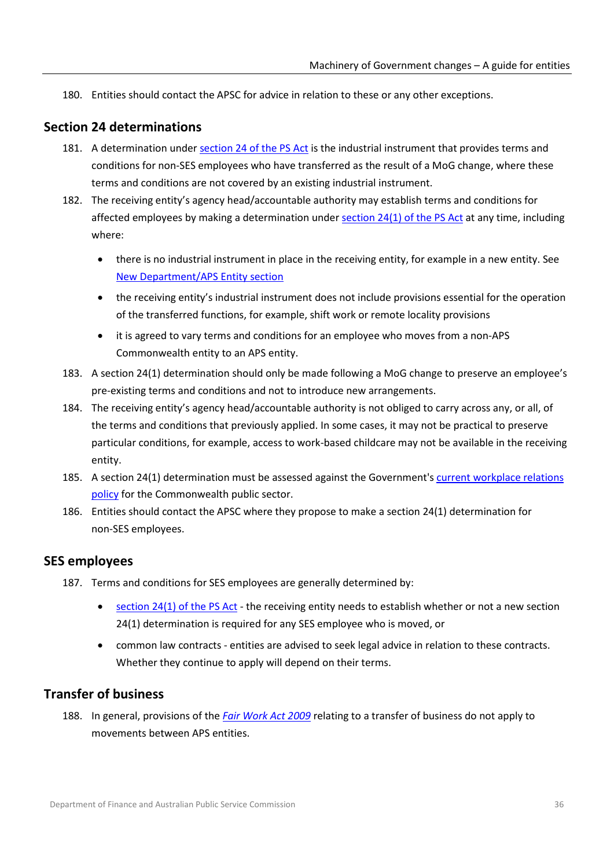180. Entities should contact the APSC for advice in relation to these or any other exceptions.

## <span id="page-35-0"></span>**Section 24 determinations**

- 181. A determination under section [24 of the PS](https://www.legislation.gov.au/Series/C2004A00538) Act is the industrial instrument that provides terms and conditions for non-SES employees who have transferred as the result of a MoG change, where these terms and conditions are not covered by an existing industrial instrument.
- 182. The receiving entity's agency head/accountable authority may establish terms and conditions for affected employees by making a determination under section [24\(1\) of the PS](https://www.legislation.gov.au/Series/C2004A00538) Act at any time, including where:
	- there is no industrial instrument in place in the receiving entity, for example in a new entity. See [New Department/APS Entity](#page-64-0) section
	- the receiving entity's industrial instrument does not include provisions essential for the operation of the transferred functions, for example, shift work or remote locality provisions
	- it is agreed to vary terms and conditions for an employee who moves from a non-APS Commonwealth entity to an APS entity.
- 183. A section 24(1) determination should only be made following a MoG change to preserve an employee's pre-existing terms and conditions and not to introduce new arrangements.
- 184. The receiving entity's agency head/accountable authority is not obliged to carry across any, or all, of the terms and conditions that previously applied. In some cases, it may not be practical to preserve particular conditions, for example, access to work-based childcare may not be available in the receiving entity.
- 185. A section 24(1) determination must be assessed against the Government's current workplace relations [policy](https://www.apsc.gov.au/initiatives-and-programs/workplace-relations) for the Commonwealth public sector.
- 186. Entities should contact the APSC where they propose to make a section 24(1) determination for non-SES employees.

## <span id="page-35-1"></span>**SES employees**

- 187. Terms and conditions for SES employees are generally determined by:
	- $\bullet$  section [24\(1\) of the PS](https://www.legislation.gov.au/Series/C2004A00538) Act the receiving entity needs to establish whether or not a new section 24(1) determination is required for any SES employee who is moved, or
	- common law contracts entities are advised to seek legal advice in relation to these contracts. Whether they continue to apply will depend on their terms.

## <span id="page-35-2"></span>**Transfer of business**

188. In general, provisions of the *[Fair Work Act 2009](https://www.legislation.gov.au/Series/C2009A00028)* relating to a transfer of business do not apply to movements between APS entities.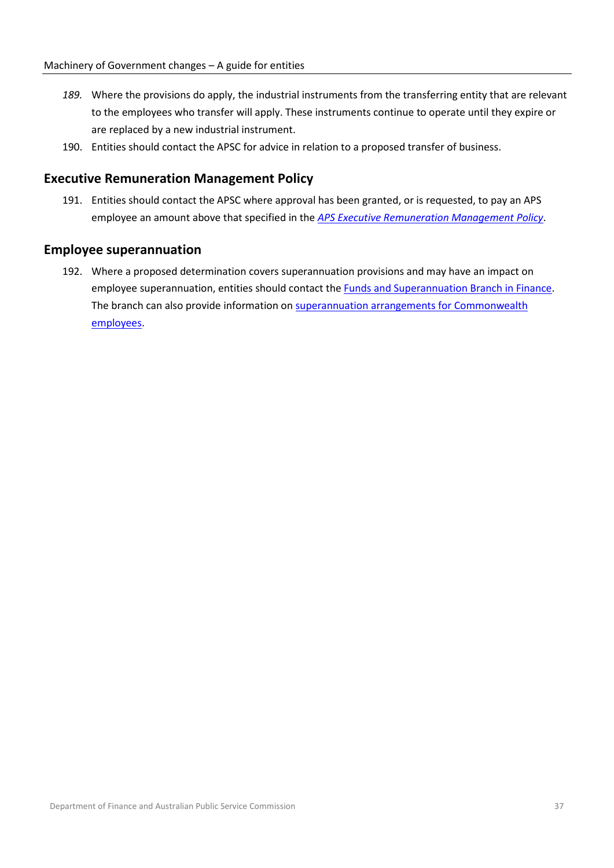- *189.* Where the provisions do apply, the industrial instruments from the transferring entity that are relevant to the employees who transfer will apply. These instruments continue to operate until they expire or are replaced by a new industrial instrument.
- 190. Entities should contact the APSC for advice in relation to a proposed transfer of business.

### **Executive Remuneration Management Policy**

191. Entities should contact the APSC where approval has been granted, or is requested, to pay an APS employee an amount above that specified in the *[APS Executive Remuneration Management Policy](https://www.apsc.gov.au/publication/executive-remuneration-management-policy)*.

### **Employee superannuation**

192. Where a proposed determination covers superannuation provisions and may have an impact on employee superannuation, entities should contact th[e Funds and Superannuation Branch in Finance.](#page-71-0) The branch can also provide information o[n superannuation arrangements for Commonwealth](https://www.finance.gov.au/government/superannuation)  [employees.](https://www.finance.gov.au/government/superannuation)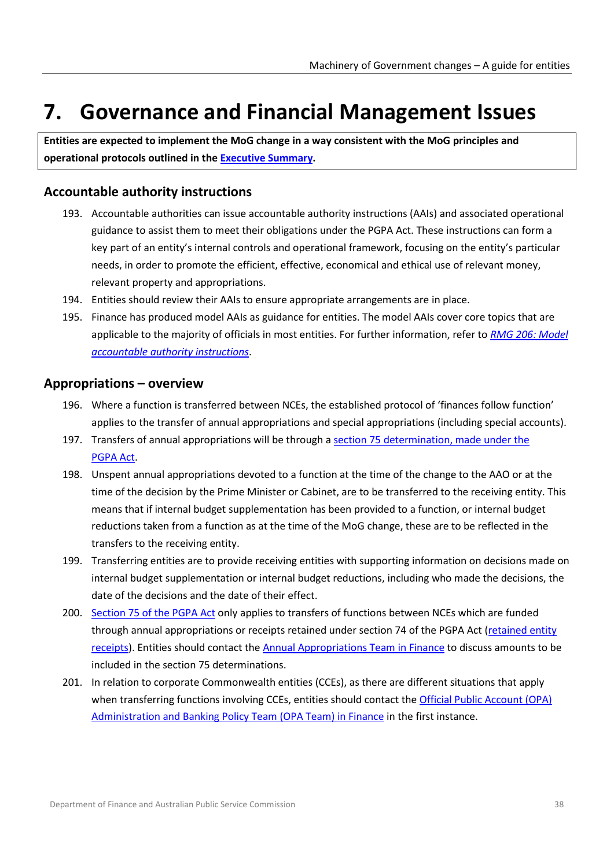# <span id="page-37-1"></span>**7. Governance and Financial Management Issues**

**Entities are expected to implement the MoG change in a way consistent with the MoG principles and operational protocols outlined in th[e Executive Summary.](#page-8-0)** 

## **Accountable authority instructions**

- 193. Accountable authorities can issue accountable authority instructions (AAIs) and associated operational guidance to assist them to meet their obligations under the PGPA Act. These instructions can form a key part of an entity's internal controls and operational framework, focusing on the entity's particular needs, in order to promote the efficient, effective, economical and ethical use of relevant money, relevant property and appropriations.
- 194. Entities should review their AAIs to ensure appropriate arrangements are in place.
- 195. Finance has produced model AAIs as guidance for entities. The model AAIs cover core topics that are applicable to the majority of officials in most entities. For further information, refer to *RMG [206: Model](https://www.finance.gov.au/government/managing-commonwealth-resources/managing-risk-internal-accountability/duties/risk-internal-controls/accountable-authority-instructions-aais-rmg-206)  [accountable authority instructions](https://www.finance.gov.au/government/managing-commonwealth-resources/managing-risk-internal-accountability/duties/risk-internal-controls/accountable-authority-instructions-aais-rmg-206)*.

### <span id="page-37-0"></span>**Appropriations – overview**

- 196. Where a function is transferred between NCEs, the established protocol of 'finances follow function' applies to the transfer of annual appropriations and special appropriations (including special accounts).
- 197. Transfers of annual appropriations will be through a section 75 determination, made under the [PGPA](https://www.legislation.gov.au/Series/C2013A00123) Act.
- 198. Unspent annual appropriations devoted to a function at the time of the change to the AAO or at the time of the decision by the Prime Minister or Cabinet, are to be transferred to the receiving entity. This means that if internal budget supplementation has been provided to a function, or internal budget reductions taken from a function as at the time of the MoG change, these are to be reflected in the transfers to the receiving entity.
- 199. Transferring entities are to provide receiving entities with supporting information on decisions made on internal budget supplementation or internal budget reductions, including who made the decisions, the date of the decisions and the date of their effect.
- 200. Section [75 of the PGPA](https://www.legislation.gov.au/Series/C2013A00123) Act only applies to transfers of functions between NCEs which are funded through annual appropriations or receipts retained under section 74 of the PGPA Act [\(retained entity](#page-38-0)  [receipts\)](#page-38-0). Entities should contact the [Annual Appropriations Team in Finance](#page-71-0) to discuss amounts to be included in the section 75 determinations.
- 201. In relation to corporate Commonwealth entities (CCEs), as there are different situations that apply when transferring functions involving CCEs, entities should contact the Official Public Account (OPA) [Administration and Banking Policy Team \(OPA Team\) in Finance](#page-71-0) in the first instance.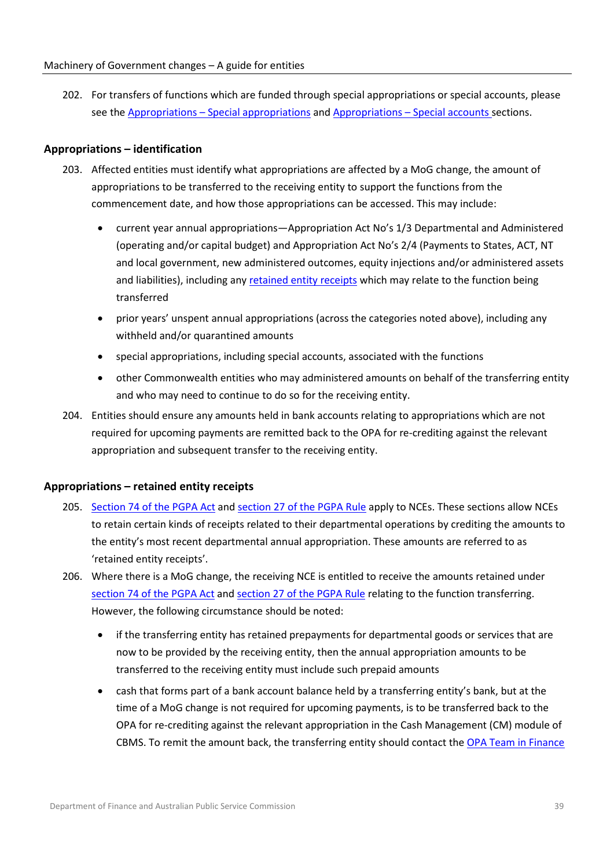202. For transfers of functions which are funded through special appropriations or special accounts, please see the Appropriations – [Special appropriations](#page-40-0) and [Appropriations –](#page-39-0) Special accounts sections.

### <span id="page-38-0"></span>**Appropriations – identification**

- 203. Affected entities must identify what appropriations are affected by a MoG change, the amount of appropriations to be transferred to the receiving entity to support the functions from the commencement date, and how those appropriations can be accessed. This may include:
	- current year annual appropriations—Appropriation Act No's 1/3 Departmental and Administered (operating and/or capital budget) and Appropriation Act No's 2/4 (Payments to States, ACT, NT and local government, new administered outcomes, equity injections and/or administered assets and liabilities), including an[y retained entity receipts](#page-38-0) which may relate to the function being transferred
	- prior years' unspent annual appropriations (across the categories noted above), including any withheld and/or quarantined amounts
	- special appropriations, including special accounts, associated with the functions
	- other Commonwealth entities who may administered amounts on behalf of the transferring entity and who may need to continue to do so for the receiving entity.
- 204. Entities should ensure any amounts held in bank accounts relating to appropriations which are not required for upcoming payments are remitted back to the OPA for re-crediting against the relevant appropriation and subsequent transfer to the receiving entity.

#### **Appropriations – retained entity receipts**

- 205. Section [74 of the PGPA](https://www.legislation.gov.au/Series/C2013A00123) Act an[d section 27 of the PGPA](https://www.legislation.gov.au/Series/F2014L00911) Rule apply to NCEs. These sections allow NCEs to retain certain kinds of receipts related to their departmental operations by crediting the amounts to the entity's most recent departmental annual appropriation. These amounts are referred to as 'retained entity receipts'.
- 206. Where there is a MoG change, the receiving NCE is entitled to receive the amounts retained under section [74 of the PGPA](https://www.legislation.gov.au/Series/C2013A00123) Act and section [27 of the PGPA](https://www.legislation.gov.au/Series/F2014L00911) Rule relating to the function transferring. However, the following circumstance should be noted:
	- if the transferring entity has retained prepayments for departmental goods or services that are now to be provided by the receiving entity, then the annual appropriation amounts to be transferred to the receiving entity must include such prepaid amounts
	- cash that forms part of a bank account balance held by a transferring entity's bank, but at the time of a MoG change is not required for upcoming payments, is to be transferred back to the OPA for re-crediting against the relevant appropriation in the Cash Management (CM) module of CBMS. To remit the amount back, the transferring entity should contact the [OPA Team in Finance](#page-71-0)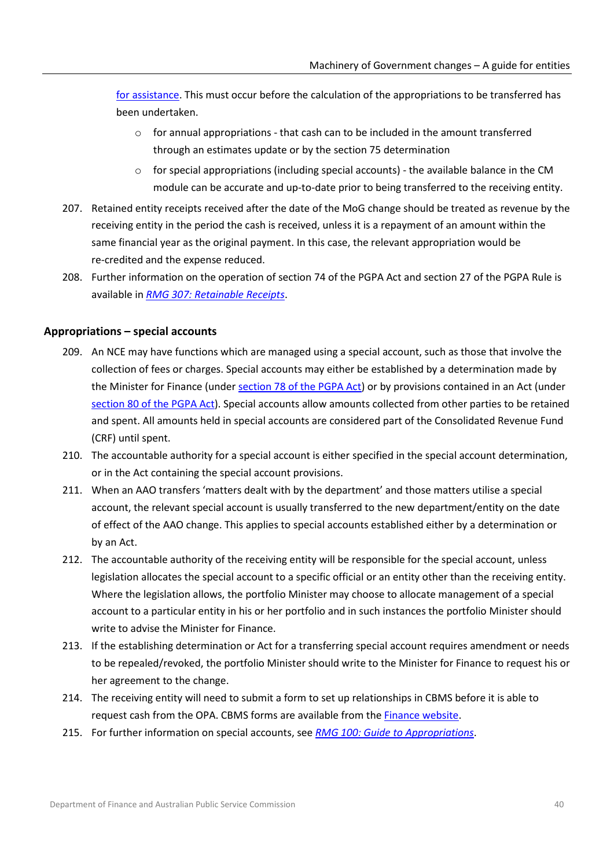[for assistance.](#page-71-0) This must occur before the calculation of the appropriations to be transferred has been undertaken.

- $\circ$  for annual appropriations that cash can to be included in the amount transferred through an estimates update or by the section 75 determination
- $\circ$  for special appropriations (including special accounts) the available balance in the CM module can be accurate and up-to-date prior to being transferred to the receiving entity.
- 207. Retained entity receipts received after the date of the MoG change should be treated as revenue by the receiving entity in the period the cash is received, unless it is a repayment of an amount within the same financial year as the original payment. In this case, the relevant appropriation would be re-credited and the expense reduced.
- 208. Further information on the operation of section 74 of the PGPA Act and section 27 of the PGPA Rule is available in *[RMG 307: Retainable Receipts](https://www.finance.gov.au/government/resource-management/list-number)*.

### <span id="page-39-0"></span>**Appropriations – special accounts**

- 209. An NCE may have functions which are managed using a special account, such as those that involve the collection of fees or charges. Special accounts may either be established by a determination made by the Minister for Finance (under [section 78 of the PGPA Act\)](https://www.legislation.gov.au/Series/C2013A00123) or by provisions contained in an Act (under [section 80 of the PGPA Act\)](https://www.legislation.gov.au/Series/C2013A00123). Special accounts allow amounts collected from other parties to be retained and spent. All amounts held in special accounts are considered part of the Consolidated Revenue Fund (CRF) until spent.
- 210. The accountable authority for a special account is either specified in the special account determination, or in the Act containing the special account provisions.
- 211. When an AAO transfers 'matters dealt with by the department' and those matters utilise a special account, the relevant special account is usually transferred to the new department/entity on the date of effect of the AAO change. This applies to special accounts established either by a determination or by an Act.
- 212. The accountable authority of the receiving entity will be responsible for the special account, unless legislation allocates the special account to a specific official or an entity other than the receiving entity. Where the legislation allows, the portfolio Minister may choose to allocate management of a special account to a particular entity in his or her portfolio and in such instances the portfolio Minister should write to advise the Minister for Finance.
- 213. If the establishing determination or Act for a transferring special account requires amendment or needs to be repealed/revoked, the portfolio Minister should write to the Minister for Finance to request his or her agreement to the change.
- 214. The receiving entity will need to submit a form to set up relationships in CBMS before it is able to request cash from the OPA. CBMS forms are available from th[e Finance website.](https://www.finance.gov.au/government/federal-budget/central-budget-management-system-cbms/cbms-data-management-reference-data-set)
- 215. For further information on special accounts, see *[RMG 100: Guide to Appropriations](https://www.finance.gov.au/publications/resource-management-guides/guide-appropriations-rmg-100)*.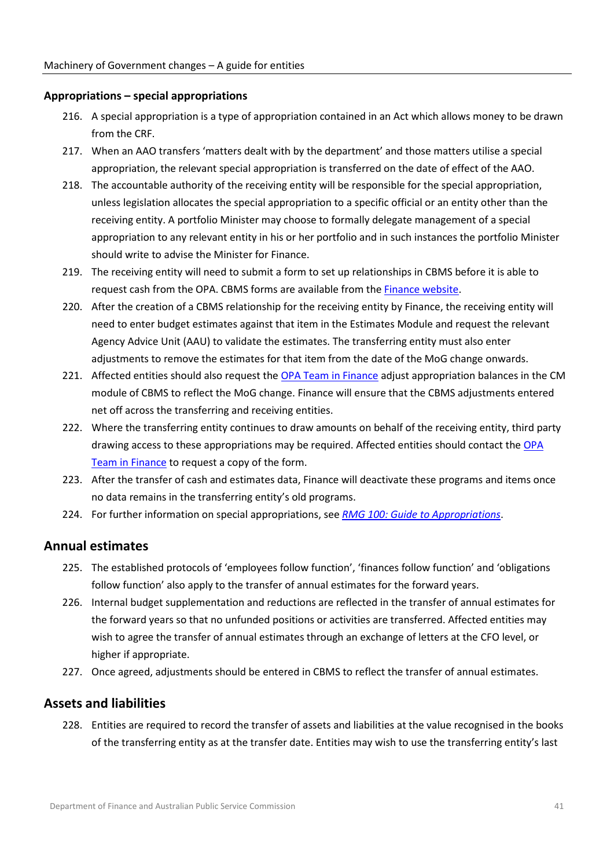### <span id="page-40-0"></span>**Appropriations – special appropriations**

- 216. A special appropriation is a type of appropriation contained in an Act which allows money to be drawn from the CRF.
- 217. When an AAO transfers 'matters dealt with by the department' and those matters utilise a special appropriation, the relevant special appropriation is transferred on the date of effect of the AAO.
- 218. The accountable authority of the receiving entity will be responsible for the special appropriation, unless legislation allocates the special appropriation to a specific official or an entity other than the receiving entity. A portfolio Minister may choose to formally delegate management of a special appropriation to any relevant entity in his or her portfolio and in such instances the portfolio Minister should write to advise the Minister for Finance.
- 219. The receiving entity will need to submit a form to set up relationships in CBMS before it is able to request cash from the OPA. CBMS forms are available from th[e Finance website.](https://www.finance.gov.au/government/federal-budget/central-budget-management-system-cbms/cbms-data-management-reference-data-set)
- 220. After the creation of a CBMS relationship for the receiving entity by Finance, the receiving entity will need to enter budget estimates against that item in the Estimates Module and request the relevant Agency Advice Unit (AAU) to validate the estimates. The transferring entity must also enter adjustments to remove the estimates for that item from the date of the MoG change onwards.
- 221. Affected entities should also request the [OPA Team in Finance](#page-71-0) adjust appropriation balances in the CM module of CBMS to reflect the MoG change. Finance will ensure that the CBMS adjustments entered net off across the transferring and receiving entities.
- 222. Where the transferring entity continues to draw amounts on behalf of the receiving entity, third party drawing access to these appropriations may be required. Affected entities should contact th[e OPA](#page-71-0)  [Team in Finance](#page-71-0) to request a copy of the form.
- 223. After the transfer of cash and estimates data, Finance will deactivate these programs and items once no data remains in the transferring entity's old programs.
- 224. For further information on special appropriations, see *[RMG 100: Guide to Appropriations](https://www.finance.gov.au/publications/resource-management-guides/guide-appropriations-rmg-100)*.

## <span id="page-40-1"></span>**Annual estimates**

- 225. The established protocols of 'employees follow function', 'finances follow function' and 'obligations follow function' also apply to the transfer of annual estimates for the forward years.
- 226. Internal budget supplementation and reductions are reflected in the transfer of annual estimates for the forward years so that no unfunded positions or activities are transferred. Affected entities may wish to agree the transfer of annual estimates through an exchange of letters at the CFO level, or higher if appropriate.
- 227. Once agreed, adjustments should be entered in CBMS to reflect the transfer of annual estimates.

## **Assets and liabilities**

228. Entities are required to record the transfer of assets and liabilities at the value recognised in the books of the transferring entity as at the transfer date. Entities may wish to use the transferring entity's last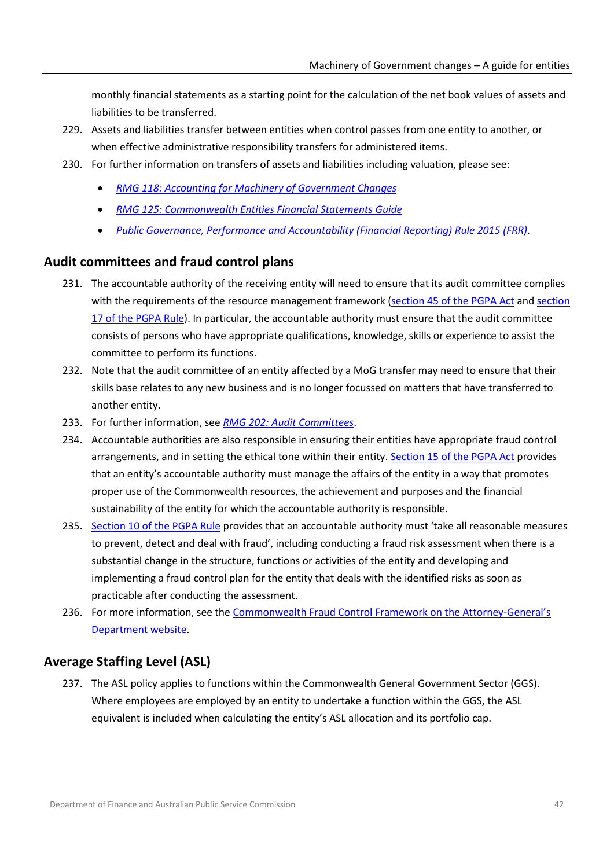monthly financial statements as a starting point for the calculation of the net book values of assets and liabilities to be transferred.

- 229. Assets and liabilities transfer between entities when control passes from one entity to another, or when effective administrative responsibility transfers for administered items.
- 230. For further information on transfers of assets and liabilities including valuation, please see:
	- *[RMG 118: Accounting for Machinery of Government Changes](http://www.finance.gov.au/resource-management/reporting-accounting/accounting-guidance/#rmg118)*
	- *[RMG 125: Commonwealth Entities Financial Statements Guide](https://www.finance.gov.au/publications/resource-management-guides/commonwealth-entities-financial-statements-guide-rmg-125)*
	- *[Public Governance, Performance and Accountability \(Financial Reporting\) Rule 2015 \(FRR\)](https://www.legislation.gov.au/Series/F2015L00131)*.

## **Audit committees and fraud control plans**

- 231. The accountable authority of the receiving entity will need to ensure that its audit committee complies with the requirements of the resource management framework [\(section 45 of the PGPA](https://www.legislation.gov.au/Series/C2013A00123) Act an[d section](https://www.legislation.gov.au/Series/F2014L00911)  [17 of the PGPA](https://www.legislation.gov.au/Series/F2014L00911) Rule). In particular, the accountable authority must ensure that the audit committee consists of persons who have appropriate qualifications, knowledge, skills or experience to assist the committee to perform its functions.
- 232. Note that the audit committee of an entity affected by a MoG transfer may need to ensure that their skills base relates to any new business and is no longer focussed on matters that have transferred to another entity.
- 233. For further information, see *[RMG 202: Audit Committees](https://www.finance.gov.au/publications/resource-management-guides/audit-committees-rmg-202)*.
- 234. Accountable authorities are also responsible in ensuring their entities have appropriate fraud control arrangements, and in setting the ethical tone within their entity. Section [15 of the PGPA](https://www.legislation.gov.au/Series/C2013A00123) Act provides that an entity's accountable authority must manage the affairs of the entity in a way that promotes proper use of the Commonwealth resources, the achievement and purposes and the financial sustainability of the entity for which the accountable authority is responsible.
- 235. [Section 10 of the PGPA](https://www.legislation.gov.au/Series/F2014L00911) Rule provides that an accountable authority must 'take all reasonable measures to prevent, detect and deal with fraud', including conducting a fraud risk assessment when there is a substantial change in the structure, functions or activities of the entity and developing and implementing a fraud control plan for the entity that deals with the identified risks as soon as practicable after conducting the assessment.
- 236. For more information, see the [Commonwealth Fraud Control Framework](https://www.ag.gov.au/integrity/counter-fraud) on the Attorney-General's [Department website.](https://www.ag.gov.au/integrity/counter-fraud)

# **Average Staffing Level (ASL)**

237. The ASL policy applies to functions within the Commonwealth General Government Sector (GGS). Where employees are employed by an entity to undertake a function within the GGS, the ASL equivalent is included when calculating the entity's ASL allocation and its portfolio cap.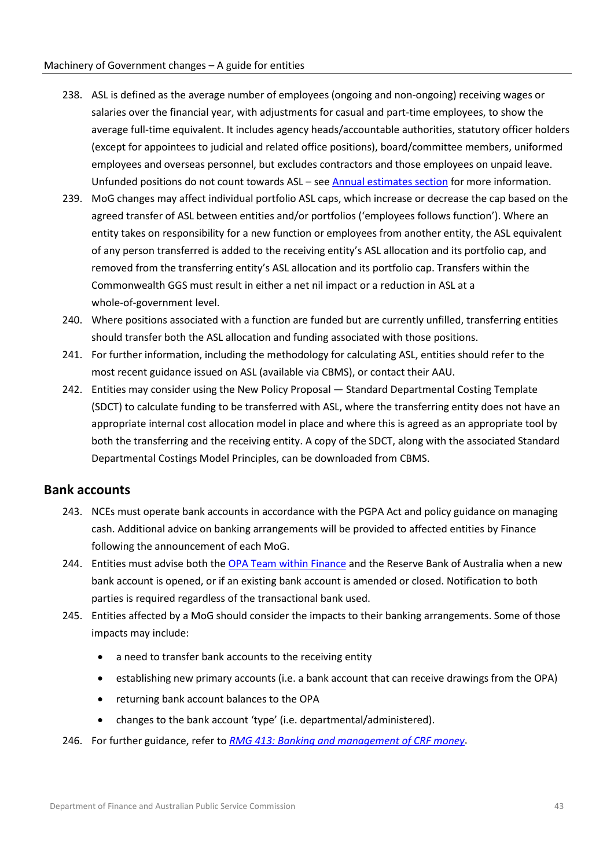- 238. ASL is defined as the average number of employees (ongoing and non-ongoing) receiving wages or salaries over the financial year, with adjustments for casual and part-time employees, to show the average full-time equivalent. It includes agency heads/accountable authorities, statutory officer holders (except for appointees to judicial and related office positions), board/committee members, uniformed employees and overseas personnel, but excludes contractors and those employees on unpaid leave. Unfunded positions do not count towards ASL – see [Annual estimates section](#page-40-1) for more information.
- 239. MoG changes may affect individual portfolio ASL caps, which increase or decrease the cap based on the agreed transfer of ASL between entities and/or portfolios ('employees follows function'). Where an entity takes on responsibility for a new function or employees from another entity, the ASL equivalent of any person transferred is added to the receiving entity's ASL allocation and its portfolio cap, and removed from the transferring entity's ASL allocation and its portfolio cap. Transfers within the Commonwealth GGS must result in either a net nil impact or a reduction in ASL at a whole-of-government level.
- 240. Where positions associated with a function are funded but are currently unfilled, transferring entities should transfer both the ASL allocation and funding associated with those positions.
- 241. For further information, including the methodology for calculating ASL, entities should refer to the most recent guidance issued on ASL (available via CBMS), or contact their AAU.
- 242. Entities may consider using the New Policy Proposal Standard Departmental Costing Template (SDCT) to calculate funding to be transferred with ASL, where the transferring entity does not have an appropriate internal cost allocation model in place and where this is agreed as an appropriate tool by both the transferring and the receiving entity. A copy of the SDCT, along with the associated Standard Departmental Costings Model Principles, can be downloaded from CBMS.

## **Bank accounts**

- 243. NCEs must operate bank accounts in accordance with the PGPA Act and policy guidance on managing cash. Additional advice on banking arrangements will be provided to affected entities by Finance following the announcement of each MoG.
- 244. Entities must advise both the OPA Team [within Finance](#page-71-0) and the Reserve Bank of Australia when a new bank account is opened, or if an existing bank account is amended or closed. Notification to both parties is required regardless of the transactional bank used.
- 245. Entities affected by a MoG should consider the impacts to their banking arrangements. Some of those impacts may include:
	- a need to transfer bank accounts to the receiving entity
	- establishing new primary accounts (i.e. a bank account that can receive drawings from the OPA)
	- returning bank account balances to the OPA
	- changes to the bank account 'type' (i.e. departmental/administered).
- 246. For further guidance, refer to *[RMG 413: Banking and management of CRF money](https://www.finance.gov.au/government/managing-commonwealth-resources/banking-and-management-crf-money-rmg-413)*.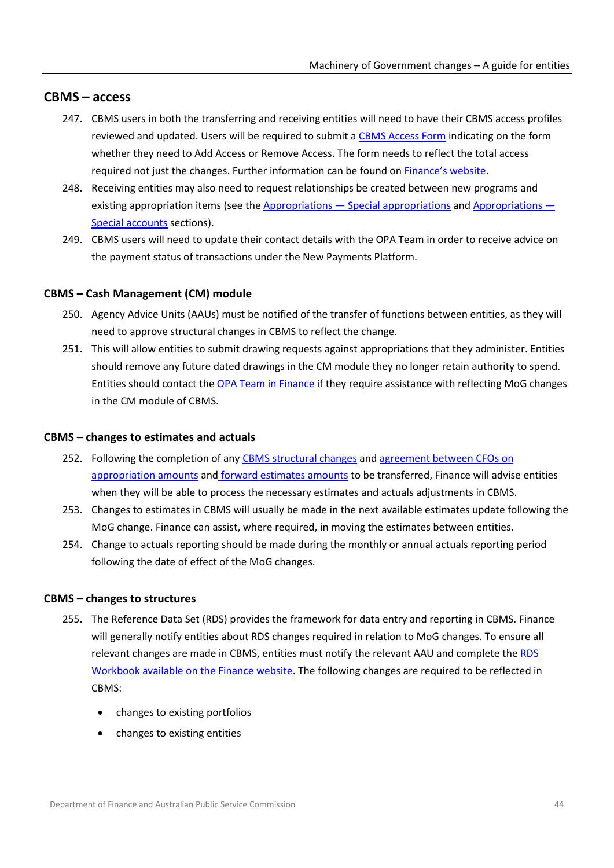## **CBMS – access**

- 247. CBMS users in both the transferring and receiving entities will need to have their CBMS access profiles reviewed and updated. Users will be required to submit a [CBMS Access Form](https://www.finance.gov.au/central-budget-management-system/cbms-access/) indicating on the form whether they need to Add Access or Remove Access. The form needs to reflect the total access required not just the changes. Further information can be found on [Finance's website.](https://www.finance.gov.au/central-budget-management-system/cbms-access/)
- 248. Receiving entities may also need to request relationships be created between new programs and existing appropriation items (see the Appropriations — [Special appropriations](#page-40-0) and [Appropriations —](#page-39-0) [Special accounts](#page-39-0) sections).
- 249. CBMS users will need to update their contact details with the OPA Team in order to receive advice on the payment status of transactions under the New Payments Platform.

### **CBMS – Cash Management (CM) module**

- 250. Agency Advice Units (AAUs) must be notified of the transfer of functions between entities, as they will need to approve structural changes in CBMS to reflect the change.
- 251. This will allow entities to submit drawing requests against appropriations that they administer. Entities should remove any future dated drawings in the CM module they no longer retain authority to spend. Entities should contact th[e OPA Team in Finance](#page-71-0) if they require assistance with reflecting MoG changes in the CM module of CBMS.

#### **CBMS – changes to estimates and actuals**

- 252. Following the completion of any [CBMS structural](#page-43-0) changes and agreement between CFOs on [appropriation amounts](#page-37-0) and [forward estimates amounts](#page-40-1) to be transferred, Finance will advise entities when they will be able to process the necessary estimates and actuals adjustments in CBMS.
- 253. Changes to estimates in CBMS will usually be made in the next available estimates update following the MoG change. Finance can assist, where required, in moving the estimates between entities.
- 254. Change to actuals reporting should be made during the monthly or annual actuals reporting period following the date of effect of the MoG changes.

#### <span id="page-43-0"></span>**CBMS – changes to structures**

- 255. The Reference Data Set (RDS) provides the framework for data entry and reporting in CBMS. Finance will generally notify entities about RDS changes required in relation to MoG changes. To ensure all relevant changes are made in CBMS, entities must notify the relevant AAU and complete th[e RDS](https://www.finance.gov.au/government/federal-budget/central-budget-management-system-cbms/cbms-data-management-reference-data-set)  [Workbook available on the Finance website.](https://www.finance.gov.au/government/federal-budget/central-budget-management-system-cbms/cbms-data-management-reference-data-set) The following changes are required to be reflected in CBMS:
	- changes to existing portfolios
	- changes to existing entities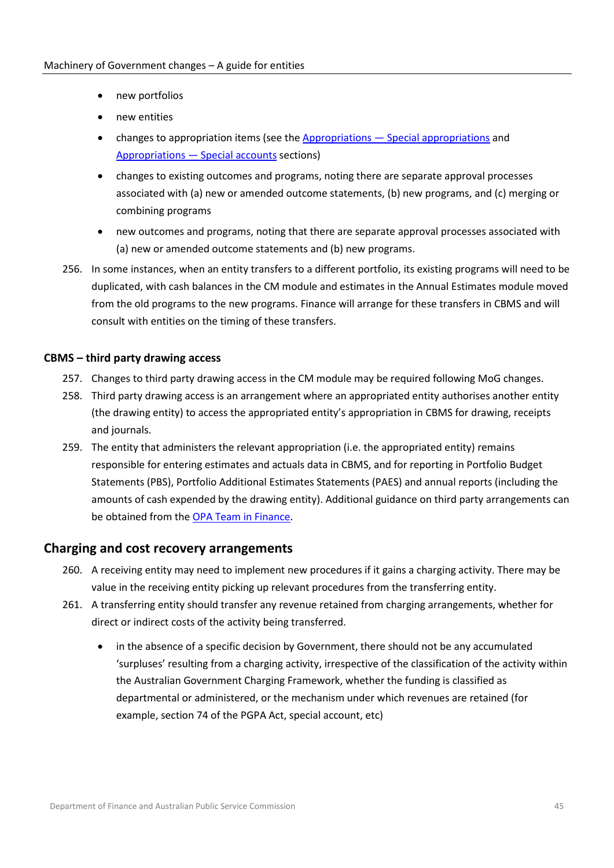- new portfolios
- new entities
- changes to appropriation items (see the Appropriations [Special appropriations](#page-40-0) and [Appropriations —](#page-39-0) Special accounts sections)
- changes to existing outcomes and programs, noting there are separate approval processes associated with (a) new or amended outcome statements, (b) new programs, and (c) merging or combining programs
- new outcomes and programs, noting that there are separate approval processes associated with (a) new or amended outcome statements and (b) new programs.
- 256. In some instances, when an entity transfers to a different portfolio, its existing programs will need to be duplicated, with cash balances in the CM module and estimates in the Annual Estimates module moved from the old programs to the new programs. Finance will arrange for these transfers in CBMS and will consult with entities on the timing of these transfers.

### **CBMS – third party drawing access**

- 257. Changes to third party drawing access in the CM module may be required following MoG changes.
- 258. Third party drawing access is an arrangement where an appropriated entity authorises another entity (the drawing entity) to access the appropriated entity's appropriation in CBMS for drawing, receipts and journals.
- 259. The entity that administers the relevant appropriation (i.e. the appropriated entity) remains responsible for entering estimates and actuals data in CBMS, and for reporting in Portfolio Budget Statements (PBS), Portfolio Additional Estimates Statements (PAES) and annual reports (including the amounts of cash expended by the drawing entity). Additional guidance on third party arrangements can be obtained from the [OPA Team in Finance.](#page-71-0)

## **Charging and cost recovery arrangements**

- 260. A receiving entity may need to implement new procedures if it gains a charging activity. There may be value in the receiving entity picking up relevant procedures from the transferring entity.
- 261. A transferring entity should transfer any revenue retained from charging arrangements, whether for direct or indirect costs of the activity being transferred.
	- in the absence of a specific decision by Government, there should not be any accumulated 'surpluses' resulting from a charging activity, irrespective of the classification of the activity within the Australian Government Charging Framework, whether the funding is classified as departmental or administered, or the mechanism under which revenues are retained (for example, section 74 of the PGPA Act, special account, etc)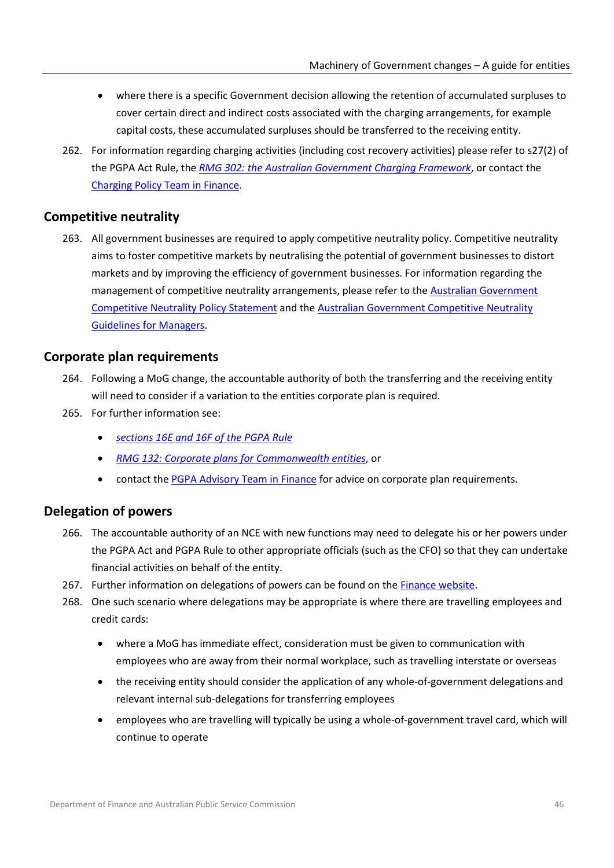- where there is a specific Government decision allowing the retention of accumulated surpluses to cover certain direct and indirect costs associated with the charging arrangements, for example capital costs, these accumulated surpluses should be transferred to the receiving entity.
- 262. For information regarding charging activities (including cost recovery activities) please refer to s27(2) of the PGPA Act Rule, the *[RMG 302: the Australian Government Charging Framework](https://www.finance.gov.au/government/managing-commonwealth-resources/managing-money-property/managing-money/australian-government-charging-framework)*, or contact the [Charging Policy Team](#page-71-0) in Financ[e.](#page-71-0)

# **Competitive neutrality**

263. All government businesses are required to apply competitive neutrality policy. Competitive neutrality aims to foster competitive markets by neutralising the potential of government businesses to distort markets and by improving the efficiency of government businesses. For information regarding the management of competitive neutrality arrangements, please refer to the [Australian Government](https://treasury.gov.au/publication/commonwealth-competitive-neutrality-policy-statement)  [Competitive Neutrality Policy Statement](https://treasury.gov.au/publication/commonwealth-competitive-neutrality-policy-statement) and the [Australian Government Competitive Neutrality](https://consult.treasury.gov.au/market-and-competition-policy-division/competitive-neutrality-review/supporting_documents/2004%20Competitive%20Neutrality%20Guidelines%20for%20Managers%20AGCN_guide_v4.pdf)  [Guidelines for Managers.](https://consult.treasury.gov.au/market-and-competition-policy-division/competitive-neutrality-review/supporting_documents/2004%20Competitive%20Neutrality%20Guidelines%20for%20Managers%20AGCN_guide_v4.pdf)

## **Corporate plan requirements**

- 264. Following a MoG change, the accountable authority of both the transferring and the receiving entity will need to consider if a variation to the entities corporate plan is required.
- 265. For further information see:
	- *[sections 16E and 16F of the PGPA](https://www.legislation.gov.au/Series/F2014L00911) Rule*
	- *RMG 132: [Corporate plans for Commonwealth entities](https://www.finance.gov.au/government/managing-commonwealth-resources/corporate-plans-commonwealth-entities-rmg-132)*, or
	- contact the [PGPA Advisory Team in Finance](#page-71-0) for advice on corporate plan requirements.

# **Delegation of powers**

- 266. The accountable authority of an NCE with new functions may need to delegate his or her powers under the PGPA Act and PGPA Rule to other appropriate officials (such as the CFO) so that they can undertake financial activities on behalf of the entity.
- 267. Further information on delegations of powers can be found on the [Finance website.](https://www.finance.gov.au/government/managing-commonwealth-resources/pgpa-legislation-associated-instruments-and-policies)
- 268. One such scenario where delegations may be appropriate is where there are travelling employees and credit cards:
	- where a MoG has immediate effect, consideration must be given to communication with employees who are away from their normal workplace, such as travelling interstate or overseas
	- the receiving entity should consider the application of any whole-of-government delegations and relevant internal sub-delegations for transferring employees
	- employees who are travelling will typically be using a whole-of-government travel card, which will continue to operate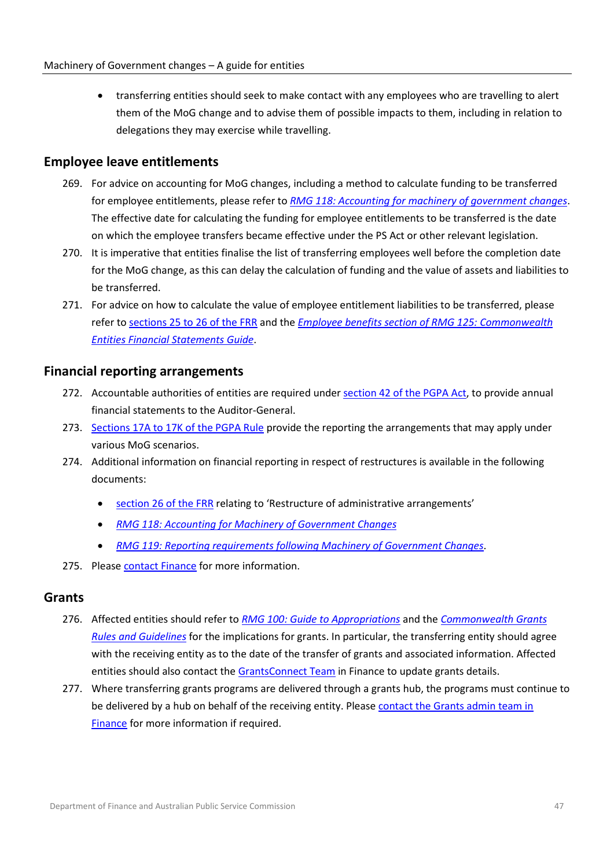• transferring entities should seek to make contact with any employees who are travelling to alert them of the MoG change and to advise them of possible impacts to them, including in relation to delegations they may exercise while travelling.

## **Employee leave entitlements**

- 269. For advice on accounting for MoG changes, including a method to calculate funding to be transferred for employee entitlements, please refer to *[RMG 118: Accounting for machinery of government changes](https://www.finance.gov.au/publications/resource-management-guides/accounting-machinery-government-changes-rmg-118)*. The effective date for calculating the funding for employee entitlements to be transferred is the date on which the employee transfers became effective under the PS Act or other relevant legislation.
- 270. It is imperative that entities finalise the list of transferring employees well before the completion date for the MoG change, as this can delay the calculation of funding and the value of assets and liabilities to be transferred.
- 271. For advice on how to calculate the value of employee entitlement liabilities to be transferred, please refer to [sections 25 to 26 of the FRR](https://www.legislation.gov.au/Series/F2015L00131) and the *[Employee benefits section of RMG 125: Commonwealth](https://www.finance.gov.au/publications/resource-management-guides/commonwealth-entities-financial-statements-guide-rmg-125)  [Entities Financial Statements Guide](https://www.finance.gov.au/publications/resource-management-guides/commonwealth-entities-financial-statements-guide-rmg-125)*.

## **Financial reporting arrangements**

- 272. Accountable authorities of entities are required under section [42 of the PGPA](https://www.legislation.gov.au/Series/C2013A00123) Act, to provide annual financial statements to the Auditor-General.
- 273. Sections [17A to 17K of the PGPA](https://www.legislation.gov.au/Series/F2014L00911) Rule provide the reporting the arrangements that may apply under various MoG scenarios.
- 274. Additional information on financial reporting in respect of restructures is available in the following documents:
	- section [26 of the FRR](https://www.legislation.gov.au/Series/F2015L00131) relating to 'Restructure of administrative arrangements'
	- *[RMG 118: Accounting for Machinery of Government Changes](https://www.finance.gov.au/publications/resource-management-guides/accounting-machinery-government-changes-rmg-118)*
	- *[RMG 119: Reporting requirements following Machinery of Government Changes](https://www.finance.gov.au/publications/resource-management-guides/reporting-requirements-following-machinery-government-changes-rmg-119)*.
- 275. Please [contact Finance](#page-71-0) for more information.

### **Grants**

- 276. Affected entities should refer to *[RMG 100: Guide to Appropriations](https://www.finance.gov.au/publications/resource-management-guides/guide-appropriations-rmg-100)* and the *[Commonwealth Grants](https://www.finance.gov.au/government/commonwealth-grants)  [Rules and Guidelines](https://www.finance.gov.au/government/commonwealth-grants)* for the implications for grants. In particular, the transferring entity should agree with the receiving entity as to the date of the transfer of grants and associated information. Affected entities should also contact the [GrantsConnect Team](https://www.grants.gov.au/contactus/show) in Finance to update grants details.
- 277. Where transferring grants programs are delivered through a grants hub, the programs must continue to be delivered by a hub on behalf of the receiving entity. Please [contact the Grants admin team in](#page-71-0)  [Finance](#page-71-0) for more information if required.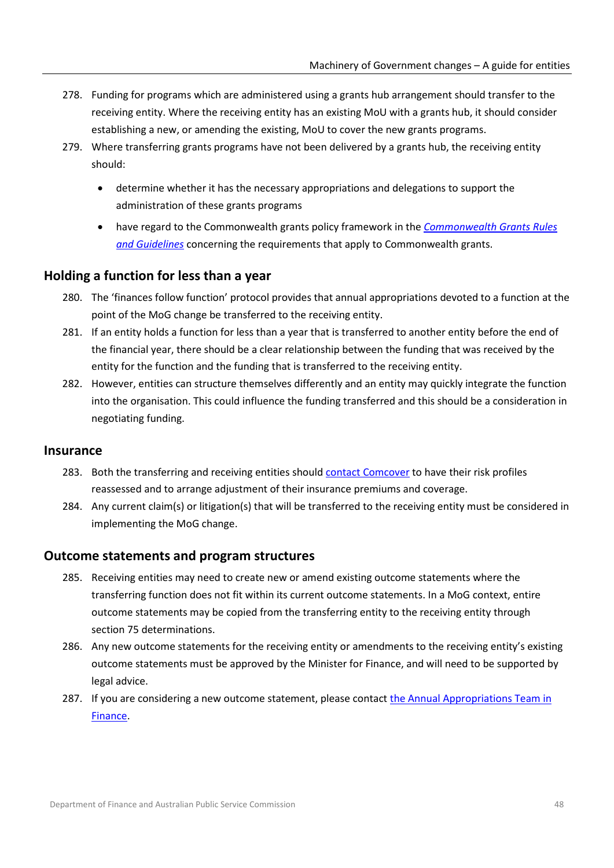- 278. Funding for programs which are administered using a grants hub arrangement should transfer to the receiving entity. Where the receiving entity has an existing MoU with a grants hub, it should consider establishing a new, or amending the existing, MoU to cover the new grants programs.
- 279. Where transferring grants programs have not been delivered by a grants hub, the receiving entity should:
	- determine whether it has the necessary appropriations and delegations to support the administration of these grants programs
	- have regard to the Commonwealth grants policy framework in the *[Commonwealth Grants Rules](https://www.finance.gov.au/government/commonwealth-grants)  [and Guidelines](https://www.finance.gov.au/government/commonwealth-grants)* concerning the requirements that apply to Commonwealth grants.

## **Holding a function for less than a year**

- 280. The 'finances follow function' protocol provides that annual appropriations devoted to a function at the point of the MoG change be transferred to the receiving entity.
- 281. If an entity holds a function for less than a year that is transferred to another entity before the end of the financial year, there should be a clear relationship between the funding that was received by the entity for the function and the funding that is transferred to the receiving entity.
- 282. However, entities can structure themselves differently and an entity may quickly integrate the function into the organisation. This could influence the funding transferred and this should be a consideration in negotiating funding.

### **Insurance**

- 283. Both the transferring and receiving entities should [contact Comcover](#page-71-0) to have their risk profiles reassessed and to arrange adjustment of their insurance premiums and coverage.
- 284. Any current claim(s) or litigation(s) that will be transferred to the receiving entity must be considered in implementing the MoG change.

## **Outcome statements and program structures**

- 285. Receiving entities may need to create new or amend existing outcome statements where the transferring function does not fit within its current outcome statements. In a MoG context, entire outcome statements may be copied from the transferring entity to the receiving entity through section 75 determinations.
- 286. Any new outcome statements for the receiving entity or amendments to the receiving entity's existing outcome statements must be approved by the Minister for Finance, and will need to be supported by legal advice.
- 287. If you are considering a new outcome statement, please contact the Annual Appropriations Team in [Finance.](#page-71-0)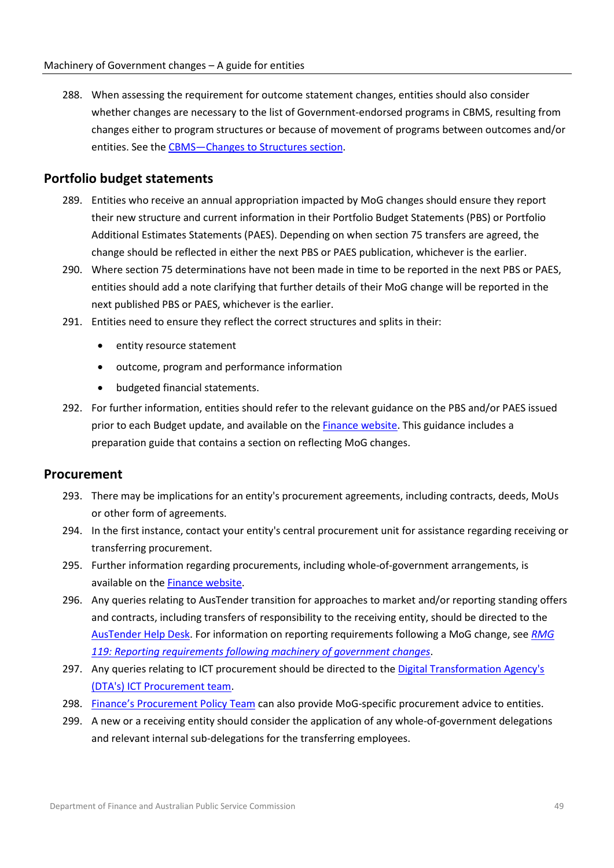288. When assessing the requirement for outcome statement changes, entities should also consider whether changes are necessary to the list of Government-endorsed programs in CBMS, resulting from changes either to program structures or because of movement of programs between outcomes and/or entities. See th[e CBMS—Changes to Structures section.](#page-43-0)

### **Portfolio budget statements**

- 289. Entities who receive an annual appropriation impacted by MoG changes should ensure they report their new structure and current information in their Portfolio Budget Statements (PBS) or Portfolio Additional Estimates Statements (PAES). Depending on when section 75 transfers are agreed, the change should be reflected in either the next PBS or PAES publication, whichever is the earlier.
- 290. Where section 75 determinations have not been made in time to be reported in the next PBS or PAES, entities should add a note clarifying that further details of their MoG change will be reported in the next published PBS or PAES, whichever is the earlier.
- 291. Entities need to ensure they reflect the correct structures and splits in their:
	- entity resource statement
	- outcome, program and performance information
	- budgeted financial statements.
- 292. For further information, entities should refer to the relevant guidance on the PBS and/or PAES issued prior to each Budget update, and available on the **Finance website**. This guidance includes a preparation guide that contains a section on reflecting MoG changes.

### **Procurement**

- 293. There may be implications for an entity's procurement agreements, including contracts, deeds, MoUs or other form of agreements.
- 294. In the first instance, contact your entity's central procurement unit for assistance regarding receiving or transferring procurement.
- 295. Further information regarding procurements, including whole-of-government arrangements, is available on the [Finance website.](https://www.finance.gov.au/government/procurement)
- 296. Any queries relating to AusTender transition for approaches to market and/or reporting standing offers and contracts, including transfers of responsibility to the receiving entity, should be directed to the [AusTender Help Desk.](https://www.tenders.gov.au/contactus/show) For information on reporting requirements following a MoG change, see *[RMG](https://www.finance.gov.au/publications/resource-management-guides/reporting-requirements-following-machinery-government-changes-rmg-119) [119: Reporting requirements following machinery of government changes](https://www.finance.gov.au/publications/resource-management-guides/reporting-requirements-following-machinery-government-changes-rmg-119)*.
- 297. Any queries relating to ICT procurement should be directed to the [Digital Transformation Agency's](https://www.buyict.gov.au/sp?id=contact_us) [\(DTA's\) ICT Procurement team.](https://www.buyict.gov.au/sp?id=contact_us)
- 298. Finance's [Procurement Policy Team](#page-71-0) can also provide MoG-specific procurement advice to entities.
- 299. A new or a receiving entity should consider the application of any whole-of-government delegations and relevant internal sub-delegations for the transferring employees.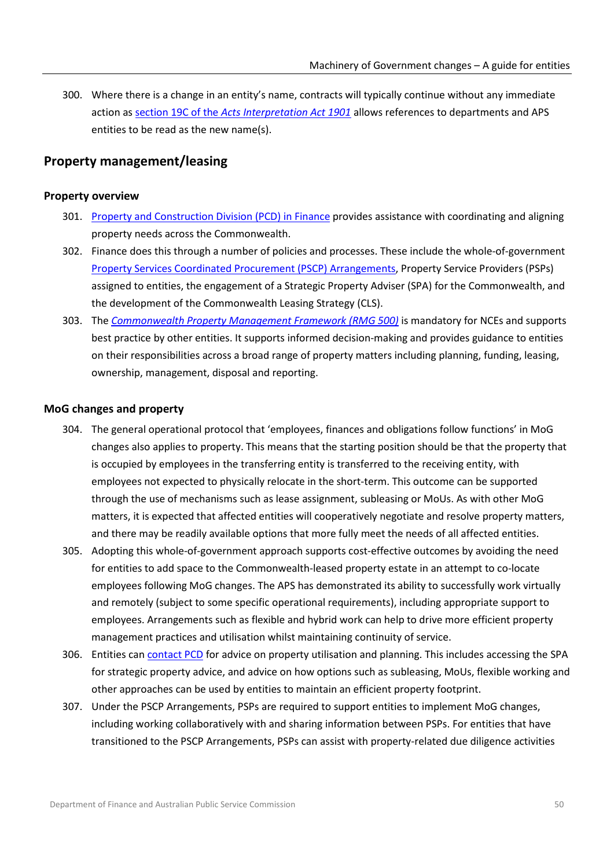300. Where there is a change in an entity's name, contracts will typically continue without any immediate action as section 19C of the *[Acts Interpretation Act 1901](https://www.legislation.gov.au/Series/C1901A00002)* allows references to departments and APS entities to be read as the new name(s).

# **Property management/leasing**

### **Property overview**

- 301. [Property and Construction Division](#page-71-0) (PCD) in Finance provides assistance with coordinating and aligning property needs across the Commonwealth.
- 302. Finance does this through a number of policies and processes. These include the whole-of-government [Property Services Coordinated Procurement \(PSCP\) Arrangements,](https://www.finance.gov.au/publications/policy/property-services-coordinated-procurement) Property Service Providers (PSPs) assigned to entities, the engagement of a Strategic Property Adviser (SPA) for the Commonwealth, and the development of the Commonwealth Leasing Strategy (CLS).
- 303. The *[Commonwealth Property Management Framework \(RMG 500\)](https://www.finance.gov.au/government/property-construction/commonwealth-property-management-framework)* is mandatory for NCEs and supports best practice by other entities. It supports informed decision-making and provides guidance to entities on their responsibilities across a broad range of property matters including planning, funding, leasing, ownership, management, disposal and reporting.

### **MoG changes and property**

- 304. The general operational protocol that 'employees, finances and obligations follow functions' in MoG changes also applies to property. This means that the starting position should be that the property that is occupied by employees in the transferring entity is transferred to the receiving entity, with employees not expected to physically relocate in the short-term. This outcome can be supported through the use of mechanisms such as lease assignment, subleasing or MoUs. As with other MoG matters, it is expected that affected entities will cooperatively negotiate and resolve property matters, and there may be readily available options that more fully meet the needs of all affected entities.
- 305. Adopting this whole-of-government approach supports cost-effective outcomes by avoiding the need for entities to add space to the Commonwealth-leased property estate in an attempt to co-locate employees following MoG changes. The APS has demonstrated its ability to successfully work virtually and remotely (subject to some specific operational requirements), including appropriate support to employees. Arrangements such as flexible and hybrid work can help to drive more efficient property management practices and utilisation whilst maintaining continuity of service.
- 306. Entities can [contact PCD](#page-71-0) for advice on property utilisation and planning. This includes accessing the SPA for strategic property advice, and advice on how options such as subleasing, MoUs, flexible working and other approaches can be used by entities to maintain an efficient property footprint.
- 307. Under the PSCP Arrangements, PSPs are required to support entities to implement MoG changes, including working collaboratively with and sharing information between PSPs. For entities that have transitioned to the PSCP Arrangements, PSPs can assist with property-related due diligence activities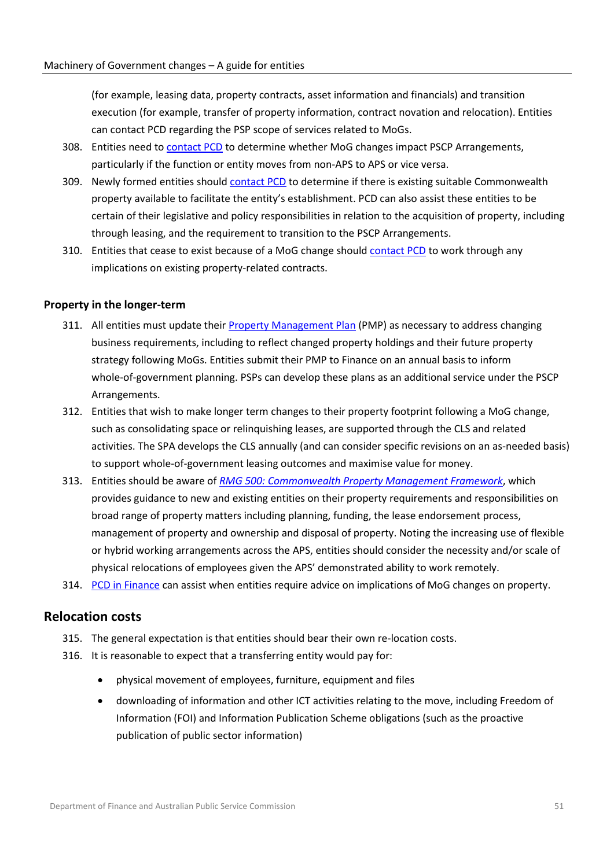(for example, leasing data, property contracts, asset information and financials) and transition execution (for example, transfer of property information, contract novation and relocation). Entities can contact PCD regarding the PSP scope of services related to MoGs.

- 308. Entities need t[o contact PCD](#page-71-0) to determine whether MoG changes impact PSCP Arrangements, particularly if the function or entity moves from non-APS to APS or vice versa.
- 309. Newly formed entities should [contact PCD](#page-71-0) to determine if there is existing suitable Commonwealth property available to facilitate the entity's establishment. PCD can also assist these entities to be certain of their legislative and policy responsibilities in relation to the acquisition of property, including through leasing, and the requirement to transition to the PSCP Arrangements.
- 310. Entities that cease to exist because of a MoG change shoul[d contact PCD](#page-71-0) to work through any implications on existing property-related contracts.

### **Property in the longer-term**

- 311. All entities must update thei[r Property Management Plan](https://www.finance.gov.au/government/property-and-construction/commonwealth-property-management-framework/planning#property-management-plan) (PMP) as necessary to address changing business requirements, including to reflect changed property holdings and their future property strategy following MoGs. Entities submit their PMP to Finance on an annual basis to inform whole-of-government planning. PSPs can develop these plans as an additional service under the PSCP Arrangements.
- 312. Entities that wish to make longer term changes to their property footprint following a MoG change, such as consolidating space or relinquishing leases, are supported through the CLS and related activities. The SPA develops the CLS annually (and can consider specific revisions on an as-needed basis) to support whole-of-government leasing outcomes and maximise value for money.
- 313. Entities should be aware of *[RMG 500: Commonwealth Property Management Framework](https://www.finance.gov.au/government/property-construction/commonwealth-property-management-framework)*, which provides guidance to new and existing entities on their property requirements and responsibilities on broad range of property matters including planning, funding, the lease endorsement process, management of property and ownership and disposal of property. Noting the increasing use of flexible or hybrid working arrangements across the APS, entities should consider the necessity and/or scale of physical relocations of employees given the APS' demonstrated ability to work remotely.
- 314. [PCD in Finance](#page-71-0) can assist when entities require advice on implications of MoG changes on property.

### **Relocation costs**

- 315. The general expectation is that entities should bear their own re-location costs.
- 316. It is reasonable to expect that a transferring entity would pay for:
	- physical movement of employees, furniture, equipment and files
	- downloading of information and other ICT activities relating to the move, including Freedom of Information (FOI) and Information Publication Scheme obligations (such as the proactive publication of public sector information)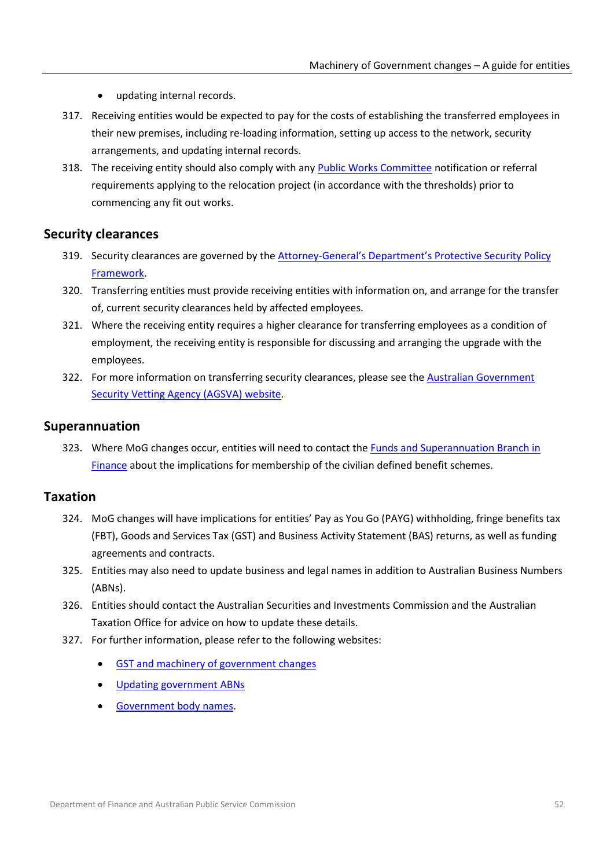- updating internal records.
- 317. Receiving entities would be expected to pay for the costs of establishing the transferred employees in their new premises, including re-loading information, setting up access to the network, security arrangements, and updating internal records.
- 318. The receiving entity should also comply with any [Public Works Committee](https://www.finance.gov.au/government/property-and-construction/public-works-committee) notification or referral requirements applying to the relocation project (in accordance with the thresholds) prior to commencing any fit out works.

### **Security clearances**

- 319. Security clearances are governed by th[e Attorney-General's Department's Protective Security Policy](https://www.protectivesecurity.gov.au/policies/personnel-security)  [Framework.](https://www.protectivesecurity.gov.au/policies/personnel-security)
- 320. Transferring entities must provide receiving entities with information on, and arrange for the transfer of, current security clearances held by affected employees.
- 321. Where the receiving entity requires a higher clearance for transferring employees as a condition of employment, the receiving entity is responsible for discussing and arranging the upgrade with the employees.
- 322. For more information on transferring security clearances, please see the Australian Government [Security Vetting Agency \(AGSVA\) website.](https://www1.defence.gov.au/security/clearances)

### **Superannuation**

323. Where MoG changes occur, entities will need to contact the [Funds and Superannuation Branch in](#page-71-0)  [Finance](#page-71-0) about the implications for membership of the civilian defined benefit schemes.

## **Taxation**

- 324. MoG changes will have implications for entities' Pay as You Go (PAYG) withholding, fringe benefits tax (FBT), Goods and Services Tax (GST) and Business Activity Statement (BAS) returns, as well as funding agreements and contracts.
- 325. Entities may also need to update business and legal names in addition to Australian Business Numbers (ABNs).
- 326. Entities should contact the Australian Securities and Investments Commission and the Australian Taxation Office for advice on how to update these details.
- 327. For further information, please refer to the following websites:
	- [GST and machinery of government changes](https://www.ato.gov.au/Business/Government-entities/In-detail/GST-and-machinery-of-government---FAQs/)
	- [Updating government ABNs](https://www.abr.gov.au/government-agencies/applying-and-updating-abn/update-government-abn-details)
	- [Government body names.](https://asic.gov.au/for-business/registering-a-business-name/before-you-register-a-business-name/business-name-availability/government-body-names/)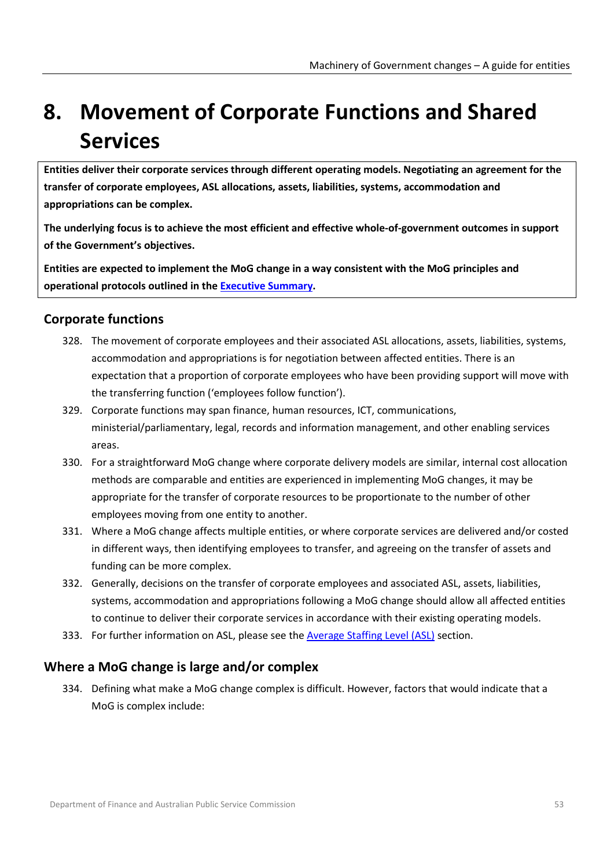# **8. Movement of Corporate Functions and Shared Services**

**Entities deliver their corporate services through different operating models. Negotiating an agreement for the transfer of corporate employees, ASL allocations, assets, liabilities, systems, accommodation and appropriations can be complex.** 

**The underlying focus is to achieve the most efficient and effective whole-of-government outcomes in support of the Government's objectives.** 

**Entities are expected to implement the MoG change in a way consistent with the MoG principles and operational protocols outlined in th[e Executive Summary.](#page-8-0)** 

# **Corporate functions**

- 328. The movement of corporate employees and their associated ASL allocations, assets, liabilities, systems, accommodation and appropriations is for negotiation between affected entities. There is an expectation that a proportion of corporate employees who have been providing support will move with the transferring function ('employees follow function').
- 329. Corporate functions may span finance, human resources, ICT, communications, ministerial/parliamentary, legal, records and information management, and other enabling services areas.
- 330. For a straightforward MoG change where corporate delivery models are similar, internal cost allocation methods are comparable and entities are experienced in implementing MoG changes, it may be appropriate for the transfer of corporate resources to be proportionate to the number of other employees moving from one entity to another.
- 331. Where a MoG change affects multiple entities, or where corporate services are delivered and/or costed in different ways, then identifying employees to transfer, and agreeing on the transfer of assets and funding can be more complex.
- 332. Generally, decisions on the transfer of corporate employees and associated ASL, assets, liabilities, systems, accommodation and appropriations following a MoG change should allow all affected entities to continue to deliver their corporate services in accordance with their existing operating models.
- 333. For further information on ASL, please see the Average Staffing Level (ASL) section.

# **Where a MoG change is large and/or complex**

334. Defining what make a MoG change complex is difficult. However, factors that would indicate that a MoG is complex include: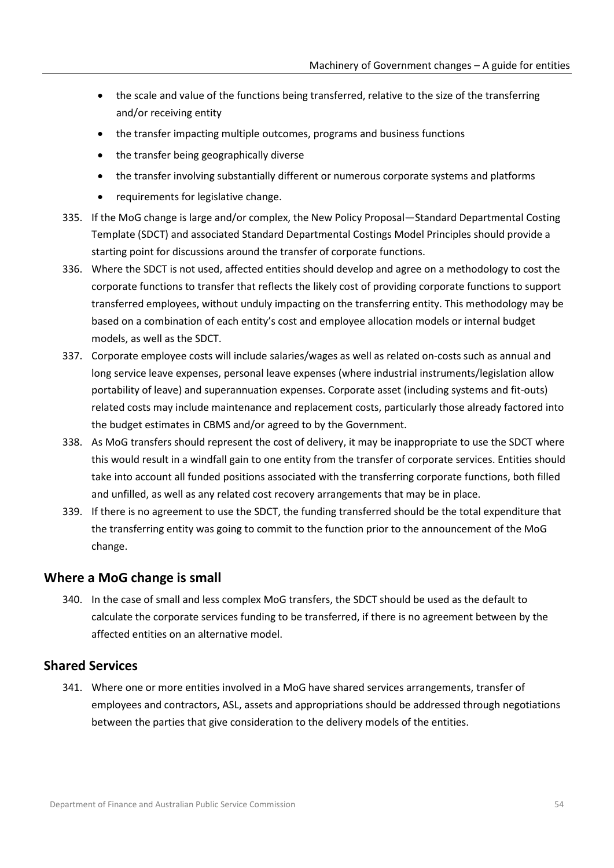- the scale and value of the functions being transferred, relative to the size of the transferring and/or receiving entity
- the transfer impacting multiple outcomes, programs and business functions
- the transfer being geographically diverse
- the transfer involving substantially different or numerous corporate systems and platforms
- requirements for legislative change.
- 335. If the MoG change is large and/or complex, the New Policy Proposal—Standard Departmental Costing Template (SDCT) and associated Standard Departmental Costings Model Principles should provide a starting point for discussions around the transfer of corporate functions.
- 336. Where the SDCT is not used, affected entities should develop and agree on a methodology to cost the corporate functions to transfer that reflects the likely cost of providing corporate functions to support transferred employees, without unduly impacting on the transferring entity. This methodology may be based on a combination of each entity's cost and employee allocation models or internal budget models, as well as the SDCT.
- 337. Corporate employee costs will include salaries/wages as well as related on-costs such as annual and long service leave expenses, personal leave expenses (where industrial instruments/legislation allow portability of leave) and superannuation expenses. Corporate asset (including systems and fit-outs) related costs may include maintenance and replacement costs, particularly those already factored into the budget estimates in CBMS and/or agreed to by the Government.
- 338. As MoG transfers should represent the cost of delivery, it may be inappropriate to use the SDCT where this would result in a windfall gain to one entity from the transfer of corporate services. Entities should take into account all funded positions associated with the transferring corporate functions, both filled and unfilled, as well as any related cost recovery arrangements that may be in place.
- 339. If there is no agreement to use the SDCT, the funding transferred should be the total expenditure that the transferring entity was going to commit to the function prior to the announcement of the MoG change.

# **Where a MoG change is small**

340. In the case of small and less complex MoG transfers, the SDCT should be used as the default to calculate the corporate services funding to be transferred, if there is no agreement between by the affected entities on an alternative model.

# **Shared Services**

341. Where one or more entities involved in a MoG have shared services arrangements, transfer of employees and contractors, ASL, assets and appropriations should be addressed through negotiations between the parties that give consideration to the delivery models of the entities.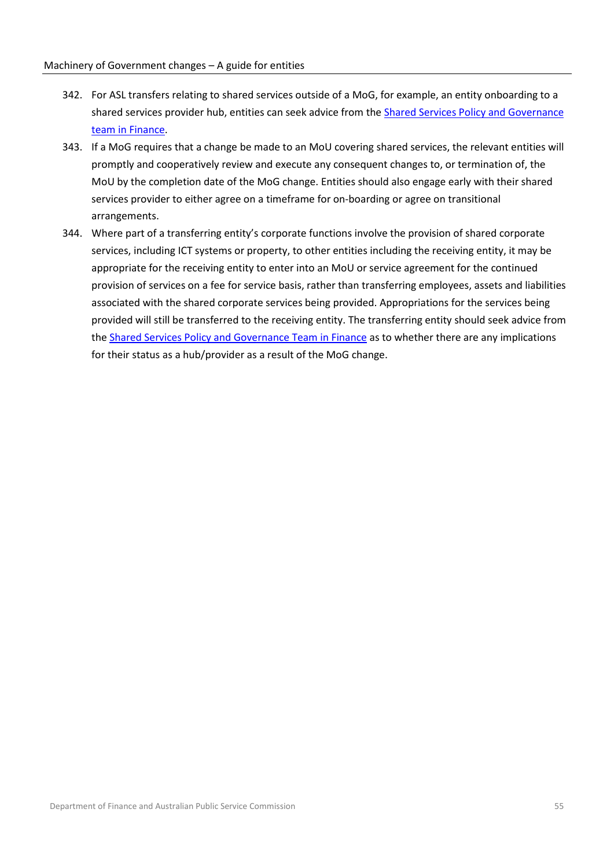- 342. For ASL transfers relating to shared services outside of a MoG, for example, an entity onboarding to a shared services provider hub, entities can seek advice from th[e Shared Services Policy and Governance](#page-71-0)  [team in Finance.](#page-71-0)
- 343. If a MoG requires that a change be made to an MoU covering shared services, the relevant entities will promptly and cooperatively review and execute any consequent changes to, or termination of, the MoU by the completion date of the MoG change. Entities should also engage early with their shared services provider to either agree on a timeframe for on-boarding or agree on transitional arrangements.
- 344. Where part of a transferring entity's corporate functions involve the provision of shared corporate services, including ICT systems or property, to other entities including the receiving entity, it may be appropriate for the receiving entity to enter into an MoU or service agreement for the continued provision of services on a fee for service basis, rather than transferring employees, assets and liabilities associated with the shared corporate services being provided. Appropriations for the services being provided will still be transferred to the receiving entity. The transferring entity should seek advice from the [Shared Services Policy and Governance Team in Finance](#page-71-0) as to whether there are any implications for their status as a hub/provider as a result of the MoG change.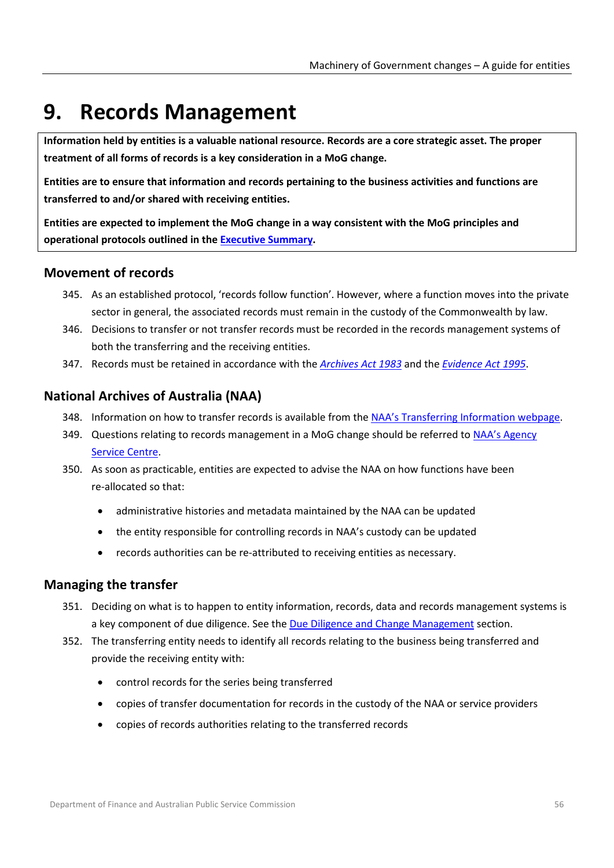# <span id="page-55-0"></span>**9. Records Management**

**Information held by entities is a valuable national resource. Records are a core strategic asset. The proper treatment of all forms of records is a key consideration in a MoG change.**

**Entities are to ensure that information and records pertaining to the business activities and functions are transferred to and/or shared with receiving entities.**

**Entities are expected to implement the MoG change in a way consistent with the MoG principles and operational protocols outlined in th[e Executive Summary.](#page-8-0)** 

# **Movement of records**

- 345. As an established protocol, 'records follow function'. However, where a function moves into the private sector in general, the associated records must remain in the custody of the Commonwealth by law.
- 346. Decisions to transfer or not transfer records must be recorded in the records management systems of both the transferring and the receiving entities.
- 347. Records must be retained in accordance with the *[Archives Act 1983](https://www.legislation.gov.au/Series/C2004A02796)* and the *[Evidence Act 1995](https://www.legislation.gov.au/Series/C2004A04858)*.

# **National Archives of Australia (NAA)**

- 348. Information on how to transfer records is available from the [NAA's Transferring Information webpage.](https://www.naa.gov.au/information-management/dispose-information/transferring-information)
- 349. Questions relating to records management in a MoG change should be referred to NAA's Agency [Service Centre.](https://www.naa.gov.au/information-management/agency-service-centre)
- 350. As soon as practicable, entities are expected to advise the NAA on how functions have been re-allocated so that:
	- administrative histories and metadata maintained by the NAA can be updated
	- the entity responsible for controlling records in NAA's custody can be updated
	- records authorities can be re-attributed to receiving entities as necessary.

# **Managing the transfer**

- 351. Deciding on what is to happen to entity information, records, data and records management systems is a key component of due diligence. See the Due Diligence [and Change Management](#page-19-0) section.
- 352. The transferring entity needs to identify all records relating to the business being transferred and provide the receiving entity with:
	- control records for the series being transferred
	- copies of transfer documentation for records in the custody of the NAA or service providers
	- copies of records authorities relating to the transferred records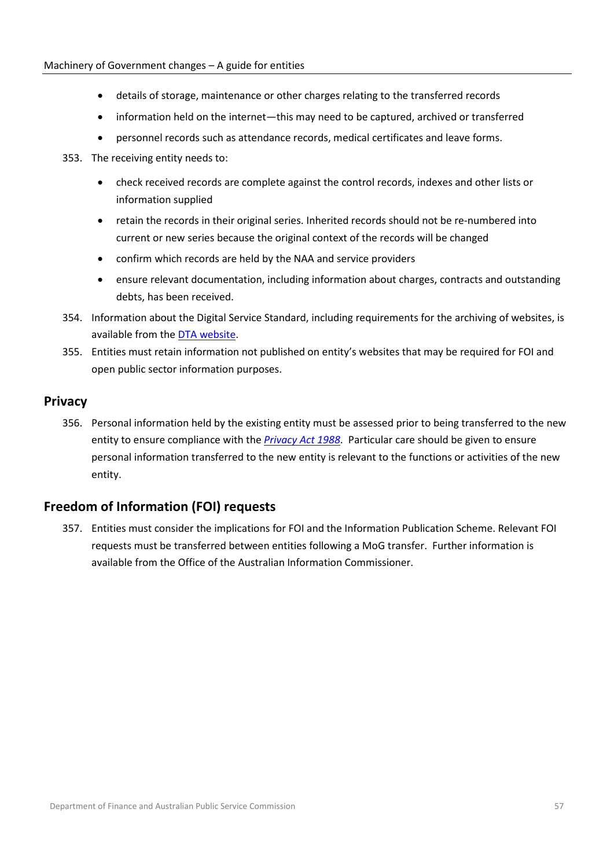- details of storage, maintenance or other charges relating to the transferred records
- information held on the internet—this may need to be captured, archived or transferred
- personnel records such as attendance records, medical certificates and leave forms.
- 353. The receiving entity needs to:
	- check received records are complete against the control records, indexes and other lists or information supplied
	- retain the records in their original series. Inherited records should not be re-numbered into current or new series because the original context of the records will be changed
	- confirm which records are held by the NAA and service providers
	- ensure relevant documentation, including information about charges, contracts and outstanding debts, has been received.
- 354. Information about the Digital Service Standard, including requirements for the archiving of websites, is available from th[e DTA website.](https://www.dta.gov.au/help-and-advice/about-digital-service-standard)
- 355. Entities must retain information not published on entity's websites that may be required for FOI and open public sector information purposes.

## **Privacy**

356. Personal information held by the existing entity must be assessed prior to being transferred to the new entity to ensure compliance with the *[Privacy Act 1988](https://www.legislation.gov.au/Series/C2004A03712)*. Particular care should be given to ensure personal information transferred to the new entity is relevant to the functions or activities of the new entity.

# **Freedom of Information (FOI) requests**

357. Entities must consider the implications for FOI and the Information Publication Scheme. Relevant FOI requests must be transferred between entities following a MoG transfer. Further information is available from th[e Office of the Australian Information Commissioner.](https://www.oaic.gov.au/)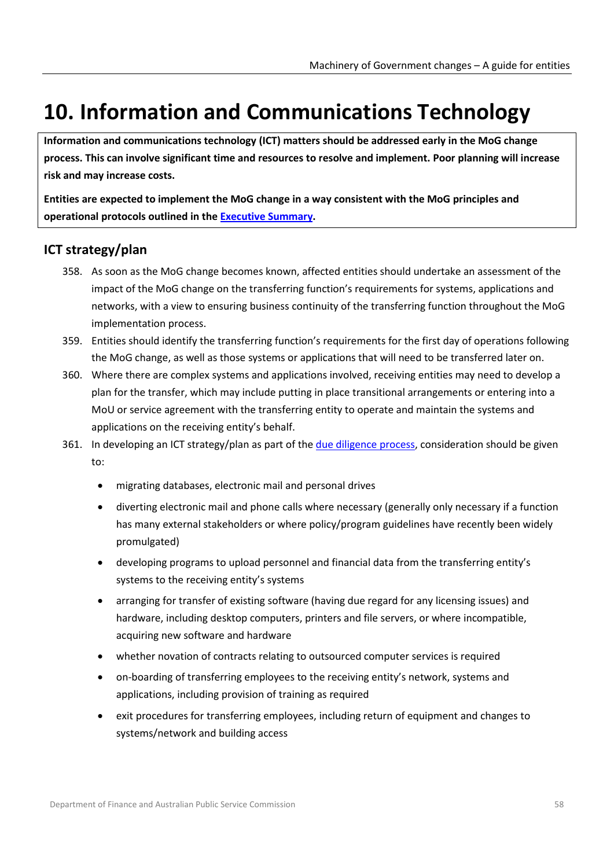# **10. Information and Communications Technology**

**Information and communications technology (ICT) matters should be addressed early in the MoG change process. This can involve significant time and resources to resolve and implement. Poor planning will increase risk and may increase costs.** 

**Entities are expected to implement the MoG change in a way consistent with the MoG principles and operational protocols outlined in th[e Executive Summary.](#page-8-0)** 

# **ICT strategy/plan**

- 358. As soon as the MoG change becomes known, affected entities should undertake an assessment of the impact of the MoG change on the transferring function's requirements for systems, applications and networks, with a view to ensuring business continuity of the transferring function throughout the MoG implementation process.
- 359. Entities should identify the transferring function's requirements for the first day of operations following the MoG change, as well as those systems or applications that will need to be transferred later on.
- 360. Where there are complex systems and applications involved, receiving entities may need to develop a plan for the transfer, which may include putting in place transitional arrangements or entering into a MoU or service agreement with the transferring entity to operate and maintain the systems and applications on the receiving entity's behalf.
- 361. In developing an ICT strategy/plan as part of the [due diligence process,](#page-19-0) consideration should be given to:
	- migrating databases, electronic mail and personal drives
	- diverting electronic mail and phone calls where necessary (generally only necessary if a function has many external stakeholders or where policy/program guidelines have recently been widely promulgated)
	- developing programs to upload personnel and financial data from the transferring entity's systems to the receiving entity's systems
	- arranging for transfer of existing software (having due regard for any licensing issues) and hardware, including desktop computers, printers and file servers, or where incompatible, acquiring new software and hardware
	- whether novation of contracts relating to outsourced computer services is required
	- on-boarding of transferring employees to the receiving entity's network, systems and applications, including provision of training as required
	- exit procedures for transferring employees, including return of equipment and changes to systems/network and building access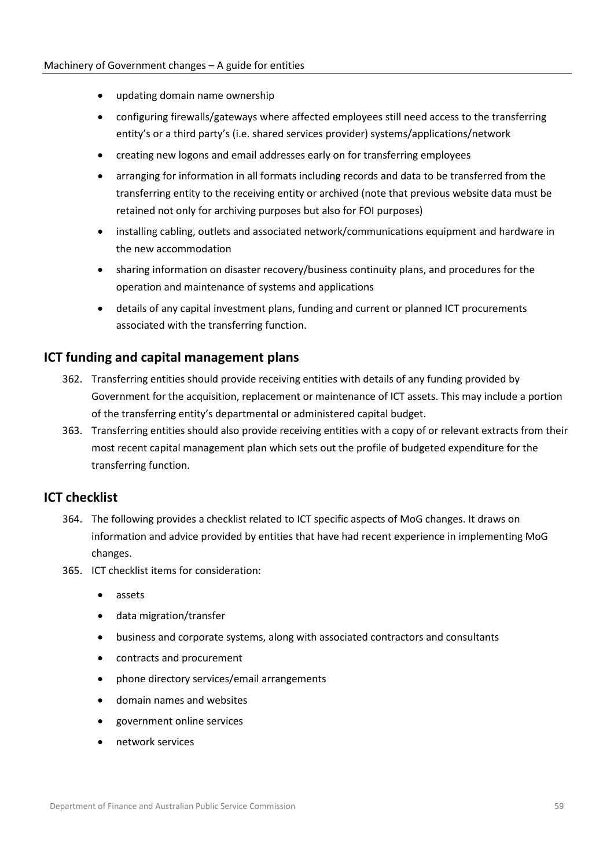- updating domain name ownership
- configuring firewalls/gateways where affected employees still need access to the transferring entity's or a third party's (i.e. shared services provider) systems/applications/network
- creating new logons and email addresses early on for transferring employees
- arranging for information in all formats including records and data to be transferred from the transferring entity to the receiving entity or archived (note that previous website data must be retained not only for archiving purposes but also for FOI purposes)
- installing cabling, outlets and associated network/communications equipment and hardware in the new accommodation
- sharing information on disaster recovery/business continuity plans, and procedures for the operation and maintenance of systems and applications
- details of any capital investment plans, funding and current or planned ICT procurements associated with the transferring function.

## **ICT funding and capital management plans**

- 362. Transferring entities should provide receiving entities with details of any funding provided by Government for the acquisition, replacement or maintenance of ICT assets. This may include a portion of the transferring entity's departmental or administered capital budget.
- 363. Transferring entities should also provide receiving entities with a copy of or relevant extracts from their most recent capital management plan which sets out the profile of budgeted expenditure for the transferring function.

# **ICT checklist**

- 364. The following provides a checklist related to ICT specific aspects of MoG changes. It draws on information and advice provided by entities that have had recent experience in implementing MoG changes.
- 365. ICT checklist items for consideration:
	- assets
	- data migration/transfer
	- business and corporate systems, along with associated contractors and consultants
	- contracts and procurement
	- phone directory services/email arrangements
	- domain names and websites
	- government online services
	- network services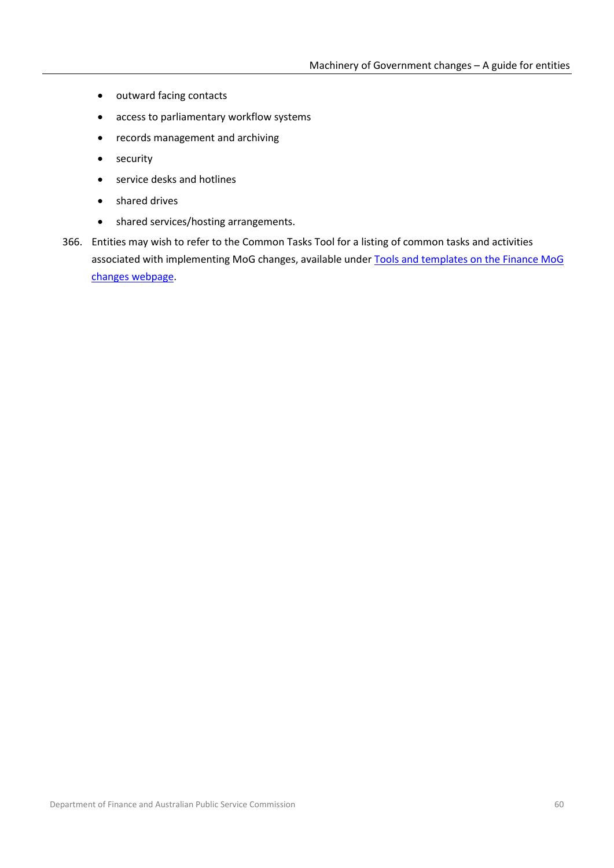- outward facing contacts
- access to parliamentary workflow systems
- records management and archiving
- security
- service desks and hotlines
- shared drives
- shared services/hosting arrangements.
- 366. Entities may wish to refer to the Common Tasks Tool for a listing of common tasks and activities associated with implementing MoG changes, available under [Tools and templates on the Finance MoG](http://www.finance.gov.au/government/managing-commonwealth-resources/machinery-of-government-changes)  [changes webpage.](http://www.finance.gov.au/government/managing-commonwealth-resources/machinery-of-government-changes)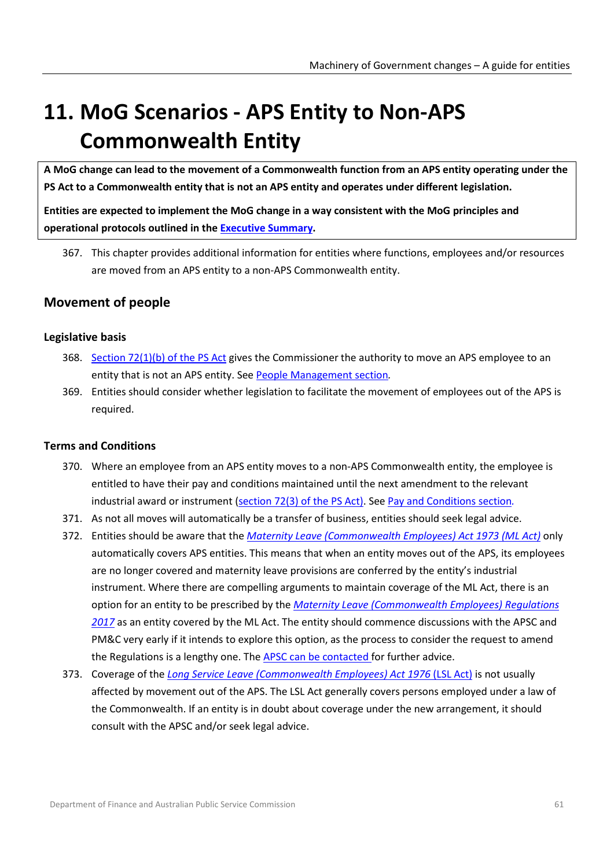# **11. MoG Scenarios - APS Entity to Non-APS Commonwealth Entity**

**A MoG change can lead to the movement of a Commonwealth function from an APS entity operating under the PS Act to a Commonwealth entity that is not an APS entity and operates under different legislation.**

**Entities are expected to implement the MoG change in a way consistent with the MoG principles and operational protocols outlined in th[e Executive Summary.](#page-8-0)** 

367. This chapter provides additional information for entities where functions, employees and/or resources are moved from an APS entity to a non-APS Commonwealth entity.

# **Movement of people**

### **Legislative basis**

- 368. Section [72\(1\)\(b\) of the PS](https://www.legislation.gov.au/Series/C2004A00538) Act gives the Commissioner the authority to move an APS employee to an entity that is not an APS entity. See [People Management](#page-25-0) section*.*
- 369. Entities should consider whether legislation to facilitate the movement of employees out of the APS is required.

### **Terms and Conditions**

- 370. Where an employee from an APS entity moves to a non-APS Commonwealth entity, the employee is entitled to have their pay and conditions maintained until the next amendment to the relevant industrial award or instrument [\(section 72\(3\) of the PS](https://www.legislation.gov.au/Series/C2004A00538) Act). See [Pay and Conditions](#page-33-0) section*.*
- 371. As not all moves will automatically be a transfer of business, entities should seek legal advice.
- 372. Entities should be aware that the *[Maternity Leave \(Commonwealth Employees\) Act 1973 \(ML Act\)](https://www.legislation.gov.au/Series/C2004A00024)* only automatically covers APS entities. This means that when an entity moves out of the APS, its employees are no longer covered and maternity leave provisions are conferred by the entity's industrial instrument. Where there are compelling arguments to maintain coverage of the ML Act, there is an option for an entity to be prescribed by the *[Maternity Leave \(Commonwealth Employees\) Regulations](https://www.legislation.gov.au/Series/F2017L01450)  [2017](https://www.legislation.gov.au/Series/F2017L01450)* as an entity covered by the ML Act. The entity should commence discussions with the APSC and PM&C very early if it intends to explore this option, as the process to consider the request to amend the Regulations is a lengthy one. The [APSC can be contacted f](#page-71-0)or further advice.
- 373. Coverage of the *[Long Service Leave \(Commonwealth Employees\) Act 1976](https://www.legislation.gov.au/Series/C2004A01621)* (LSL Act) is not usually affected by movement out of the APS. The LSL Act generally covers persons employed under a law of the Commonwealth. If an entity is in doubt about coverage under the new arrangement, it should consult with the APSC and/or seek legal advice.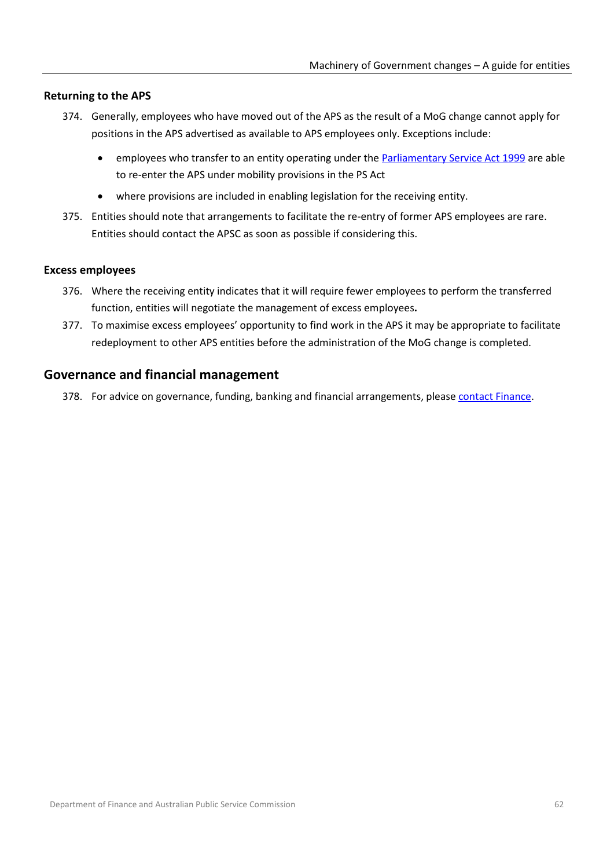### **Returning to the APS**

- 374. Generally, employees who have moved out of the APS as the result of a MoG change cannot apply for positions in the APS advertised as available to APS employees only. Exceptions include:
	- employees who transfer to an entity operating under the [Parliamentary Service Act 1999](https://www.legislation.gov.au/Series/C2004A00536) are able to re-enter the APS under mobility provisions in the PS Act
	- where provisions are included in enabling legislation for the receiving entity.
- 375. Entities should note that arrangements to facilitate the re-entry of former APS employees are rare. Entities should contact the APSC as soon as possible if considering this.

#### **Excess employees**

- 376. Where the receiving entity indicates that it will require fewer employees to perform the transferred function, entities will negotiate the management of excess employees**.**
- 377. To maximise excess employees' opportunity to find work in the APS it may be appropriate to facilitate redeployment to other APS entities before the administration of the MoG change is completed.

### **Governance and financial management**

378. For advice on governance, funding, banking and financial arrangements, pleas[e contact Finance.](#page-71-0)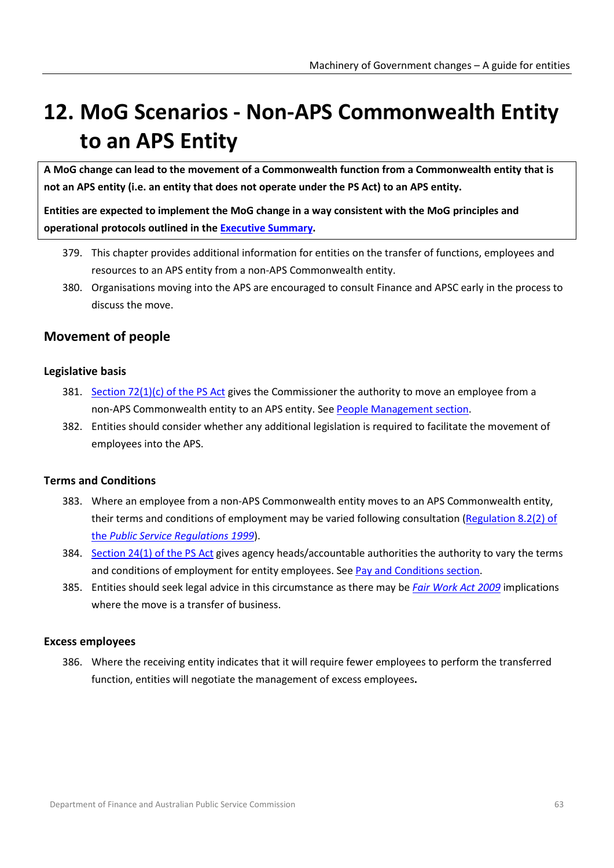# <span id="page-62-0"></span>**12. MoG Scenarios - Non-APS Commonwealth Entity to an APS Entity**

**A MoG change can lead to the movement of a Commonwealth function from a Commonwealth entity that is not an APS entity (i.e. an entity that does not operate under the PS Act) to an APS entity.**

**Entities are expected to implement the MoG change in a way consistent with the MoG principles and operational protocols outlined in th[e Executive Summary.](#page-8-0)** 

- 379. This chapter provides additional information for entities on the transfer of functions, employees and resources to an APS entity from a non-APS Commonwealth entity.
- 380. Organisations moving into the APS are encouraged to consult Finance and APSC early in the process to discuss the move.

# **Movement of people**

### **Legislative basis**

- 381. Section  $72(1)(c)$  of the PS Act gives the Commissioner the authority to move an employee from a non-APS Commonwealth entity to an APS entity. Se[e People Management section.](#page-25-0)
- 382. Entities should consider whether any additional legislation is required to facilitate the movement of employees into the APS.

### **Terms and Conditions**

- 383. Where an employee from a non-APS Commonwealth entity moves to an APS Commonwealth entity, their terms and conditions of employment may be varied following consultation (Regulation 8.2(2) of the *[Public Service Regulations](https://www.legislation.gov.au/Series/F1999B00307) 1999*).
- 384. Section [24\(1\) of the PS](https://www.legislation.gov.au/Series/C2004A00538) Act gives agency heads/accountable authorities the authority to vary the terms and conditions of employment for entity employees. See [Pay and Conditions](#page-33-0) section.
- 385. Entities should seek legal advice in this circumstance as there may be *[Fair Work Act 2009](https://www.legislation.gov.au/Series/C2009A00028)* implications where the move is a transfer of business.

### **Excess employees**

386. Where the receiving entity indicates that it will require fewer employees to perform the transferred function, entities will negotiate the management of excess employees**.**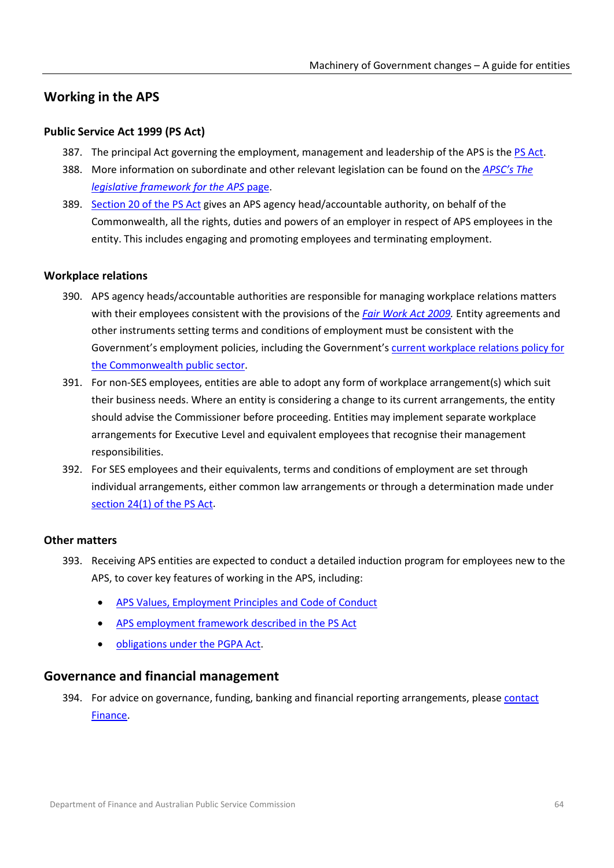# **Working in the APS**

### **Public Service Act 1999 (PS Act)**

- 387. The principal Act governing the employment, management and leadership of the APS is the PS [Act.](https://www.legislation.gov.au/Series/C2004A00538)
- 388. More information on subordinate and other relevant legislation can be found on the *[APSC's The](https://www.apsc.gov.au/working-aps/aps-employees-and-managers/aps-framework/legislative-framework-apshttp:/www.apsc.gov.au/working-in-the-aps/the-legislative-framework-for-the-aps)  [legislative framework for the APS](https://www.apsc.gov.au/working-aps/aps-employees-and-managers/aps-framework/legislative-framework-apshttp:/www.apsc.gov.au/working-in-the-aps/the-legislative-framework-for-the-aps)* page.
- 389. Section [20 of the PS Act](https://www.legislation.gov.au/Series/C2004A00538) gives an APS agency head/accountable authority, on behalf of the Commonwealth, all the rights, duties and powers of an employer in respect of APS employees in the entity. This includes engaging and promoting employees and terminating employment.

### **Workplace relations**

- 390. APS agency heads/accountable authorities are responsible for managing workplace relations matters with their employees consistent with the provisions of the *[Fair Work Act 2009.](https://www.legislation.gov.au/Series/C2009A00028)* Entity agreements and other instruments setting terms and conditions of employment must be consistent with the Government's employment policies, including the Government'[s current workplace relations policy for](https://www.apsc.gov.au/initiatives-and-programs/workplace-relations)  [the Commonwealth public sector.](https://www.apsc.gov.au/initiatives-and-programs/workplace-relations)
- 391. For non-SES employees, entities are able to adopt any form of workplace arrangement(s) which suit their business needs. Where an entity is considering a change to its current arrangements, the entity should advise the Commissioner before proceeding. Entities may implement separate workplace arrangements for Executive Level and equivalent employees that recognise their management responsibilities.
- 392. For SES employees and their equivalents, terms and conditions of employment are set through individual arrangements, either common law arrangements or through a determination made under [section 24\(1\) of the PS](https://www.legislation.gov.au/Series/C2004A00538) Act.

### **Other matters**

- 393. Receiving APS entities are expected to conduct a detailed induction program for employees new to the APS, to cover key features of working in the APS, including:
	- [APS Values, Employment Principles and Code of Conduct](https://www.apsc.gov.au/working-aps/integrity)
	- [APS employment framework described in the PS Act](https://www.apsc.gov.au/working-aps/information-aps-employment)
	- [obligations under the PGPA Act.](https://www.finance.gov.au/government/managing-commonwealth-resources/managing-risk-internal-accountability/duties/duties)

## **Governance and financial management**

394. For advice on governance, funding, banking and financial reporting arrangements, please contact [Finance.](#page-71-0)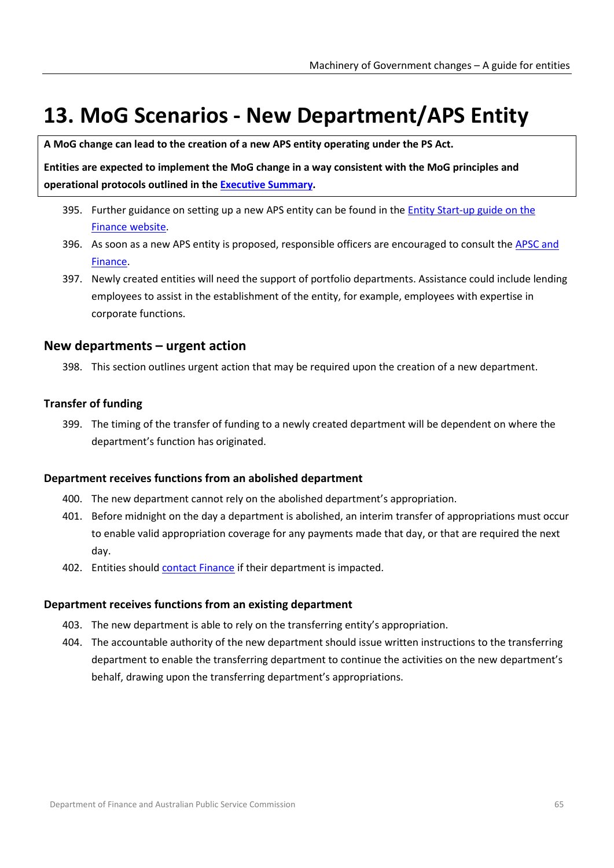# **13. MoG Scenarios - New Department/APS Entity**

**A MoG change can lead to the creation of a new APS entity operating under the PS Act.**

**Entities are expected to implement the MoG change in a way consistent with the MoG principles and operational protocols outlined in th[e Executive Summary.](#page-8-0)** 

- 395. Further guidance on setting up a new APS entity can be found in th[e Entity Start-up guide on the](https://www.finance.gov.au/government/setting-commonwealth-entity)  [Finance website.](https://www.finance.gov.au/government/setting-commonwealth-entity)
- 396. As soon as a new APS entity is proposed, responsible officers are encouraged to consult the APSC and [Finance.](#page-71-0)
- 397. Newly created entities will need the support of portfolio departments. Assistance could include lending employees to assist in the establishment of the entity, for example, employees with expertise in corporate functions.

### **New departments – urgent action**

398. This section outlines urgent action that may be required upon the creation of a new department.

### **Transfer of funding**

399. The timing of the transfer of funding to a newly created department will be dependent on where the department's function has originated.

#### **Department receives functions from an abolished department**

- 400. The new department cannot rely on the abolished department's appropriation.
- 401. Before midnight on the day a department is abolished, an interim transfer of appropriations must occur to enable valid appropriation coverage for any payments made that day, or that are required the next day.
- 402. Entities should [contact Finance](#page-71-0) if their department is impacted.

#### **Department receives functions from an existing department**

- 403. The new department is able to rely on the transferring entity's appropriation.
- 404. The accountable authority of the new department should issue written instructions to the transferring department to enable the transferring department to continue the activities on the new department's behalf, drawing upon the transferring department's appropriations.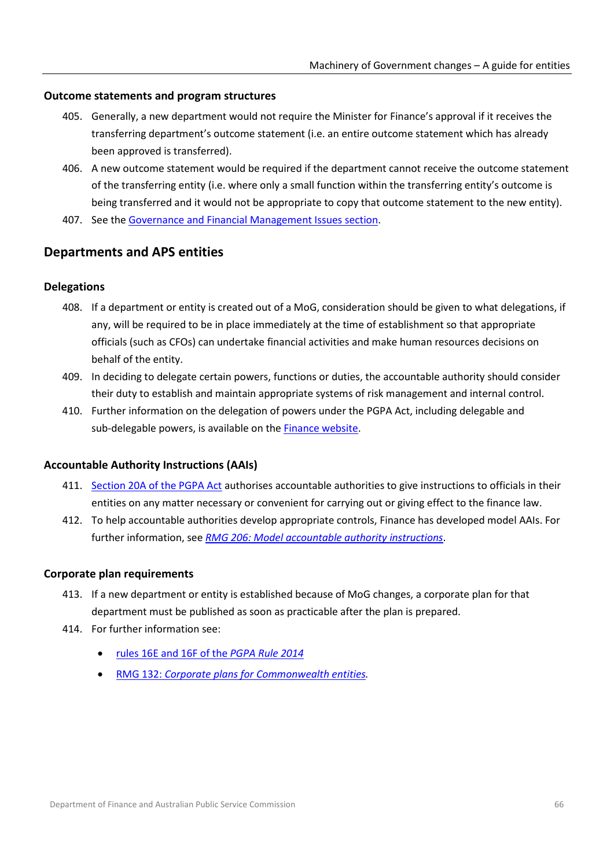#### **Outcome statements and program structures**

- 405. Generally, a new department would not require the Minister for Finance's approval if it receives the transferring department's outcome statement (i.e. an entire outcome statement which has already been approved is transferred).
- 406. A new outcome statement would be required if the department cannot receive the outcome statement of the transferring entity (i.e. where only a small function within the transferring entity's outcome is being transferred and it would not be appropriate to copy that outcome statement to the new entity).
- 407. See th[e Governance and Financial Management](#page-37-1) Issues section.

# **Departments and APS entities**

### **Delegations**

- 408. If a department or entity is created out of a MoG, consideration should be given to what delegations, if any, will be required to be in place immediately at the time of establishment so that appropriate officials (such as CFOs) can undertake financial activities and make human resources decisions on behalf of the entity.
- 409. In deciding to delegate certain powers, functions or duties, the accountable authority should consider their duty to establish and maintain appropriate systems of risk management and internal control.
- 410. Further information on the delegation of powers under the PGPA Act, including delegable and sub-delegable powers, is available on the [Finance website.](https://www.finance.gov.au/government/managing-commonwealth-resources/pgpa-legislation-associated-instruments-and-policies)

### **Accountable Authority Instructions (AAIs)**

- 411. Section [20A of the PGPA](https://www.legislation.gov.au/Series/C2013A00123) Act authorises accountable authorities to give instructions to officials in their entities on any matter necessary or convenient for carrying out or giving effect to the finance law.
- 412. To help accountable authorities develop appropriate controls, Finance has developed model AAIs. For further information, see *RMG [206: Model accountable authority instructions](https://www.finance.gov.au/government/managing-commonwealth-resources/managing-risk-internal-accountability/duties/risk-internal-controls/accountable-authority-instructions-aais-rmg-206)*.

### **Corporate plan requirements**

- 413. If a new department or entity is established because of MoG changes, a corporate plan for that department must be published as soon as practicable after the plan is prepared.
- 414. For further information see:
	- [rules 16E and 16F of the](https://www.legislation.gov.au/Series/F2014L00911) *PGPA Rule 2014*
	- RMG 132: *[Corporate plans for Commonwealth entities.](https://www.finance.gov.au/government/managing-commonwealth-resources/corporate-plans-commonwealth-entities-rmg-132)*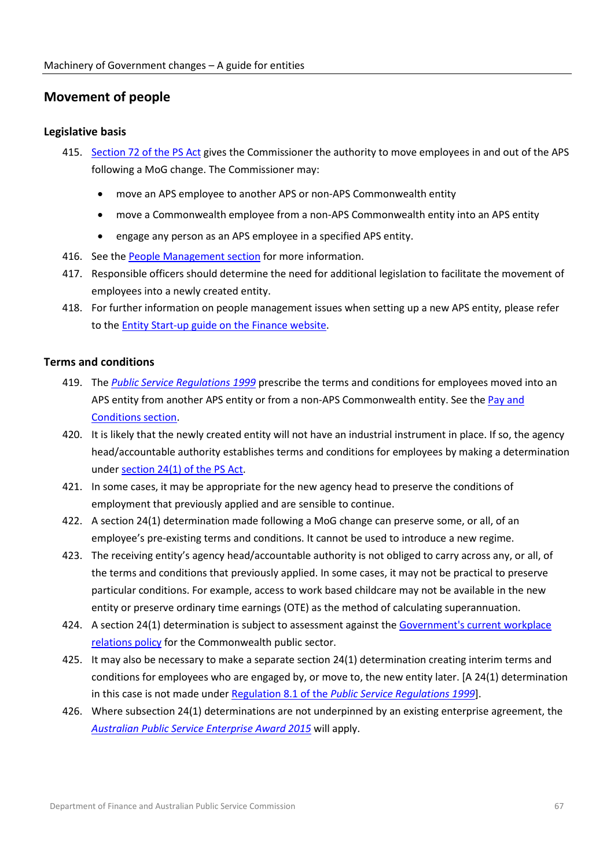## **Movement of people**

#### **Legislative basis**

- 415. Section [72 of the PS Act](https://www.legislation.gov.au/Series/C2004A00538) gives the Commissioner the authority to move employees in and out of the APS following a MoG change. The Commissioner may:
	- move an APS employee to another APS or non-APS Commonwealth entity
	- move a Commonwealth employee from a non-APS Commonwealth entity into an APS entity
	- engage any person as an APS employee in a specified APS entity.
- 416. See th[e People Management](#page-25-0) section for more information.
- 417. Responsible officers should determine the need for additional legislation to facilitate the movement of employees into a newly created entity.
- 418. For further information on people management issues when setting up a new APS entity, please refer to the [Entity Start-up guide on the Finance website.](https://www.finance.gov.au/government/setting-commonwealth-entity)

#### **Terms and conditions**

- 419. The *[Public Service Regulations 1999](https://www.legislation.gov.au/Series/F1999B00307)* prescribe the terms and conditions for employees moved into an APS entity from another APS entity or from a non-APS Commonwealth entity. See the Pay and [Conditions](#page-33-0) section.
- 420. It is likely that the newly created entity will not have an industrial instrument in place. If so, the agency head/accountable authority establishes terms and conditions for employees by making a determination under section [24\(1\) of the PS](https://www.legislation.gov.au/Series/C2004A00538) Act.
- 421. In some cases, it may be appropriate for the new agency head to preserve the conditions of employment that previously applied and are sensible to continue.
- 422. A section 24(1) determination made following a MoG change can preserve some, or all, of an employee's pre-existing terms and conditions. It cannot be used to introduce a new regime.
- 423. The receiving entity's agency head/accountable authority is not obliged to carry across any, or all, of the terms and conditions that previously applied. In some cases, it may not be practical to preserve particular conditions. For example, access to work based childcare may not be available in the new entity or preserve ordinary time earnings (OTE) as the method of calculating superannuation.
- 424. A section 24(1) determination is subject to assessment against the [Government's current workplace](https://www.apsc.gov.au/initiatives-and-programs/workplace-relations)  [relations policy](https://www.apsc.gov.au/initiatives-and-programs/workplace-relations) for the Commonwealth public sector.
- 425. It may also be necessary to make a separate section 24(1) determination creating interim terms and conditions for employees who are engaged by, or move to, the new entity later. [A 24(1) determination in this case is not made under Regulation 8.1 of the *[Public Service Regulations 1999](https://www.legislation.gov.au/Series/F1999B00307)*].
- 426. Where subsection 24(1) determinations are not underpinned by an existing enterprise agreement, the *[Australian Public Service Enterprise Award 2015](https://www.fairwork.gov.au/awards-and-agreements/awards/list-of-awards/enterprise-and-public-sector-awards)* will apply.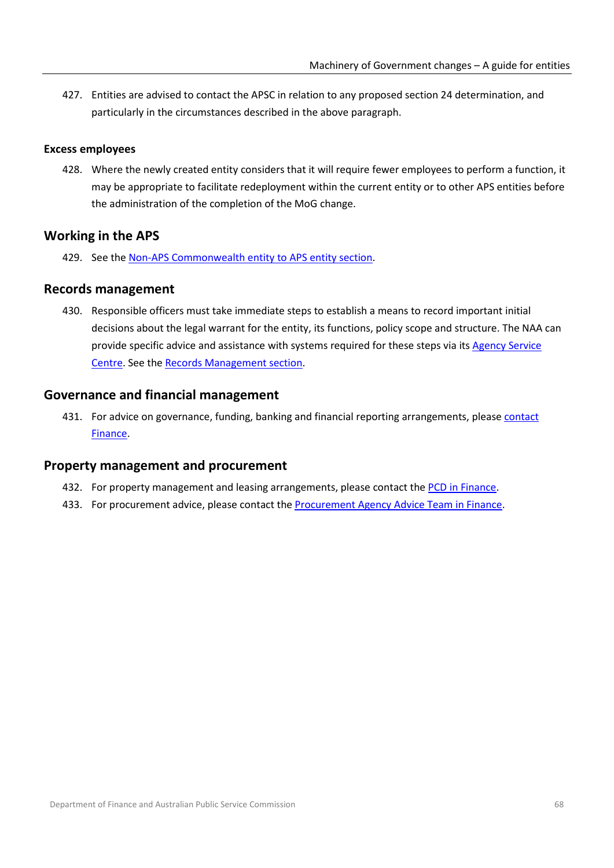427. Entities are advised to contact the APSC in relation to any proposed section 24 determination, and particularly in the circumstances described in the above paragraph.

### **Excess employees**

428. Where the newly created entity considers that it will require fewer employees to perform a function, it may be appropriate to facilitate redeployment within the current entity or to other APS entities before the administration of the completion of the MoG change.

## **Working in the APS**

429. See the Non-APS Commonwealth [entity to APS entity](#page-62-0) section.

### **Records management**

430. Responsible officers must take immediate steps to establish a means to record important initial decisions about the legal warrant for the entity, its functions, policy scope and structure. The NAA can provide specific advice and assistance with systems required for these steps via its [Agency Service](#page-71-0)  [Centre.](#page-71-0) See the [Records Management](#page-55-0) section.

### **Governance and financial management**

431. For advice on governance, funding, banking and financial reporting arrangements, please contact [Finance.](#page-71-0)

### **Property management and procurement**

- 432. For property management and leasing arrangements, please contact the [PCD in Finance.](#page-71-0)
- 433. For procurement advice, please contact the [Procurement Agency Advice Team in Finance.](#page-71-0)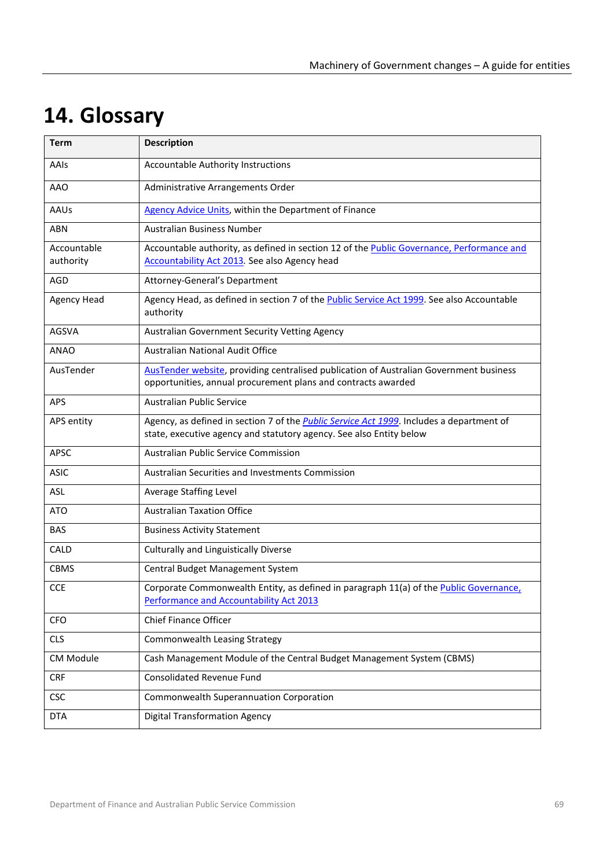# **14. Glossary**

| <b>Term</b>              | <b>Description</b>                                                                                                                                              |  |
|--------------------------|-----------------------------------------------------------------------------------------------------------------------------------------------------------------|--|
| AAIs                     | Accountable Authority Instructions                                                                                                                              |  |
| <b>AAO</b>               | Administrative Arrangements Order                                                                                                                               |  |
| AAUs                     | <b>Agency Advice Units, within the Department of Finance</b>                                                                                                    |  |
| <b>ABN</b>               | <b>Australian Business Number</b>                                                                                                                               |  |
| Accountable<br>authority | Accountable authority, as defined in section 12 of the Public Governance, Performance and<br><b>Accountability Act 2013</b> . See also Agency head              |  |
| AGD                      | Attorney-General's Department                                                                                                                                   |  |
| <b>Agency Head</b>       | Agency Head, as defined in section 7 of the Public Service Act 1999. See also Accountable<br>authority                                                          |  |
| <b>AGSVA</b>             | Australian Government Security Vetting Agency                                                                                                                   |  |
| ANAO                     | Australian National Audit Office                                                                                                                                |  |
| AusTender                | AusTender website, providing centralised publication of Australian Government business<br>opportunities, annual procurement plans and contracts awarded         |  |
| <b>APS</b>               | <b>Australian Public Service</b>                                                                                                                                |  |
| APS entity               | Agency, as defined in section 7 of the Public Service Act 1999. Includes a department of<br>state, executive agency and statutory agency. See also Entity below |  |
| <b>APSC</b>              | Australian Public Service Commission                                                                                                                            |  |
| <b>ASIC</b>              | Australian Securities and Investments Commission                                                                                                                |  |
| ASL                      | Average Staffing Level                                                                                                                                          |  |
| <b>ATO</b>               | <b>Australian Taxation Office</b>                                                                                                                               |  |
| <b>BAS</b>               | <b>Business Activity Statement</b>                                                                                                                              |  |
| CALD                     | Culturally and Linguistically Diverse                                                                                                                           |  |
| <b>CBMS</b>              | Central Budget Management System                                                                                                                                |  |
| <b>CCE</b>               | Corporate Commonwealth Entity, as defined in paragraph 11(a) of the Public Governance,<br>Performance and Accountability Act 2013                               |  |
| <b>CFO</b>               | <b>Chief Finance Officer</b>                                                                                                                                    |  |
| <b>CLS</b>               | Commonwealth Leasing Strategy                                                                                                                                   |  |
| CM Module                | Cash Management Module of the Central Budget Management System (CBMS)                                                                                           |  |
| <b>CRF</b>               | <b>Consolidated Revenue Fund</b>                                                                                                                                |  |
| <b>CSC</b>               | Commonwealth Superannuation Corporation                                                                                                                         |  |
| <b>DTA</b>               | <b>Digital Transformation Agency</b>                                                                                                                            |  |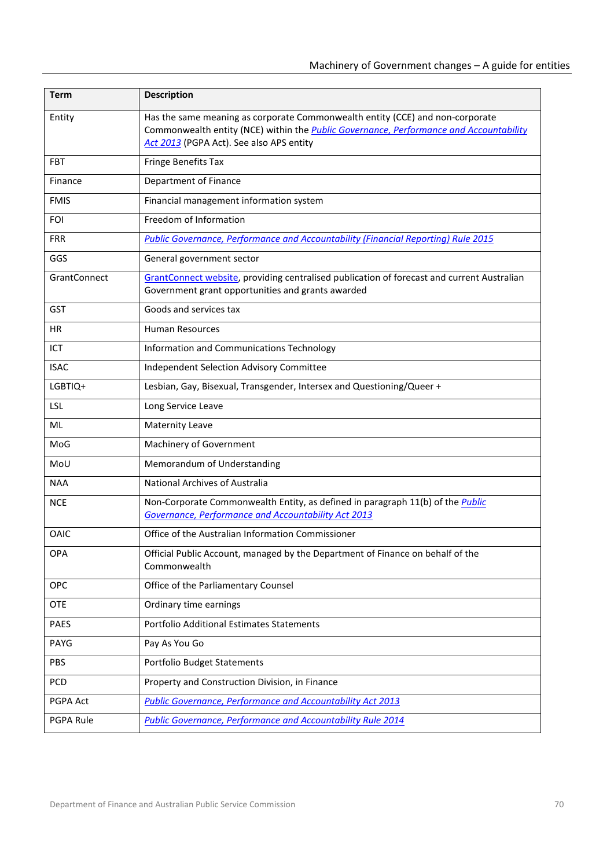| <b>Term</b>  | <b>Description</b>                                                                                                                                                                                                  |  |
|--------------|---------------------------------------------------------------------------------------------------------------------------------------------------------------------------------------------------------------------|--|
| Entity       | Has the same meaning as corporate Commonwealth entity (CCE) and non-corporate<br>Commonwealth entity (NCE) within the Public Governance, Performance and Accountability<br>Act 2013 (PGPA Act). See also APS entity |  |
| <b>FBT</b>   | <b>Fringe Benefits Tax</b>                                                                                                                                                                                          |  |
| Finance      | Department of Finance                                                                                                                                                                                               |  |
| <b>FMIS</b>  | Financial management information system                                                                                                                                                                             |  |
| FOI          | Freedom of Information                                                                                                                                                                                              |  |
| <b>FRR</b>   | Public Governance, Performance and Accountability (Financial Reporting) Rule 2015                                                                                                                                   |  |
| GGS          | General government sector                                                                                                                                                                                           |  |
| GrantConnect | GrantConnect website, providing centralised publication of forecast and current Australian<br>Government grant opportunities and grants awarded                                                                     |  |
| <b>GST</b>   | Goods and services tax                                                                                                                                                                                              |  |
| НR           | <b>Human Resources</b>                                                                                                                                                                                              |  |
| <b>ICT</b>   | Information and Communications Technology                                                                                                                                                                           |  |
| <b>ISAC</b>  | <b>Independent Selection Advisory Committee</b>                                                                                                                                                                     |  |
| LGBTIQ+      | Lesbian, Gay, Bisexual, Transgender, Intersex and Questioning/Queer +                                                                                                                                               |  |
| <b>LSL</b>   | Long Service Leave                                                                                                                                                                                                  |  |
| ML           | <b>Maternity Leave</b>                                                                                                                                                                                              |  |
| MoG          | Machinery of Government                                                                                                                                                                                             |  |
| MoU          | Memorandum of Understanding                                                                                                                                                                                         |  |
| <b>NAA</b>   | National Archives of Australia                                                                                                                                                                                      |  |
| <b>NCE</b>   | Non-Corporate Commonwealth Entity, as defined in paragraph 11(b) of the <i>Public</i><br>Governance, Performance and Accountability Act 2013                                                                        |  |
| OAIC         | Office of the Australian Information Commissioner                                                                                                                                                                   |  |
| OPA          | Official Public Account, managed by the Department of Finance on behalf of the<br>Commonwealth                                                                                                                      |  |
| OPC          | Office of the Parliamentary Counsel                                                                                                                                                                                 |  |
| <b>OTE</b>   | Ordinary time earnings                                                                                                                                                                                              |  |
| <b>PAES</b>  | <b>Portfolio Additional Estimates Statements</b>                                                                                                                                                                    |  |
| PAYG         | Pay As You Go                                                                                                                                                                                                       |  |
| <b>PBS</b>   | <b>Portfolio Budget Statements</b>                                                                                                                                                                                  |  |
| PCD          | Property and Construction Division, in Finance                                                                                                                                                                      |  |
| PGPA Act     | <b>Public Governance, Performance and Accountability Act 2013</b>                                                                                                                                                   |  |
| PGPA Rule    | <b>Public Governance, Performance and Accountability Rule 2014</b>                                                                                                                                                  |  |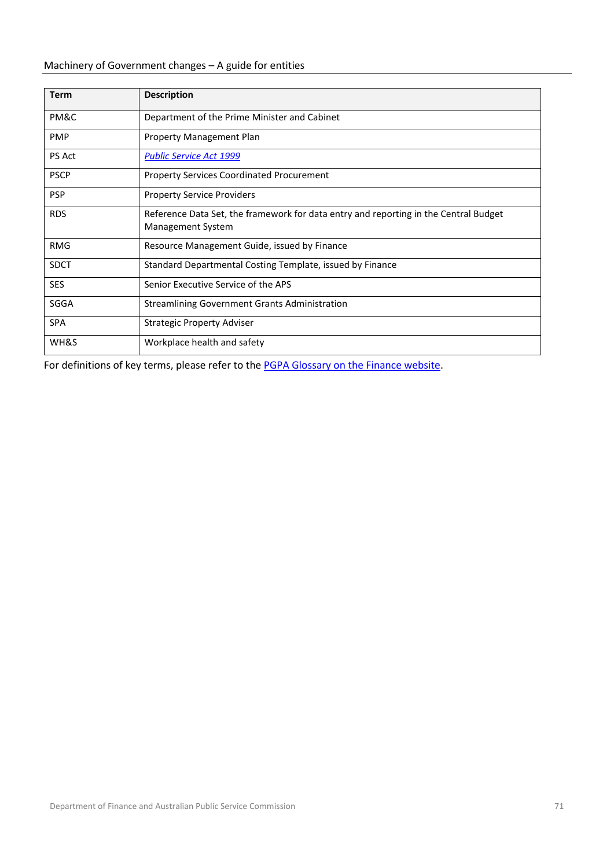### Machinery of Government changes – A guide for entities

| <b>Term</b>   | <b>Description</b>                                                                                        |
|---------------|-----------------------------------------------------------------------------------------------------------|
| PM&C          | Department of the Prime Minister and Cabinet                                                              |
| <b>PMP</b>    | Property Management Plan                                                                                  |
| <b>PS Act</b> | <b>Public Service Act 1999</b>                                                                            |
| <b>PSCP</b>   | <b>Property Services Coordinated Procurement</b>                                                          |
| <b>PSP</b>    | <b>Property Service Providers</b>                                                                         |
| <b>RDS</b>    | Reference Data Set, the framework for data entry and reporting in the Central Budget<br>Management System |
| <b>RMG</b>    | Resource Management Guide, issued by Finance                                                              |
| <b>SDCT</b>   | Standard Departmental Costing Template, issued by Finance                                                 |
| <b>SES</b>    | Senior Executive Service of the APS                                                                       |
| SGGA          | <b>Streamlining Government Grants Administration</b>                                                      |
| <b>SPA</b>    | <b>Strategic Property Adviser</b>                                                                         |
| WH&S          | Workplace health and safety                                                                               |

For definitions of key terms, please refer to the [PGPA Glossary on the Finance website.](https://www.finance.gov.au/about-us/glossary/pgpa)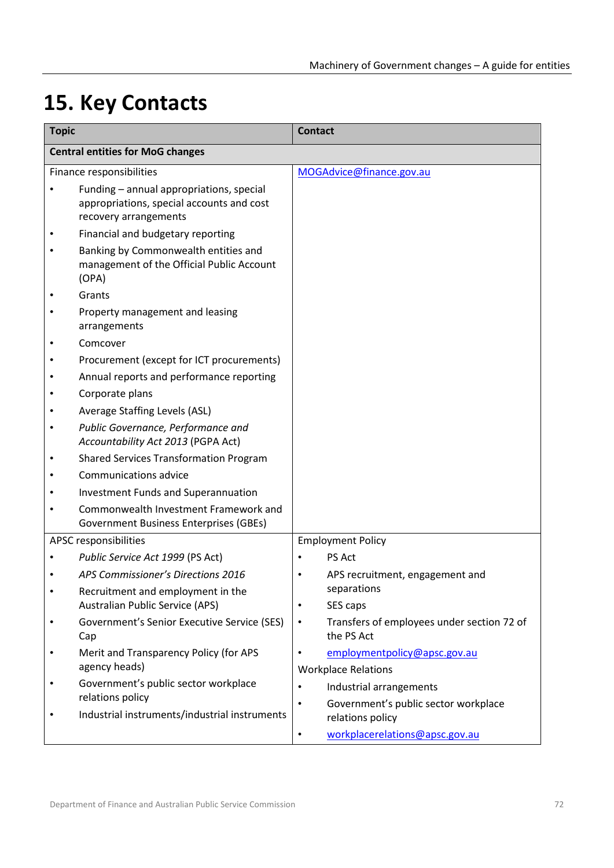# <span id="page-71-0"></span>**15. Key Contacts**

| <b>Topic</b>                            |                                                                                                                | <b>Contact</b>                                                        |  |  |
|-----------------------------------------|----------------------------------------------------------------------------------------------------------------|-----------------------------------------------------------------------|--|--|
| <b>Central entities for MoG changes</b> |                                                                                                                |                                                                       |  |  |
| Finance responsibilities                |                                                                                                                | MOGAdvice@finance.gov.au                                              |  |  |
|                                         | Funding - annual appropriations, special<br>appropriations, special accounts and cost<br>recovery arrangements |                                                                       |  |  |
|                                         | Financial and budgetary reporting                                                                              |                                                                       |  |  |
|                                         | Banking by Commonwealth entities and<br>management of the Official Public Account<br>(OPA)                     |                                                                       |  |  |
|                                         | Grants                                                                                                         |                                                                       |  |  |
|                                         | Property management and leasing<br>arrangements                                                                |                                                                       |  |  |
|                                         | Comcover                                                                                                       |                                                                       |  |  |
|                                         | Procurement (except for ICT procurements)                                                                      |                                                                       |  |  |
|                                         | Annual reports and performance reporting                                                                       |                                                                       |  |  |
|                                         | Corporate plans                                                                                                |                                                                       |  |  |
|                                         | Average Staffing Levels (ASL)                                                                                  |                                                                       |  |  |
| ٠                                       | Public Governance, Performance and<br>Accountability Act 2013 (PGPA Act)                                       |                                                                       |  |  |
|                                         | <b>Shared Services Transformation Program</b>                                                                  |                                                                       |  |  |
|                                         | Communications advice                                                                                          |                                                                       |  |  |
|                                         | <b>Investment Funds and Superannuation</b>                                                                     |                                                                       |  |  |
|                                         | Commonwealth Investment Framework and<br><b>Government Business Enterprises (GBEs)</b>                         |                                                                       |  |  |
|                                         | APSC responsibilities                                                                                          | <b>Employment Policy</b>                                              |  |  |
|                                         | Public Service Act 1999 (PS Act)                                                                               | <b>PS Act</b><br>$\bullet$                                            |  |  |
|                                         | APS Commissioner's Directions 2016                                                                             | APS recruitment, engagement and<br>$\bullet$                          |  |  |
|                                         | Recruitment and employment in the                                                                              | separations                                                           |  |  |
|                                         | <b>Australian Public Service (APS)</b>                                                                         | SES caps<br>$\bullet$                                                 |  |  |
|                                         | Government's Senior Executive Service (SES)<br>Cap                                                             | Transfers of employees under section 72 of<br>$\bullet$<br>the PS Act |  |  |
|                                         | Merit and Transparency Policy (for APS                                                                         | employmentpolicy@apsc.gov.au<br>$\bullet$                             |  |  |
|                                         | agency heads)                                                                                                  | <b>Workplace Relations</b>                                            |  |  |
|                                         | Government's public sector workplace<br>relations policy                                                       | Industrial arrangements<br>$\bullet$                                  |  |  |
|                                         | Industrial instruments/industrial instruments                                                                  | Government's public sector workplace<br>$\bullet$<br>relations policy |  |  |
|                                         |                                                                                                                | workplacerelations@apsc.gov.au<br>$\bullet$                           |  |  |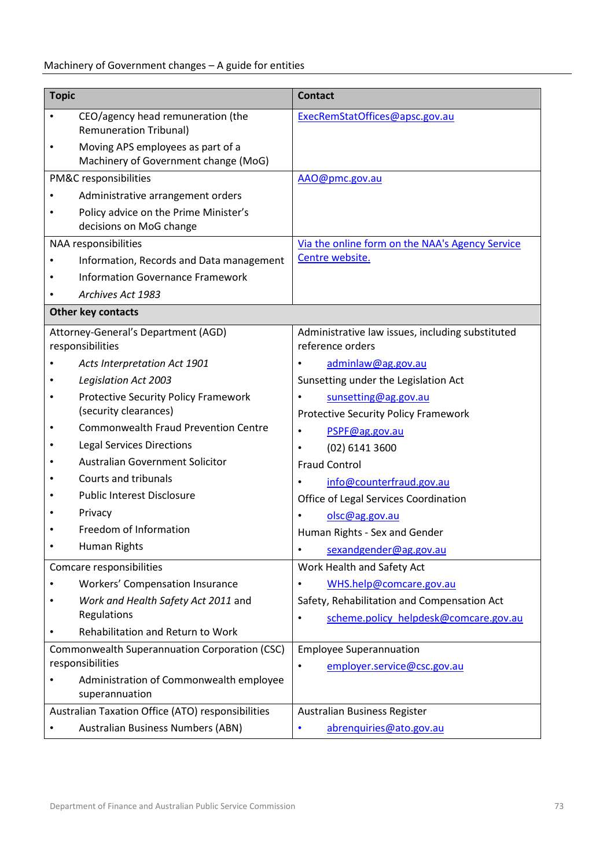| <b>Topic</b>                                      |                                                                           | <b>Contact</b>                                   |  |
|---------------------------------------------------|---------------------------------------------------------------------------|--------------------------------------------------|--|
|                                                   | CEO/agency head remuneration (the                                         | ExecRemStatOffices@apsc.gov.au                   |  |
|                                                   | <b>Remuneration Tribunal)</b>                                             |                                                  |  |
|                                                   | Moving APS employees as part of a<br>Machinery of Government change (MoG) |                                                  |  |
| PM&C responsibilities                             |                                                                           | AAO@pmc.gov.au                                   |  |
|                                                   | Administrative arrangement orders                                         |                                                  |  |
|                                                   | Policy advice on the Prime Minister's<br>decisions on MoG change          |                                                  |  |
|                                                   | NAA responsibilities                                                      | Via the online form on the NAA's Agency Service  |  |
|                                                   | Information, Records and Data management                                  | Centre website.                                  |  |
|                                                   | <b>Information Governance Framework</b>                                   |                                                  |  |
|                                                   | Archives Act 1983                                                         |                                                  |  |
| Other key contacts                                |                                                                           |                                                  |  |
|                                                   | Attorney-General's Department (AGD)                                       | Administrative law issues, including substituted |  |
|                                                   | responsibilities                                                          | reference orders                                 |  |
|                                                   | Acts Interpretation Act 1901                                              | adminlaw@ag.gov.au                               |  |
|                                                   | Legislation Act 2003                                                      | Sunsetting under the Legislation Act             |  |
|                                                   | <b>Protective Security Policy Framework</b>                               | sunsetting@ag.gov.au                             |  |
|                                                   | (security clearances)                                                     | <b>Protective Security Policy Framework</b>      |  |
|                                                   | <b>Commonwealth Fraud Prevention Centre</b>                               | PSPF@ag.gov.au<br>٠                              |  |
|                                                   | <b>Legal Services Directions</b>                                          | (02) 6141 3600                                   |  |
|                                                   | Australian Government Solicitor                                           | <b>Fraud Control</b>                             |  |
|                                                   | <b>Courts and tribunals</b>                                               | info@counterfraud.gov.au                         |  |
|                                                   | <b>Public Interest Disclosure</b>                                         | Office of Legal Services Coordination            |  |
|                                                   | Privacy                                                                   | olsc@ag.gov.au                                   |  |
|                                                   | Freedom of Information                                                    | Human Rights - Sex and Gender                    |  |
|                                                   | Human Rights                                                              | $\bullet$<br>sexandgender@ag.gov.au              |  |
|                                                   | Comcare responsibilities                                                  | Work Health and Safety Act                       |  |
|                                                   | <b>Workers' Compensation Insurance</b>                                    | WHS.help@comcare.gov.au                          |  |
|                                                   | Work and Health Safety Act 2011 and                                       | Safety, Rehabilitation and Compensation Act      |  |
|                                                   | Regulations                                                               | scheme.policy helpdesk@comcare.gov.au            |  |
|                                                   | Rehabilitation and Return to Work                                         |                                                  |  |
| Commonwealth Superannuation Corporation (CSC)     |                                                                           | <b>Employee Superannuation</b>                   |  |
|                                                   | responsibilities                                                          | employer.service@csc.gov.au                      |  |
|                                                   | Administration of Commonwealth employee<br>superannuation                 |                                                  |  |
| Australian Taxation Office (ATO) responsibilities |                                                                           | Australian Business Register                     |  |
|                                                   | Australian Business Numbers (ABN)                                         | abrenquiries@ato.gov.au                          |  |